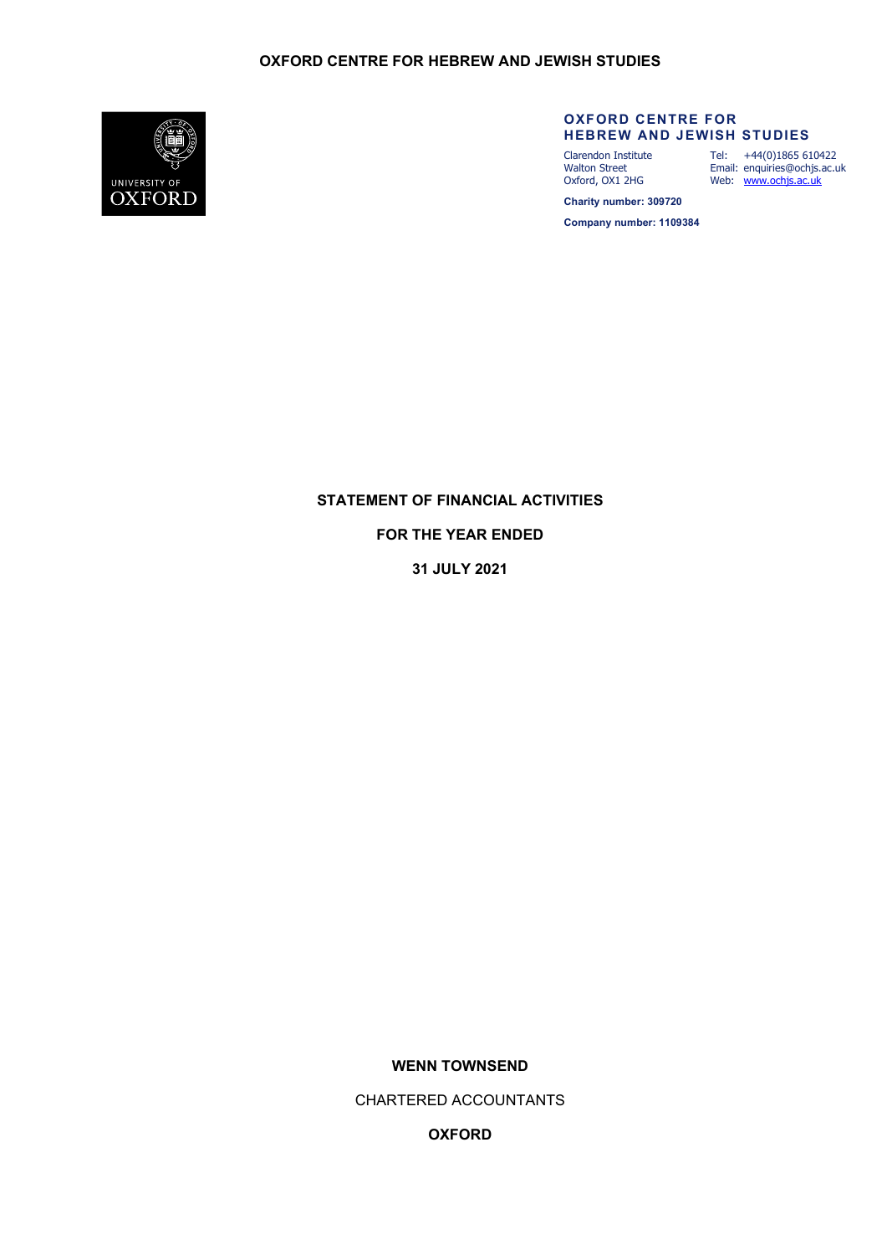

Oxford, OX1 2HG Web: www.ochis.ac.uk

Clarendon Institute Tel: +44(0)1865 610422<br>Walton Street Email: enquiries@ochjs.ac.u Walton Street **Email:** enquiries@ochjs.ac.uk

Charity number: 309720 Company number: 1109384

# STATEMENT OF FINANCIAL ACTIVITIES

FOR THE YEAR ENDED

31 JULY 2021

# WENN TOWNSEND

CHARTERED ACCOUNTANTS

**OXFORD**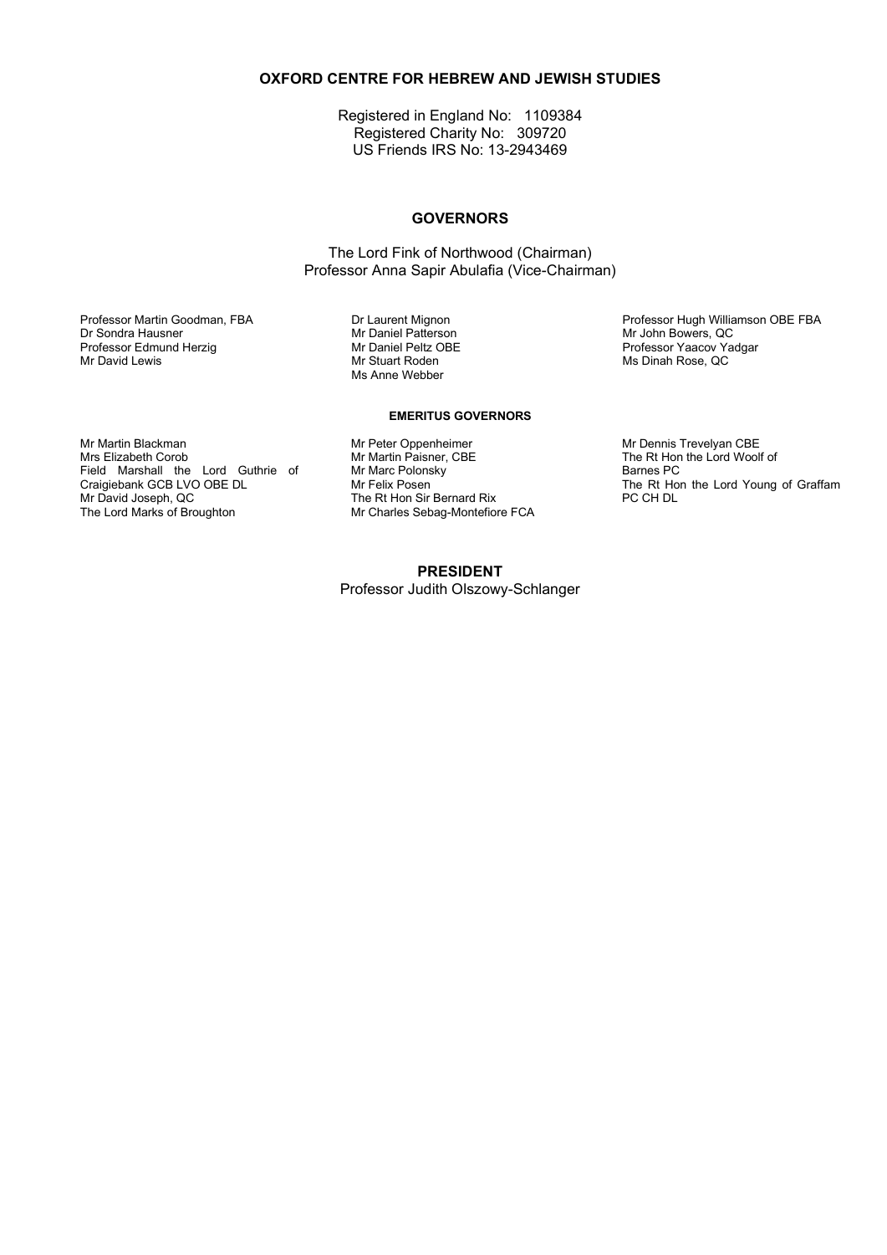Registered in England No: 1109384 Registered Charity No: 309720 US Friends IRS No: 13-2943469

## **GOVERNORS**

The Lord Fink of Northwood (Chairman) Professor Anna Sapir Abulafia (Vice-Chairman)

Professor Martin Goodman, FBA Dr Sondra Hausner Professor Edmund Herzig Mr David Lewis

Dr Laurent Mignon Mr Daniel Patterson Mr Daniel Peltz OBE Mr Stuart Roden Ms Anne Webber

#### EMERITUS GOVERNORS

Mr Martin Blackman Mrs Elizabeth Corob Field Marshall the Lord Guthrie of Craigiebank GCB LVO OBE DL Mr David Joseph, QC The Lord Marks of Broughton

Mr Peter Oppenheimer Mr Martin Paisner, CBE Mr Marc Polonsky Mr Felix Posen The Rt Hon Sir Bernard Rix Mr Charles Sebag-Montefiore FCA Mr Dennis Trevelyan CBE The Rt Hon the Lord Woolf of Barnes PC The Rt Hon the Lord Young of Graffam PC CH DL

Professor Hugh Williamson OBE FBA

Mr John Bowers, QC Professor Yaacov Yadgar Ms Dinah Rose, QC

PRESIDENT Professor Judith Olszowy-Schlanger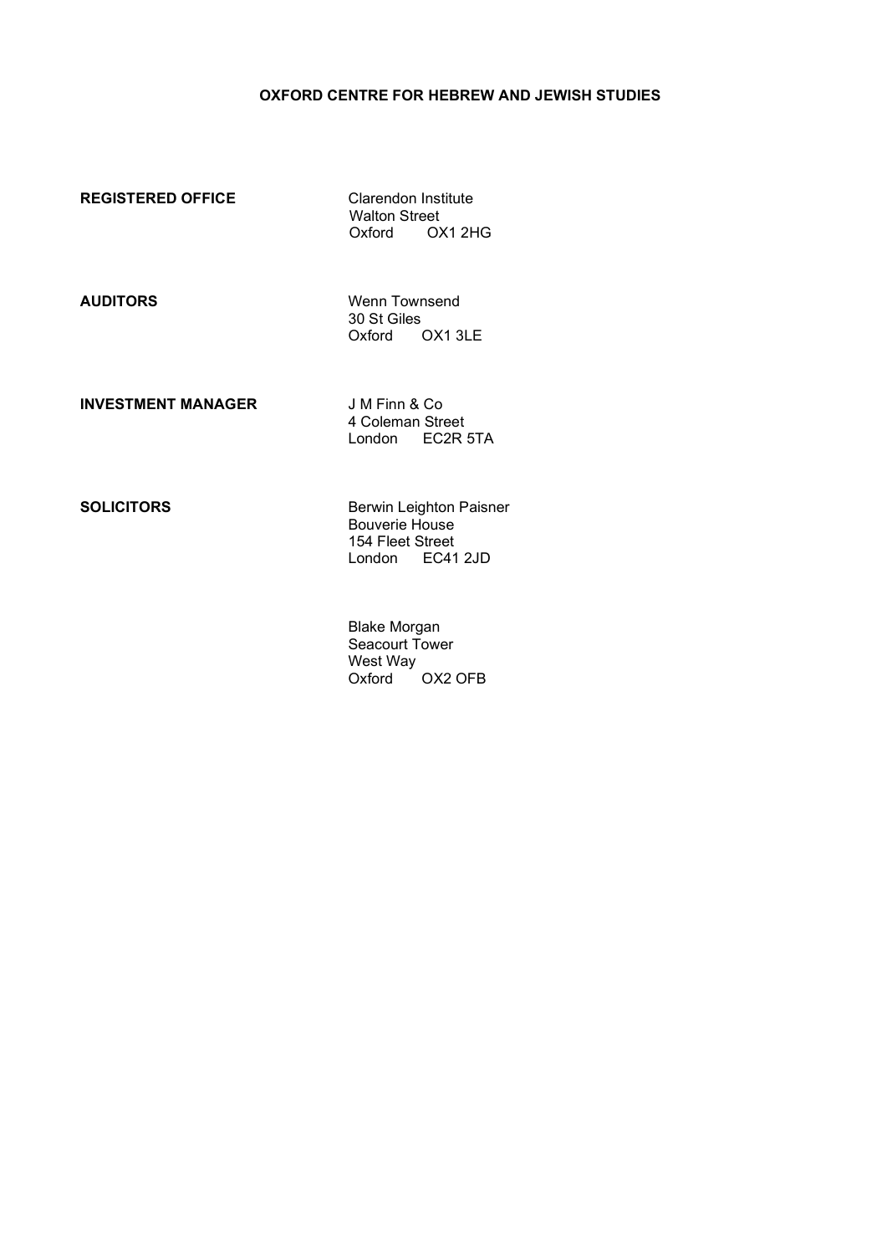REGISTERED OFFICE Clarendon Institute

 Walton Street Oxford OX1 2HG

AUDITORS Wenn Townsend 30 St Giles Oxford OX1 3LE

INVESTMENT MANAGER JM Finn & Co

 4 Coleman Street London EC2R 5TA

SOLICITORS **Berwin Leighton Paisner**  Bouverie House 154 Fleet Street London EC41 2JD

 Blake Morgan **Seacourt Tower** Seacourt Tower **Example 2018** West Way Oxford OX2 OFB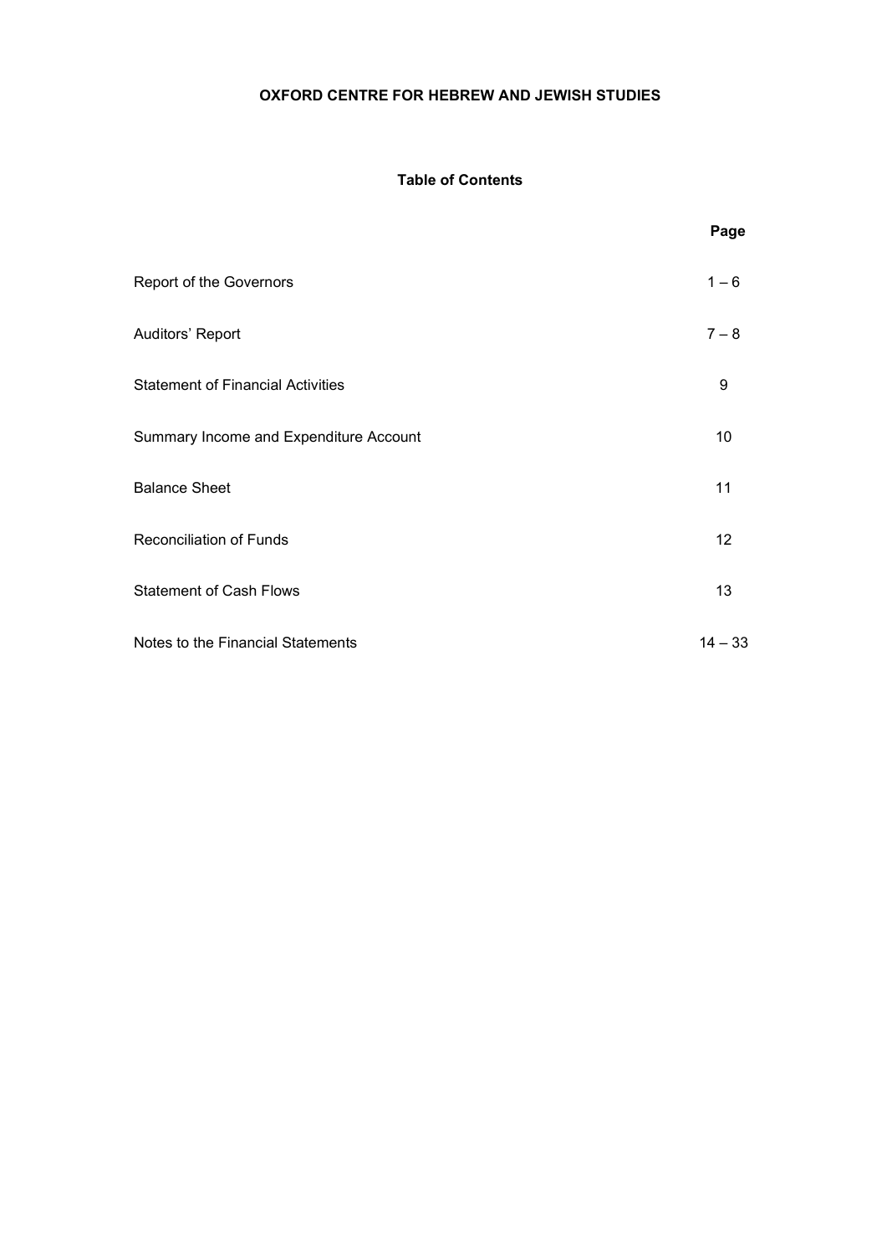# Table of Contents

|                                          | Page      |
|------------------------------------------|-----------|
| Report of the Governors                  | $1 - 6$   |
| Auditors' Report                         | $7 - 8$   |
| <b>Statement of Financial Activities</b> | 9         |
| Summary Income and Expenditure Account   | 10        |
| <b>Balance Sheet</b>                     | 11        |
| <b>Reconciliation of Funds</b>           | 12        |
| <b>Statement of Cash Flows</b>           | 13        |
| Notes to the Financial Statements        | $14 - 33$ |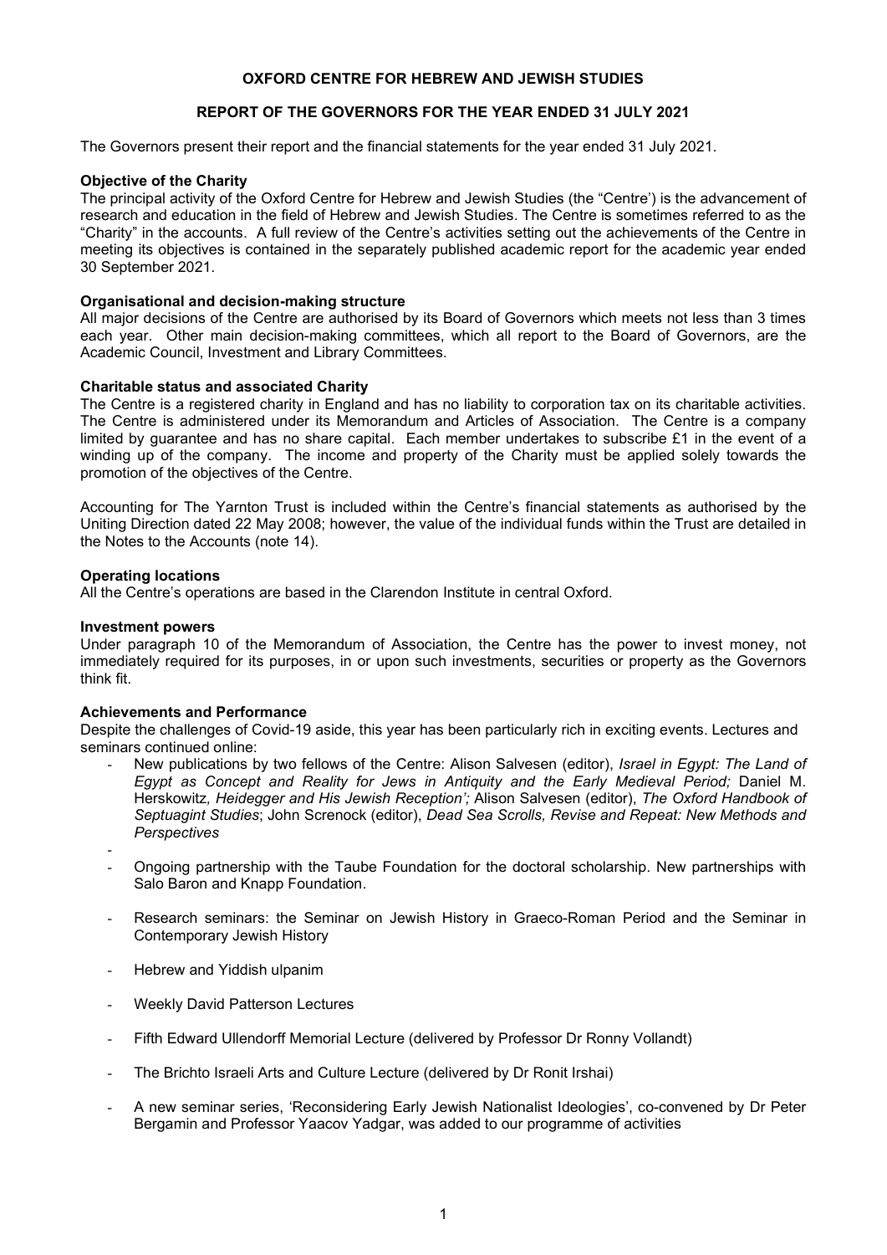# REPORT OF THE GOVERNORS FOR THE YEAR ENDED 31 JULY 2021

The Governors present their report and the financial statements for the year ended 31 July 2021.

# Objective of the Charity

The principal activity of the Oxford Centre for Hebrew and Jewish Studies (the "Centre') is the advancement of research and education in the field of Hebrew and Jewish Studies. The Centre is sometimes referred to as the "Charity" in the accounts. A full review of the Centre's activities setting out the achievements of the Centre in meeting its objectives is contained in the separately published academic report for the academic year ended 30 September 2021.

# Organisational and decision-making structure

All major decisions of the Centre are authorised by its Board of Governors which meets not less than 3 times each year. Other main decision-making committees, which all report to the Board of Governors, are the Academic Council, Investment and Library Committees.

# Charitable status and associated Charity

The Centre is a registered charity in England and has no liability to corporation tax on its charitable activities. The Centre is administered under its Memorandum and Articles of Association. The Centre is a company limited by quarantee and has no share capital. Each member undertakes to subscribe  $£1$  in the event of a winding up of the company. The income and property of the Charity must be applied solely towards the promotion of the objectives of the Centre.

Accounting for The Yarnton Trust is included within the Centre's financial statements as authorised by the Uniting Direction dated 22 May 2008; however, the value of the individual funds within the Trust are detailed in the Notes to the Accounts (note 14).

## Operating locations

All the Centre's operations are based in the Clarendon Institute in central Oxford.

# Investment powers

Under paragraph 10 of the Memorandum of Association, the Centre has the power to invest money, not immediately required for its purposes, in or upon such investments, securities or property as the Governors think fit.

# Achievements and Performance

Despite the challenges of Covid-19 aside, this year has been particularly rich in exciting events. Lectures and seminars continued online:

- New publications by two fellows of the Centre: Alison Salvesen (editor), Israel in Egypt: The Land of Egypt as Concept and Reality for Jews in Antiquity and the Early Medieval Period; Daniel M. Herskowitz, Heidegger and His Jewish Reception'; Alison Salvesen (editor), The Oxford Handbook of Septuagint Studies; John Screnock (editor), Dead Sea Scrolls, Revise and Repeat: New Methods and **Perspectives**
- - Ongoing partnership with the Taube Foundation for the doctoral scholarship. New partnerships with Salo Baron and Knapp Foundation.
- Research seminars: the Seminar on Jewish History in Graeco-Roman Period and the Seminar in Contemporary Jewish History
- Hebrew and Yiddish ulpanim
- Weekly David Patterson Lectures
- Fifth Edward Ullendorff Memorial Lecture (delivered by Professor Dr Ronny Vollandt)
- The Brichto Israeli Arts and Culture Lecture (delivered by Dr Ronit Irshai)
- A new seminar series, 'Reconsidering Early Jewish Nationalist Ideologies', co-convened by Dr Peter Bergamin and Professor Yaacov Yadgar, was added to our programme of activities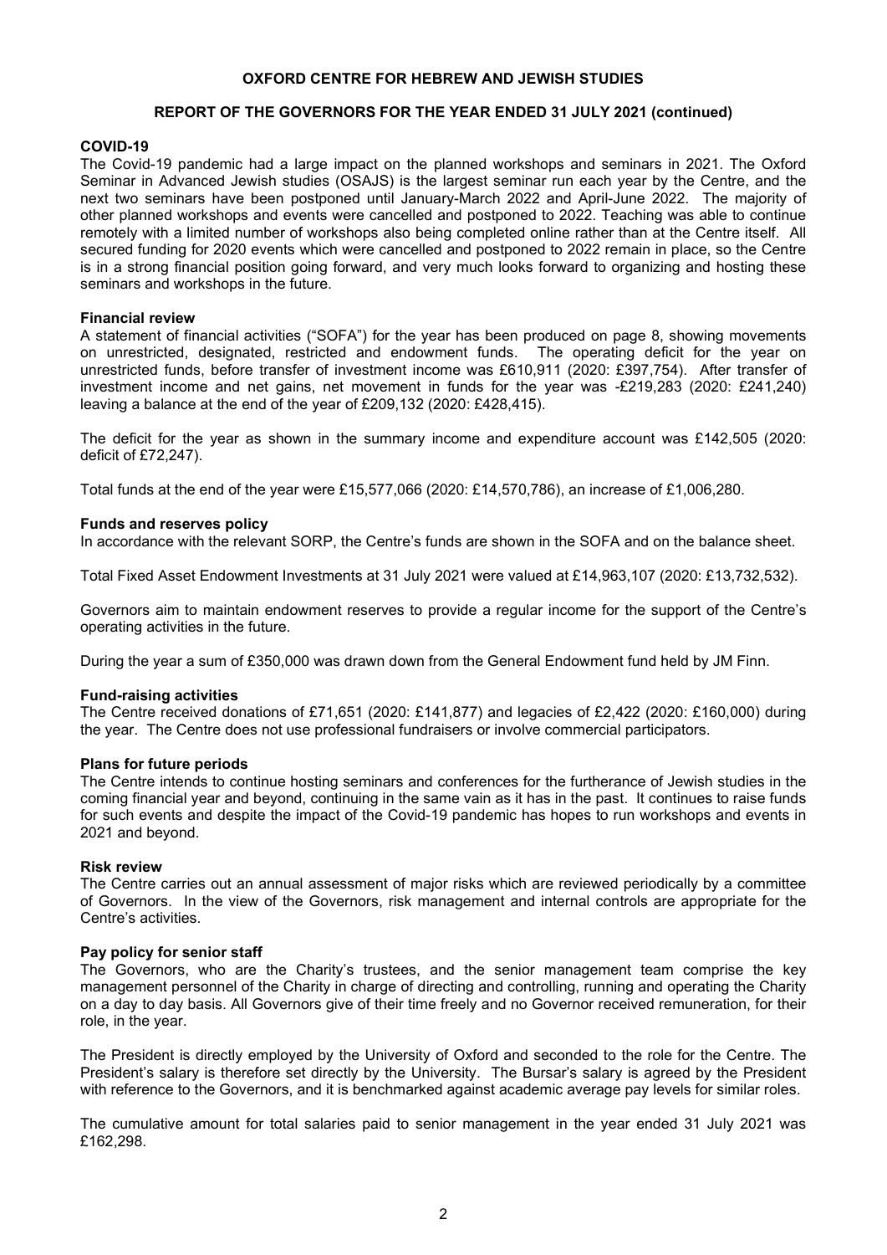## REPORT OF THE GOVERNORS FOR THE YEAR ENDED 31 JULY 2021 (continued)

## COVID-19

The Covid-19 pandemic had a large impact on the planned workshops and seminars in 2021. The Oxford Seminar in Advanced Jewish studies (OSAJS) is the largest seminar run each year by the Centre, and the next two seminars have been postponed until January-March 2022 and April-June 2022. The majority of other planned workshops and events were cancelled and postponed to 2022. Teaching was able to continue remotely with a limited number of workshops also being completed online rather than at the Centre itself. All secured funding for 2020 events which were cancelled and postponed to 2022 remain in place, so the Centre is in a strong financial position going forward, and very much looks forward to organizing and hosting these seminars and workshops in the future.

## Financial review

A statement of financial activities ("SOFA") for the year has been produced on page 8, showing movements on unrestricted, designated, restricted and endowment funds. The operating deficit for the year on unrestricted funds, before transfer of investment income was £610,911 (2020: £397,754). After transfer of investment income and net gains, net movement in funds for the year was -£219,283 (2020: £241,240) leaving a balance at the end of the year of £209,132 (2020: £428,415).

The deficit for the year as shown in the summary income and expenditure account was £142,505 (2020: deficit of £72,247).

Total funds at the end of the year were £15,577,066 (2020: £14,570,786), an increase of £1,006,280.

## Funds and reserves policy

In accordance with the relevant SORP, the Centre's funds are shown in the SOFA and on the balance sheet.

Total Fixed Asset Endowment Investments at 31 July 2021 were valued at £14,963,107 (2020: £13,732,532).

Governors aim to maintain endowment reserves to provide a regular income for the support of the Centre's operating activities in the future.

During the year a sum of £350,000 was drawn down from the General Endowment fund held by JM Finn.

#### Fund-raising activities

The Centre received donations of £71,651 (2020: £141,877) and legacies of £2,422 (2020: £160,000) during the year. The Centre does not use professional fundraisers or involve commercial participators.

## Plans for future periods

The Centre intends to continue hosting seminars and conferences for the furtherance of Jewish studies in the coming financial year and beyond, continuing in the same vain as it has in the past. It continues to raise funds for such events and despite the impact of the Covid-19 pandemic has hopes to run workshops and events in 2021 and beyond.

#### Risk review

The Centre carries out an annual assessment of major risks which are reviewed periodically by a committee of Governors. In the view of the Governors, risk management and internal controls are appropriate for the Centre's activities.

## Pay policy for senior staff

The Governors, who are the Charity's trustees, and the senior management team comprise the key management personnel of the Charity in charge of directing and controlling, running and operating the Charity on a day to day basis. All Governors give of their time freely and no Governor received remuneration, for their role, in the year.

The President is directly employed by the University of Oxford and seconded to the role for the Centre. The President's salary is therefore set directly by the University. The Bursar's salary is agreed by the President with reference to the Governors, and it is benchmarked against academic average pay levels for similar roles.

The cumulative amount for total salaries paid to senior management in the year ended 31 July 2021 was £162.298.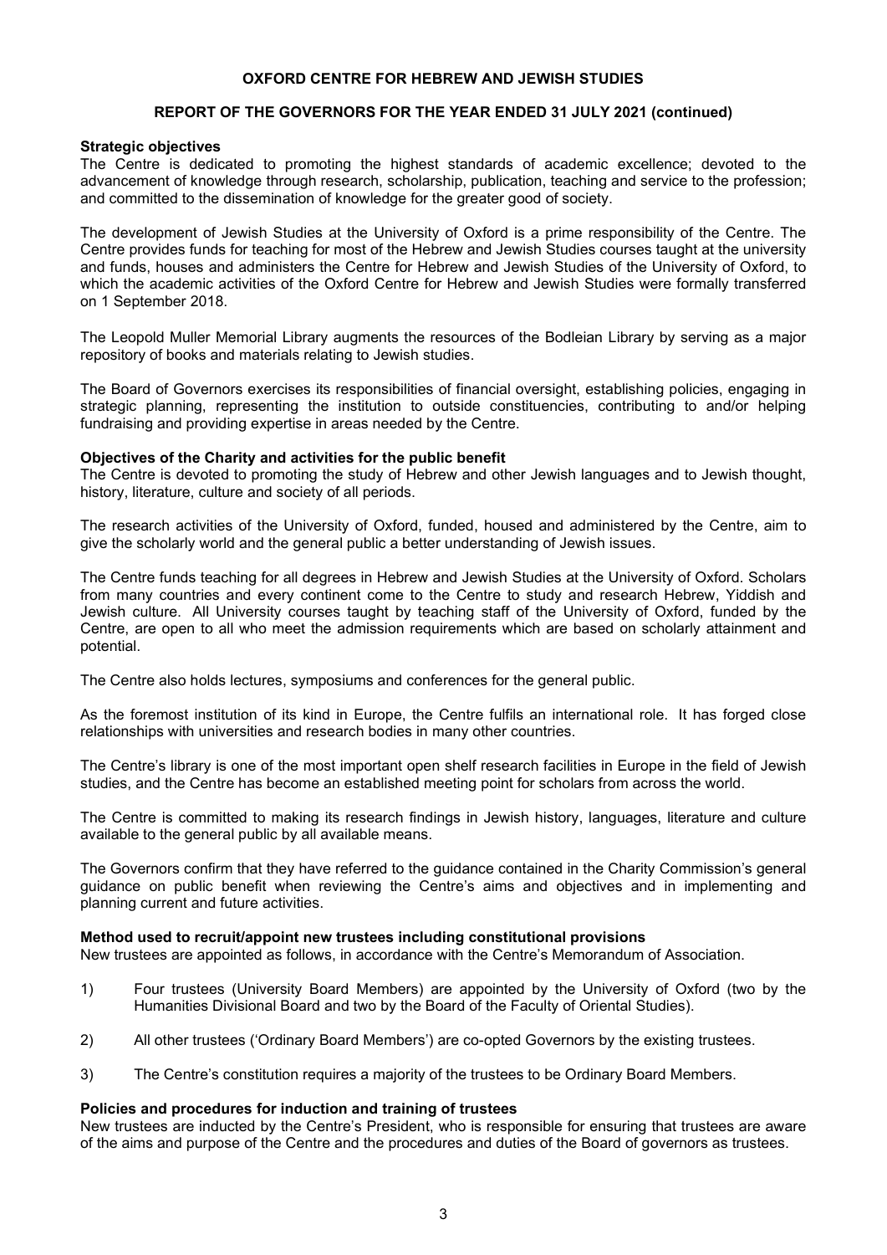## REPORT OF THE GOVERNORS FOR THE YEAR ENDED 31 JULY 2021 (continued)

## Strategic objectives

The Centre is dedicated to promoting the highest standards of academic excellence; devoted to the advancement of knowledge through research, scholarship, publication, teaching and service to the profession; and committed to the dissemination of knowledge for the greater good of society.

The development of Jewish Studies at the University of Oxford is a prime responsibility of the Centre. The Centre provides funds for teaching for most of the Hebrew and Jewish Studies courses taught at the university and funds, houses and administers the Centre for Hebrew and Jewish Studies of the University of Oxford, to which the academic activities of the Oxford Centre for Hebrew and Jewish Studies were formally transferred on 1 September 2018.

The Leopold Muller Memorial Library augments the resources of the Bodleian Library by serving as a major repository of books and materials relating to Jewish studies.

The Board of Governors exercises its responsibilities of financial oversight, establishing policies, engaging in strategic planning, representing the institution to outside constituencies, contributing to and/or helping fundraising and providing expertise in areas needed by the Centre.

## Objectives of the Charity and activities for the public benefit

The Centre is devoted to promoting the study of Hebrew and other Jewish languages and to Jewish thought, history, literature, culture and society of all periods.

The research activities of the University of Oxford, funded, housed and administered by the Centre, aim to give the scholarly world and the general public a better understanding of Jewish issues.

The Centre funds teaching for all degrees in Hebrew and Jewish Studies at the University of Oxford. Scholars from many countries and every continent come to the Centre to study and research Hebrew, Yiddish and Jewish culture. All University courses taught by teaching staff of the University of Oxford, funded by the Centre, are open to all who meet the admission requirements which are based on scholarly attainment and potential.

The Centre also holds lectures, symposiums and conferences for the general public.

As the foremost institution of its kind in Europe, the Centre fulfils an international role. It has forged close relationships with universities and research bodies in many other countries.

The Centre's library is one of the most important open shelf research facilities in Europe in the field of Jewish studies, and the Centre has become an established meeting point for scholars from across the world.

The Centre is committed to making its research findings in Jewish history, languages, literature and culture available to the general public by all available means.

The Governors confirm that they have referred to the guidance contained in the Charity Commission's general guidance on public benefit when reviewing the Centre's aims and objectives and in implementing and planning current and future activities.

## Method used to recruit/appoint new trustees including constitutional provisions

New trustees are appointed as follows, in accordance with the Centre's Memorandum of Association.

- 1) Four trustees (University Board Members) are appointed by the University of Oxford (two by the Humanities Divisional Board and two by the Board of the Faculty of Oriental Studies).
- 2) All other trustees ('Ordinary Board Members') are co-opted Governors by the existing trustees.
- 3) The Centre's constitution requires a majority of the trustees to be Ordinary Board Members.

## Policies and procedures for induction and training of trustees

New trustees are inducted by the Centre's President, who is responsible for ensuring that trustees are aware of the aims and purpose of the Centre and the procedures and duties of the Board of governors as trustees.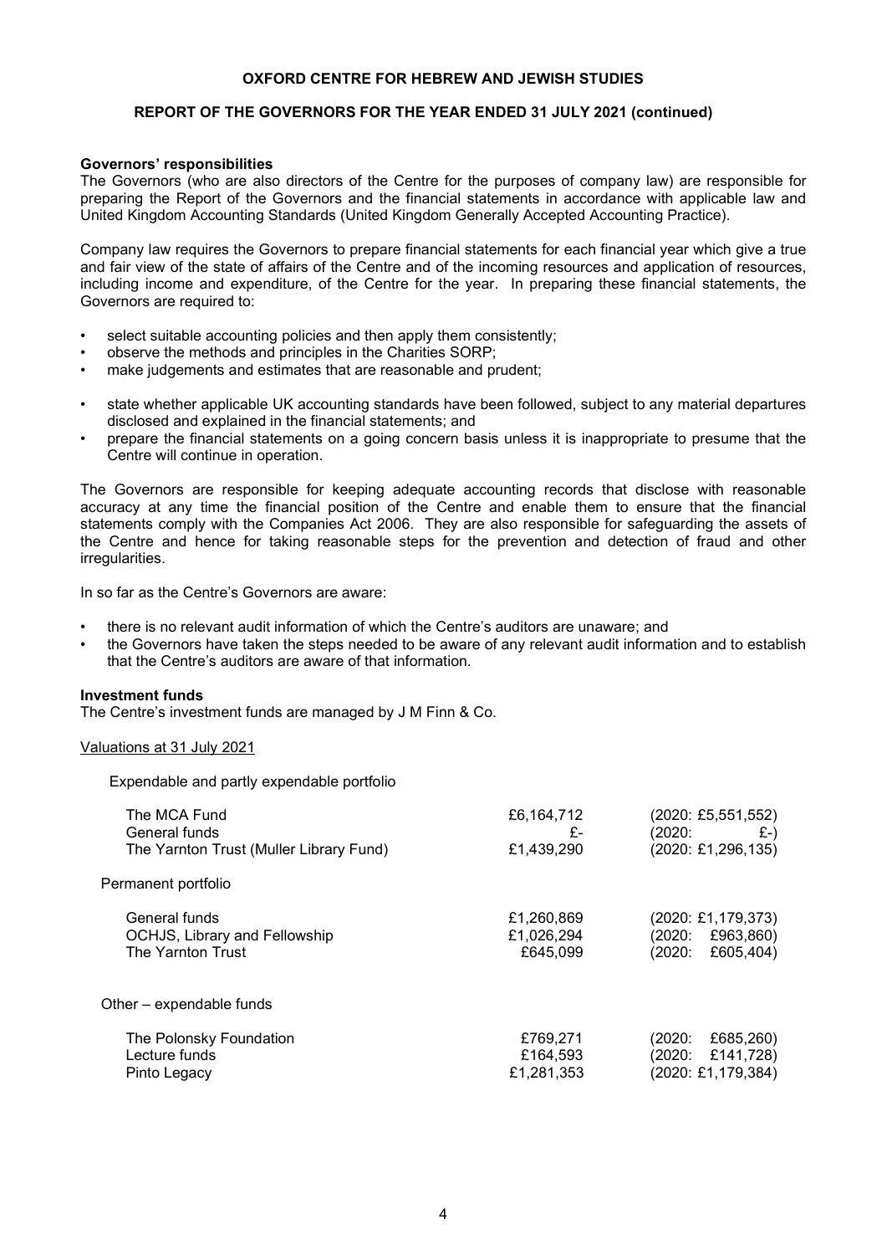# REPORT OF THE GOVERNORS FOR THE YEAR ENDED 31 JULY 2021 (continued)

## Governors' responsibilities

The Governors (who are also directors of the Centre for the purposes of company law) are responsible for preparing the Report of the Governors and the financial statements in accordance with applicable law and United Kingdom Accounting Standards (United Kingdom Generally Accepted Accounting Practice).

Company law requires the Governors to prepare financial statements for each financial year which give a true and fair view of the state of affairs of the Centre and of the incoming resources and application of resources, including income and expenditure, of the Centre for the year. In preparing these financial statements, the Governors are required to:

- select suitable accounting policies and then apply them consistently;
- observe the methods and principles in the Charities SORP;
- make judgements and estimates that are reasonable and prudent;
- state whether applicable UK accounting standards have been followed, subject to any material departures disclosed and explained in the financial statements; and
- prepare the financial statements on a going concern basis unless it is inappropriate to presume that the Centre will continue in operation.

The Governors are responsible for keeping adequate accounting records that disclose with reasonable accuracy at any time the financial position of the Centre and enable them to ensure that the financial statements comply with the Companies Act 2006. They are also responsible for safeguarding the assets of the Centre and hence for taking reasonable steps for the prevention and detection of fraud and other irregularities.

In so far as the Centre's Governors are aware:

- there is no relevant audit information of which the Centre's auditors are unaware; and
- the Governors have taken the steps needed to be aware of any relevant audit information and to establish that the Centre's auditors are aware of that information.

## Investment funds

The Centre's investment funds are managed by J M Finn & Co.

## Valuations at 31 July 2021

Expendable and partly expendable portfolio

| The MCA Fund<br>General funds<br>The Yarnton Trust (Muller Library Fund)   | £6,164,712<br>£-<br>£1,439,290       | $(2020: \text{\textsterling}5, 551, 552)$<br>$(2020)$ :<br>£-)<br>(2020: £1,296,135) |
|----------------------------------------------------------------------------|--------------------------------------|--------------------------------------------------------------------------------------|
| Permanent portfolio                                                        |                                      |                                                                                      |
| General funds<br><b>OCHJS, Library and Fellowship</b><br>The Yarnton Trust | £1,260,869<br>£1,026,294<br>£645,099 | (2020: £1,179,373)<br>£963,860)<br>(2020:<br>£605,404)<br>(2020)                     |
| Other – expendable funds                                                   |                                      |                                                                                      |
| The Polonsky Foundation<br>Lecture funds<br>Pinto Legacy                   | £769,271<br>£164,593<br>£1,281,353   | (2020)<br>£685,260)<br>$(2020: \quad \text{\pounds}141,728)$<br>(2020: £1,179,384)   |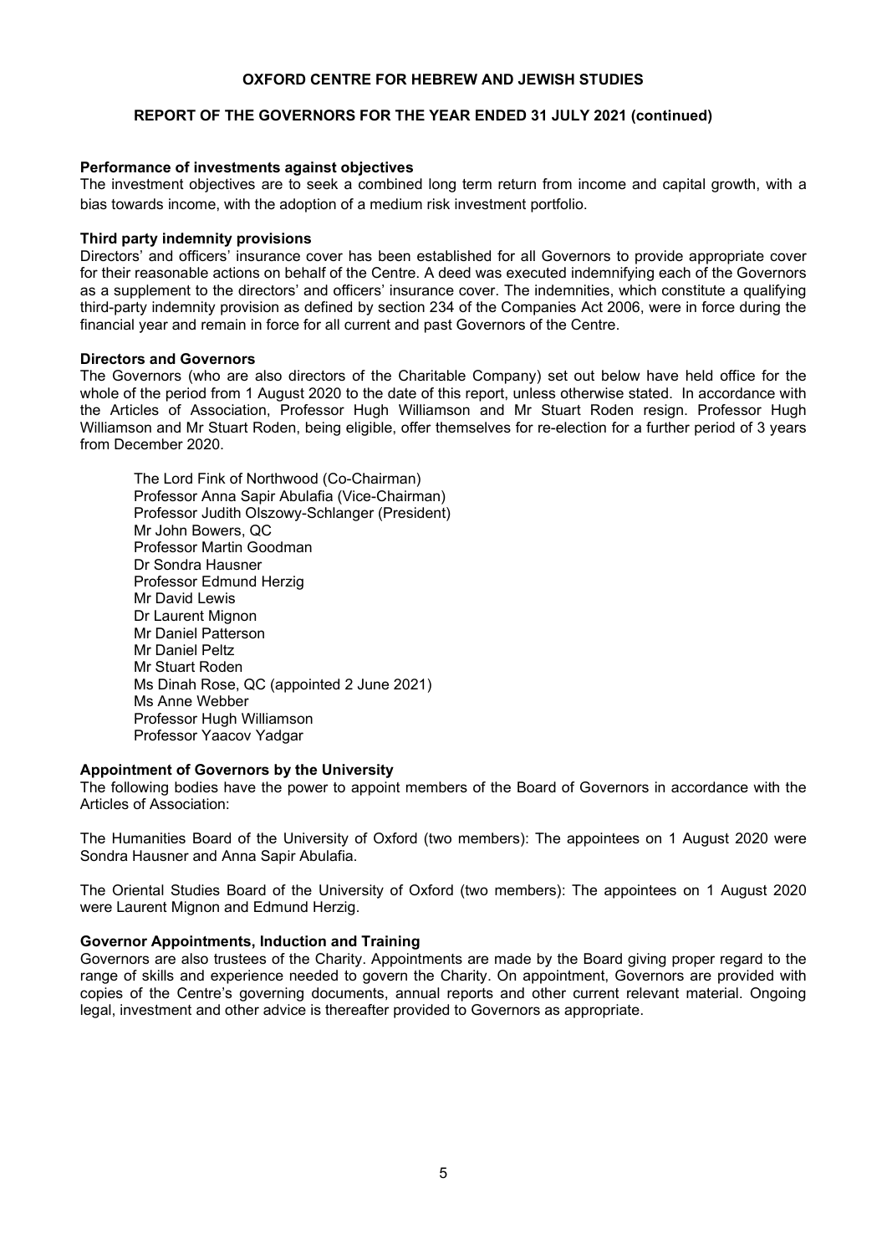# REPORT OF THE GOVERNORS FOR THE YEAR ENDED 31 JULY 2021 (continued)

## Performance of investments against objectives

The investment objectives are to seek a combined long term return from income and capital growth, with a bias towards income, with the adoption of a medium risk investment portfolio.

# Third party indemnity provisions

Directors' and officers' insurance cover has been established for all Governors to provide appropriate cover for their reasonable actions on behalf of the Centre. A deed was executed indemnifying each of the Governors as a supplement to the directors' and officers' insurance cover. The indemnities, which constitute a qualifying third-party indemnity provision as defined by section 234 of the Companies Act 2006, were in force during the financial year and remain in force for all current and past Governors of the Centre.

## Directors and Governors

The Governors (who are also directors of the Charitable Company) set out below have held office for the whole of the period from 1 August 2020 to the date of this report, unless otherwise stated. In accordance with the Articles of Association, Professor Hugh Williamson and Mr Stuart Roden resign. Professor Hugh Williamson and Mr Stuart Roden, being eligible, offer themselves for re-election for a further period of 3 years from December 2020.

The Lord Fink of Northwood (Co-Chairman) Professor Anna Sapir Abulafia (Vice-Chairman) Professor Judith Olszowy-Schlanger (President) Mr John Bowers, QC Professor Martin Goodman Dr Sondra Hausner Professor Edmund Herzig Mr David Lewis Dr Laurent Mignon Mr Daniel Patterson Mr Daniel Peltz Mr Stuart Roden Ms Dinah Rose, QC (appointed 2 June 2021) Ms Anne Webber Professor Hugh Williamson Professor Yaacov Yadgar

# Appointment of Governors by the University

The following bodies have the power to appoint members of the Board of Governors in accordance with the Articles of Association:

The Humanities Board of the University of Oxford (two members): The appointees on 1 August 2020 were Sondra Hausner and Anna Sapir Abulafia.

The Oriental Studies Board of the University of Oxford (two members): The appointees on 1 August 2020 were Laurent Mignon and Edmund Herzig.

## Governor Appointments, Induction and Training

Governors are also trustees of the Charity. Appointments are made by the Board giving proper regard to the range of skills and experience needed to govern the Charity. On appointment, Governors are provided with copies of the Centre's governing documents, annual reports and other current relevant material. Ongoing legal, investment and other advice is thereafter provided to Governors as appropriate.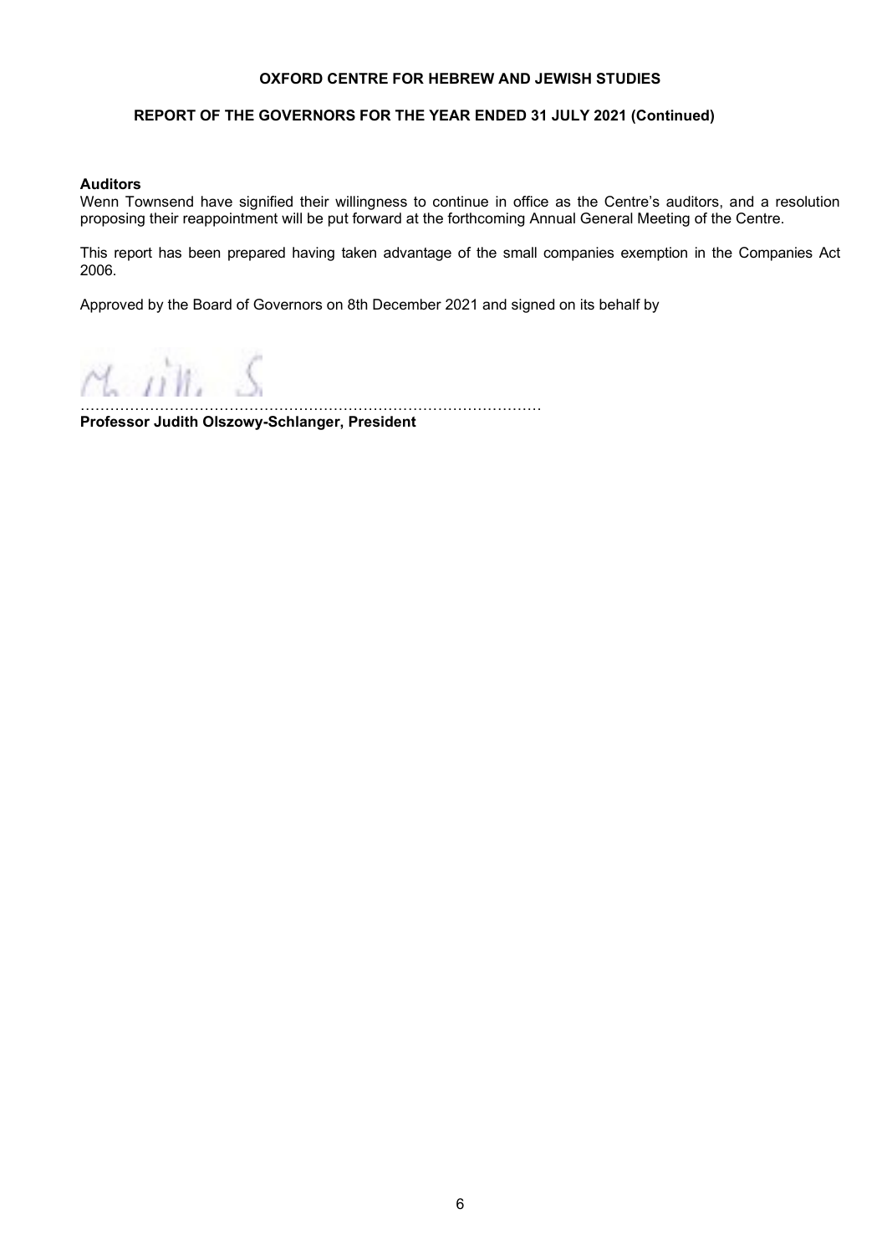# REPORT OF THE GOVERNORS FOR THE YEAR ENDED 31 JULY 2021 (Continued)

## Auditors

Wenn Townsend have signified their willingness to continue in office as the Centre's auditors, and a resolution proposing their reappointment will be put forward at the forthcoming Annual General Meeting of the Centre.

This report has been prepared having taken advantage of the small companies exemption in the Companies Act 2006.

Approved by the Board of Governors on 8th December 2021 and signed on its behalf by

…………………………………………………………………………………

Professor Judith Olszowy-Schlanger, President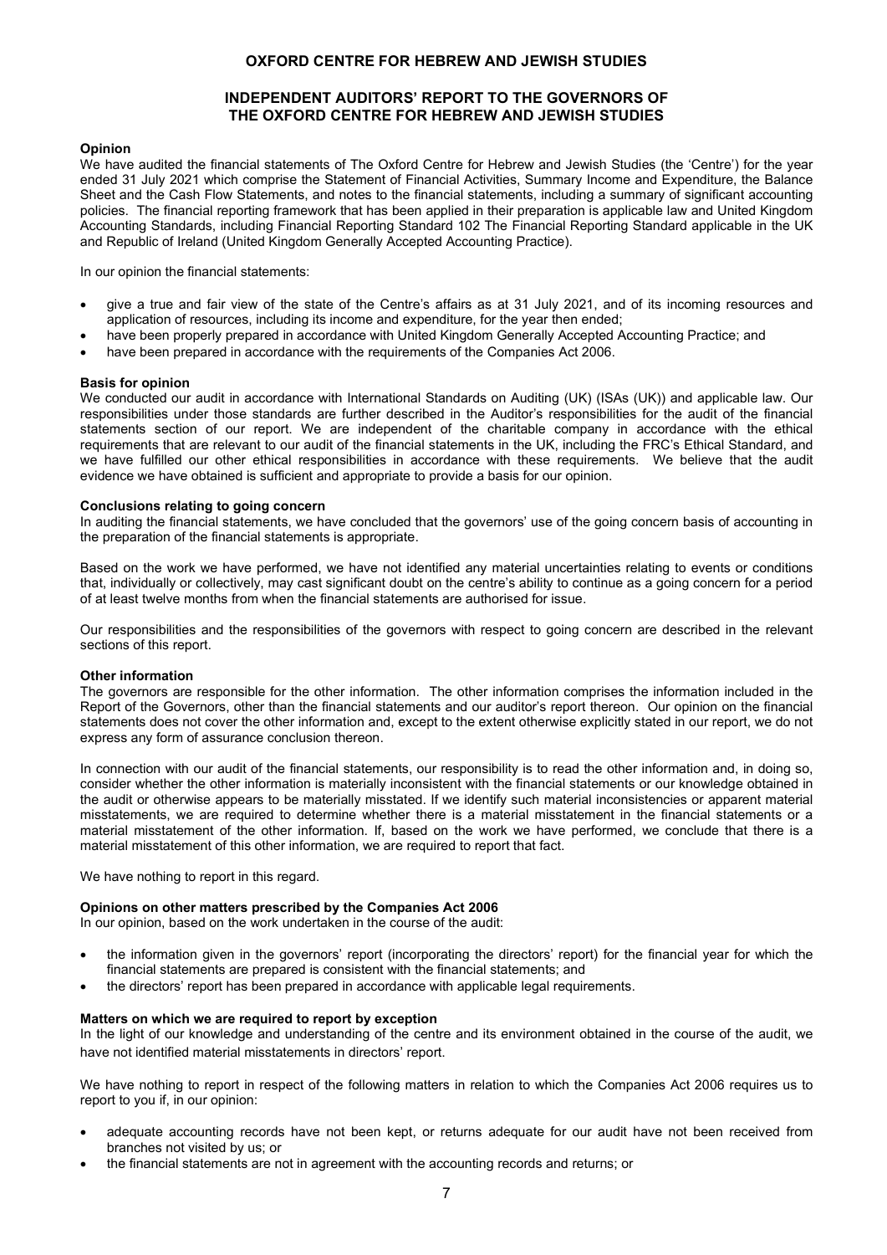## INDEPENDENT AUDITORS' REPORT TO THE GOVERNORS OF THE OXFORD CENTRE FOR HEBREW AND JEWISH STUDIES

## Opinion

We have audited the financial statements of The Oxford Centre for Hebrew and Jewish Studies (the 'Centre') for the year ended 31 July 2021 which comprise the Statement of Financial Activities, Summary Income and Expenditure, the Balance Sheet and the Cash Flow Statements, and notes to the financial statements, including a summary of significant accounting policies. The financial reporting framework that has been applied in their preparation is applicable law and United Kingdom Accounting Standards, including Financial Reporting Standard 102 The Financial Reporting Standard applicable in the UK and Republic of Ireland (United Kingdom Generally Accepted Accounting Practice).

In our opinion the financial statements:

- give a true and fair view of the state of the Centre's affairs as at 31 July 2021, and of its incoming resources and application of resources, including its income and expenditure, for the year then ended;
- have been properly prepared in accordance with United Kingdom Generally Accepted Accounting Practice; and
- have been prepared in accordance with the requirements of the Companies Act 2006.

#### Basis for opinion

We conducted our audit in accordance with International Standards on Auditing (UK) (ISAs (UK)) and applicable law. Our responsibilities under those standards are further described in the Auditor's responsibilities for the audit of the financial statements section of our report. We are independent of the charitable company in accordance with the ethical requirements that are relevant to our audit of the financial statements in the UK, including the FRC's Ethical Standard, and we have fulfilled our other ethical responsibilities in accordance with these requirements. We believe that the audit evidence we have obtained is sufficient and appropriate to provide a basis for our opinion.

## Conclusions relating to going concern

In auditing the financial statements, we have concluded that the governors' use of the going concern basis of accounting in the preparation of the financial statements is appropriate.

Based on the work we have performed, we have not identified any material uncertainties relating to events or conditions that, individually or collectively, may cast significant doubt on the centre's ability to continue as a going concern for a period of at least twelve months from when the financial statements are authorised for issue.

Our responsibilities and the responsibilities of the governors with respect to going concern are described in the relevant sections of this report.

#### Other information

The governors are responsible for the other information. The other information comprises the information included in the Report of the Governors, other than the financial statements and our auditor's report thereon. Our opinion on the financial statements does not cover the other information and, except to the extent otherwise explicitly stated in our report, we do not express any form of assurance conclusion thereon.

In connection with our audit of the financial statements, our responsibility is to read the other information and, in doing so, consider whether the other information is materially inconsistent with the financial statements or our knowledge obtained in the audit or otherwise appears to be materially misstated. If we identify such material inconsistencies or apparent material misstatements, we are required to determine whether there is a material misstatement in the financial statements or a material misstatement of the other information. If, based on the work we have performed, we conclude that there is a material misstatement of this other information, we are required to report that fact.

We have nothing to report in this regard.

#### Opinions on other matters prescribed by the Companies Act 2006

In our opinion, based on the work undertaken in the course of the audit:

- the information given in the governors' report (incorporating the directors' report) for the financial year for which the financial statements are prepared is consistent with the financial statements; and
- the directors' report has been prepared in accordance with applicable legal requirements.

#### Matters on which we are required to report by exception

In the light of our knowledge and understanding of the centre and its environment obtained in the course of the audit, we have not identified material misstatements in directors' report.

We have nothing to report in respect of the following matters in relation to which the Companies Act 2006 requires us to report to you if, in our opinion:

- adequate accounting records have not been kept, or returns adequate for our audit have not been received from branches not visited by us; or
- the financial statements are not in agreement with the accounting records and returns; or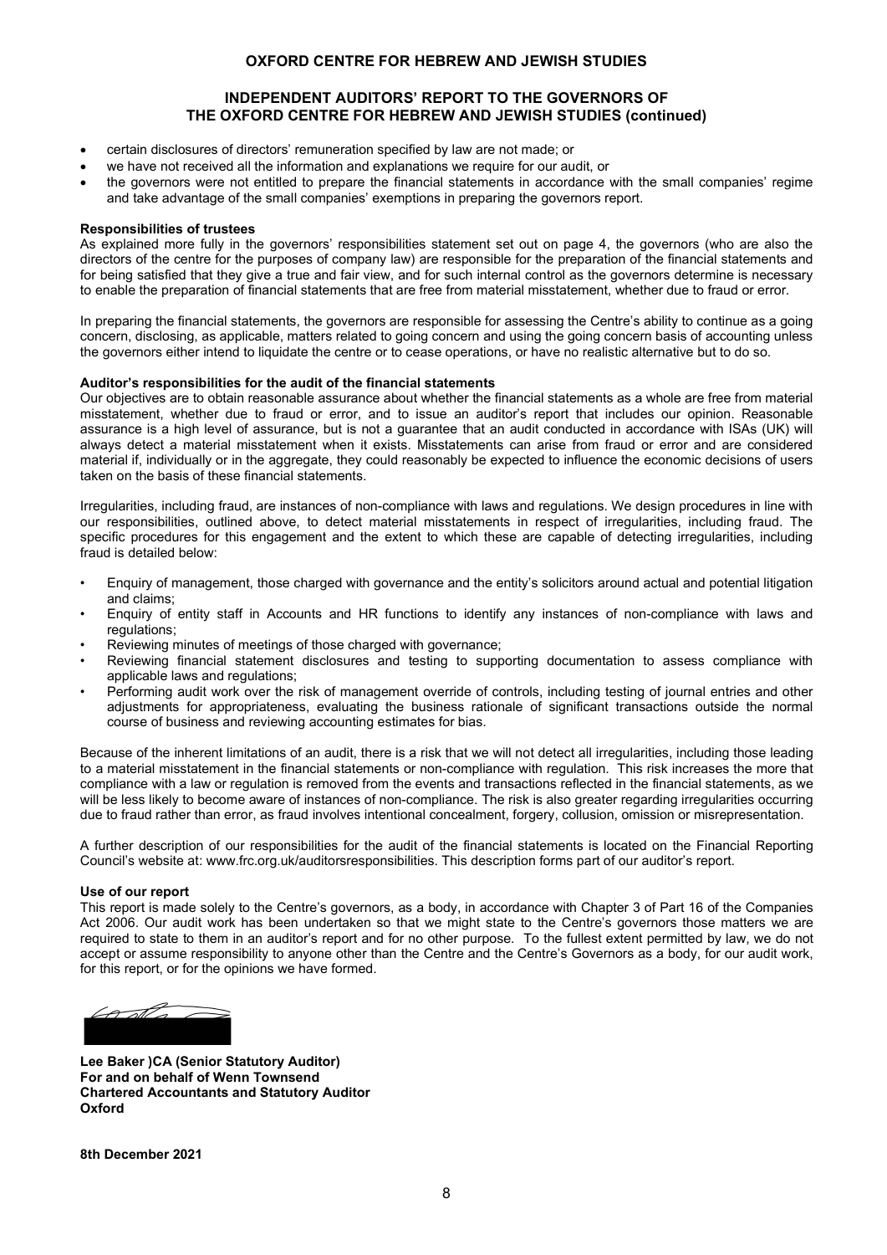## INDEPENDENT AUDITORS' REPORT TO THE GOVERNORS OF THE OXFORD CENTRE FOR HEBREW AND JEWISH STUDIES (continued)

- certain disclosures of directors' remuneration specified by law are not made; or
- we have not received all the information and explanations we require for our audit, or
- the governors were not entitled to prepare the financial statements in accordance with the small companies' regime and take advantage of the small companies' exemptions in preparing the governors report.

#### Responsibilities of trustees

As explained more fully in the governors' responsibilities statement set out on page 4, the governors (who are also the directors of the centre for the purposes of company law) are responsible for the preparation of the financial statements and for being satisfied that they give a true and fair view, and for such internal control as the governors determine is necessary to enable the preparation of financial statements that are free from material misstatement, whether due to fraud or error.

In preparing the financial statements, the governors are responsible for assessing the Centre's ability to continue as a going concern, disclosing, as applicable, matters related to going concern and using the going concern basis of accounting unless the governors either intend to liquidate the centre or to cease operations, or have no realistic alternative but to do so.

#### Auditor's responsibilities for the audit of the financial statements

Our objectives are to obtain reasonable assurance about whether the financial statements as a whole are free from material misstatement, whether due to fraud or error, and to issue an auditor's report that includes our opinion. Reasonable assurance is a high level of assurance, but is not a guarantee that an audit conducted in accordance with ISAs (UK) will always detect a material misstatement when it exists. Misstatements can arise from fraud or error and are considered material if, individually or in the aggregate, they could reasonably be expected to influence the economic decisions of users taken on the basis of these financial statements.

Irregularities, including fraud, are instances of non-compliance with laws and regulations. We design procedures in line with our responsibilities, outlined above, to detect material misstatements in respect of irregularities, including fraud. The specific procedures for this engagement and the extent to which these are capable of detecting irregularities, including fraud is detailed below:

- Enquiry of management, those charged with governance and the entity's solicitors around actual and potential litigation and claims;
- Enquiry of entity staff in Accounts and HR functions to identify any instances of non-compliance with laws and regulations;
- Reviewing minutes of meetings of those charged with governance;
- Reviewing financial statement disclosures and testing to supporting documentation to assess compliance with applicable laws and regulations;
- Performing audit work over the risk of management override of controls, including testing of journal entries and other adjustments for appropriateness, evaluating the business rationale of significant transactions outside the normal course of business and reviewing accounting estimates for bias.

Because of the inherent limitations of an audit, there is a risk that we will not detect all irregularities, including those leading to a material misstatement in the financial statements or non-compliance with regulation. This risk increases the more that compliance with a law or regulation is removed from the events and transactions reflected in the financial statements, as we will be less likely to become aware of instances of non-compliance. The risk is also greater regarding irregularities occurring due to fraud rather than error, as fraud involves intentional concealment, forgery, collusion, omission or misrepresentation.

A further description of our responsibilities for the audit of the financial statements is located on the Financial Reporting Council's website at: www.frc.org.uk/auditorsresponsibilities. This description forms part of our auditor's report.

#### Use of our report

This report is made solely to the Centre's governors, as a body, in accordance with Chapter 3 of Part 16 of the Companies Act 2006. Our audit work has been undertaken so that we might state to the Centre's governors those matters we are required to state to them in an auditor's report and for no other purpose. To the fullest extent permitted by law, we do not accept or assume responsibility to anyone other than the Centre and the Centre's Governors as a body, for our audit work, for this report, or for the opinions we have formed.



Lee Baker FCA (Senior Statutory Auditor) For and on behalf of Wenn Townsend Chartered Accountants and Statutory Auditor **Oxford** 

8th December 2021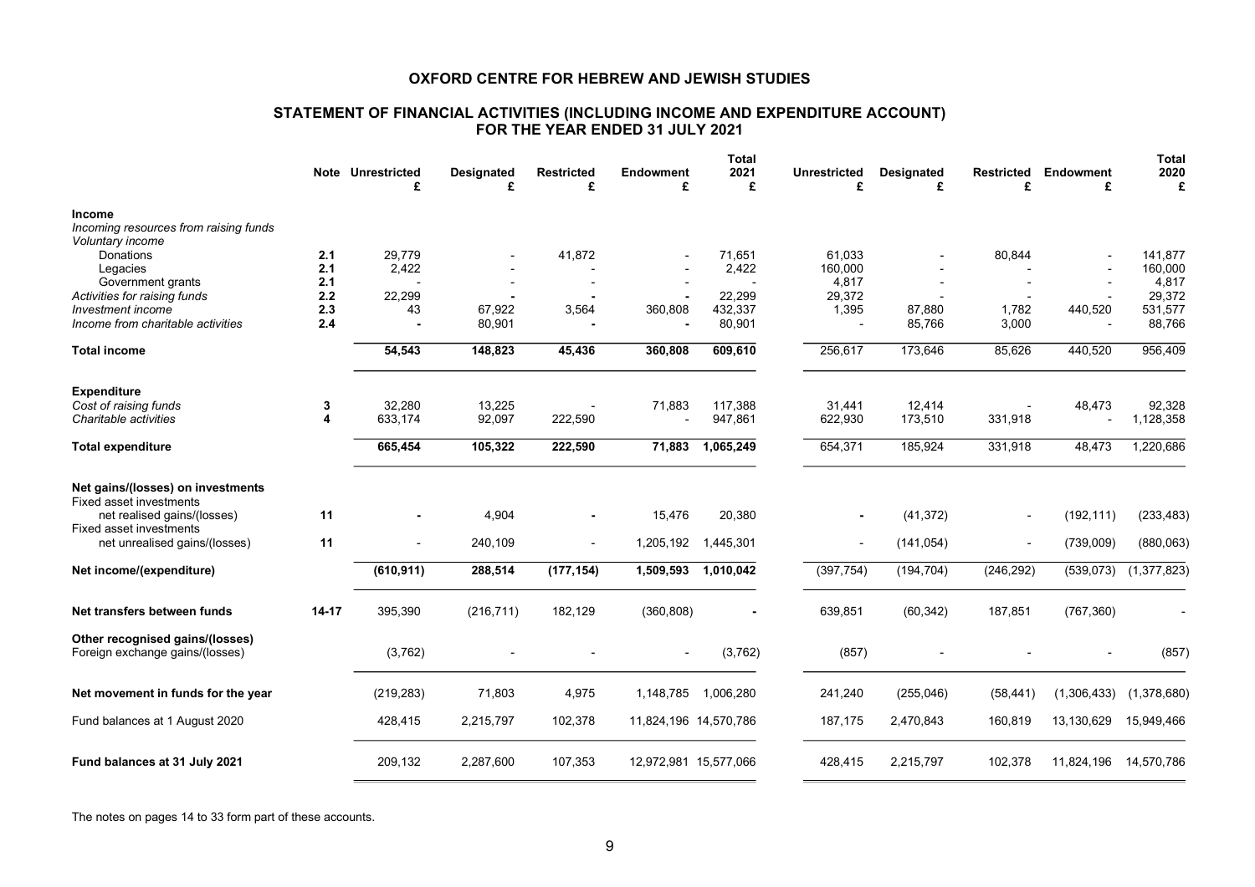#### STATEMENT OF FINANCIAL ACTIVITIES (INCLUDING INCOME AND EXPENDITURE ACCOUNT) FOR THE YEAR ENDED 31 JULY 2021

|                                                                                        |                   | Note Unrestricted<br>£ | <b>Designated</b><br>£ | <b>Restricted</b><br>£ | Endowment<br>£        | <b>Total</b><br>2021<br>£   | <b>Unrestricted</b> | £                          | <b>Designated</b><br>£ | <b>Restricted</b><br>£ | <b>Endowment</b><br>£ | <b>Total</b><br>2020<br>£   |
|----------------------------------------------------------------------------------------|-------------------|------------------------|------------------------|------------------------|-----------------------|-----------------------------|---------------------|----------------------------|------------------------|------------------------|-----------------------|-----------------------------|
| <b>Income</b><br>Incoming resources from raising funds                                 |                   |                        |                        |                        |                       |                             |                     |                            |                        |                        |                       |                             |
| Voluntary income<br>Donations<br>Legacies<br>Government grants                         | 2.1<br>2.1<br>2.1 | 29,779<br>2,422        |                        | 41,872                 |                       | 71,651<br>2,422             |                     | 61,033<br>160,000<br>4,817 |                        | 80,844                 |                       | 141,877<br>160,000<br>4,817 |
| Activities for raising funds<br>Investment income<br>Income from charitable activities | 2.2<br>2.3<br>2.4 | 22,299<br>43           | 67,922<br>80,901       | 3,564                  | 360,808               | 22,299<br>432,337<br>80,901 |                     | 29,372<br>1,395            | 87,880<br>85,766       | 1,782<br>3,000         | 440,520               | 29,372<br>531,577<br>88,766 |
| <b>Total income</b>                                                                    |                   | 54,543                 | 148,823                | 45,436                 | 360,808               | 609,610                     |                     | 256,617                    | 173,646                | 85,626                 | 440,520               | 956,409                     |
| <b>Expenditure</b><br>Cost of raising funds<br>Charitable activities                   | 3<br>4            | 32,280<br>633,174      | 13,225<br>92,097       | 222,590                | 71,883                | 117,388<br>947,861          |                     | 31,441<br>622,930          | 12,414<br>173,510      | 331,918                | 48,473                | 92,328<br>1,128,358         |
| <b>Total expenditure</b>                                                               |                   | 665,454                | 105,322                | 222,590                | 71,883                | 1,065,249                   |                     | 654,371                    | 185,924                | 331,918                | 48,473                | 1,220,686                   |
| Net gains/(losses) on investments<br>Fixed asset investments                           |                   |                        |                        |                        |                       |                             |                     |                            |                        |                        |                       |                             |
| net realised gains/(losses)<br>Fixed asset investments                                 | 11                |                        | 4,904                  |                        | 15,476                | 20,380                      |                     | $\blacksquare$             | (41, 372)              |                        | (192, 111)            | (233, 483)                  |
| net unrealised gains/(losses)                                                          | 11                | ٠                      | 240,109                |                        | 1,205,192             | 1,445,301                   |                     | $\blacksquare$             | (141, 054)             |                        | (739,009)             | (880,063)                   |
| Net income/(expenditure)                                                               |                   | (610, 911)             | 288,514                | (177, 154)             | 1,509,593             | 1,010,042                   |                     | (397, 754)                 | (194, 704)             | (246, 292)             | (539, 073)            | (1, 377, 823)               |
| Net transfers between funds                                                            | $14 - 17$         | 395,390                | (216, 711)             | 182,129                | (360, 808)            |                             |                     | 639,851                    | (60, 342)              | 187,851                | (767, 360)            |                             |
| Other recognised gains/(losses)<br>Foreign exchange gains/(losses)                     |                   | (3,762)                |                        |                        |                       | (3,762)                     |                     | (857)                      |                        |                        |                       | (857)                       |
| Net movement in funds for the year                                                     |                   | (219, 283)             | 71,803                 | 4,975                  | 1,148,785             | 1,006,280                   |                     | 241,240                    | (255, 046)             | (58, 441)              | (1,306,433)           | (1,378,680)                 |
| Fund balances at 1 August 2020                                                         |                   | 428,415                | 2,215,797              | 102,378                | 11,824,196 14,570,786 |                             |                     | 187,175                    | 2,470,843              | 160,819                | 13,130,629            | 15,949,466                  |
| Fund balances at 31 July 2021                                                          |                   | 209,132                | 2,287,600              | 107,353                | 12,972,981 15,577,066 |                             |                     | 428,415                    | 2,215,797              | 102,378                | 11,824,196            | 14,570,786                  |

The notes on pages 14 to 33 form part of these accounts.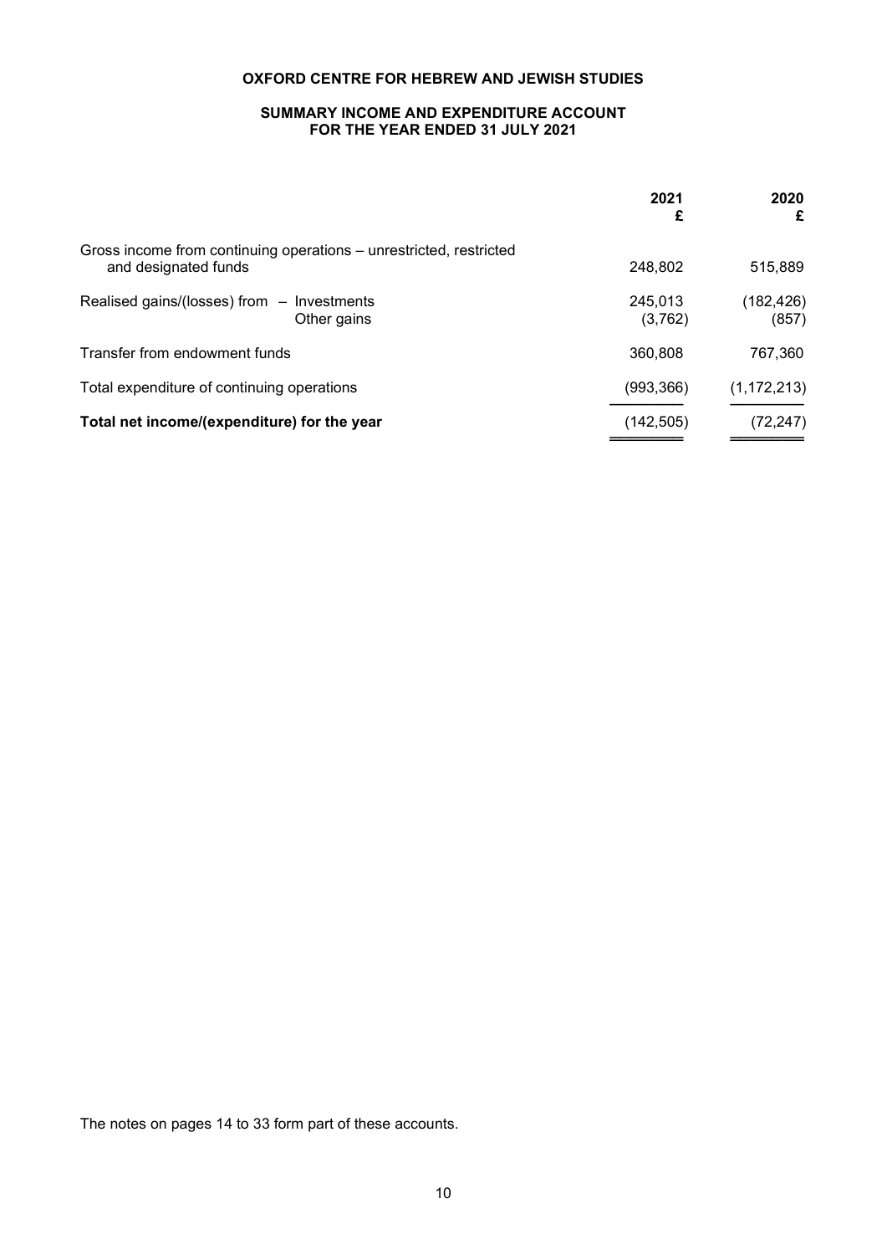# SUMMARY INCOME AND EXPENDITURE ACCOUNT FOR THE YEAR ENDED 31 JULY 2021

|                                                                                            | 2021<br>£          | 2020<br>£           |
|--------------------------------------------------------------------------------------------|--------------------|---------------------|
| Gross income from continuing operations – unrestricted, restricted<br>and designated funds | 248.802            | 515,889             |
| Realised gains/(losses) from $-$ Investments<br>Other gains                                | 245,013<br>(3,762) | (182, 426)<br>(857) |
| Transfer from endowment funds                                                              | 360,808            | 767,360             |
| Total expenditure of continuing operations                                                 | (993, 366)         | (1, 172, 213)       |
| Total net income/(expenditure) for the year                                                | (142,505)          | (72, 247)           |

The notes on pages 14 to 33 form part of these accounts.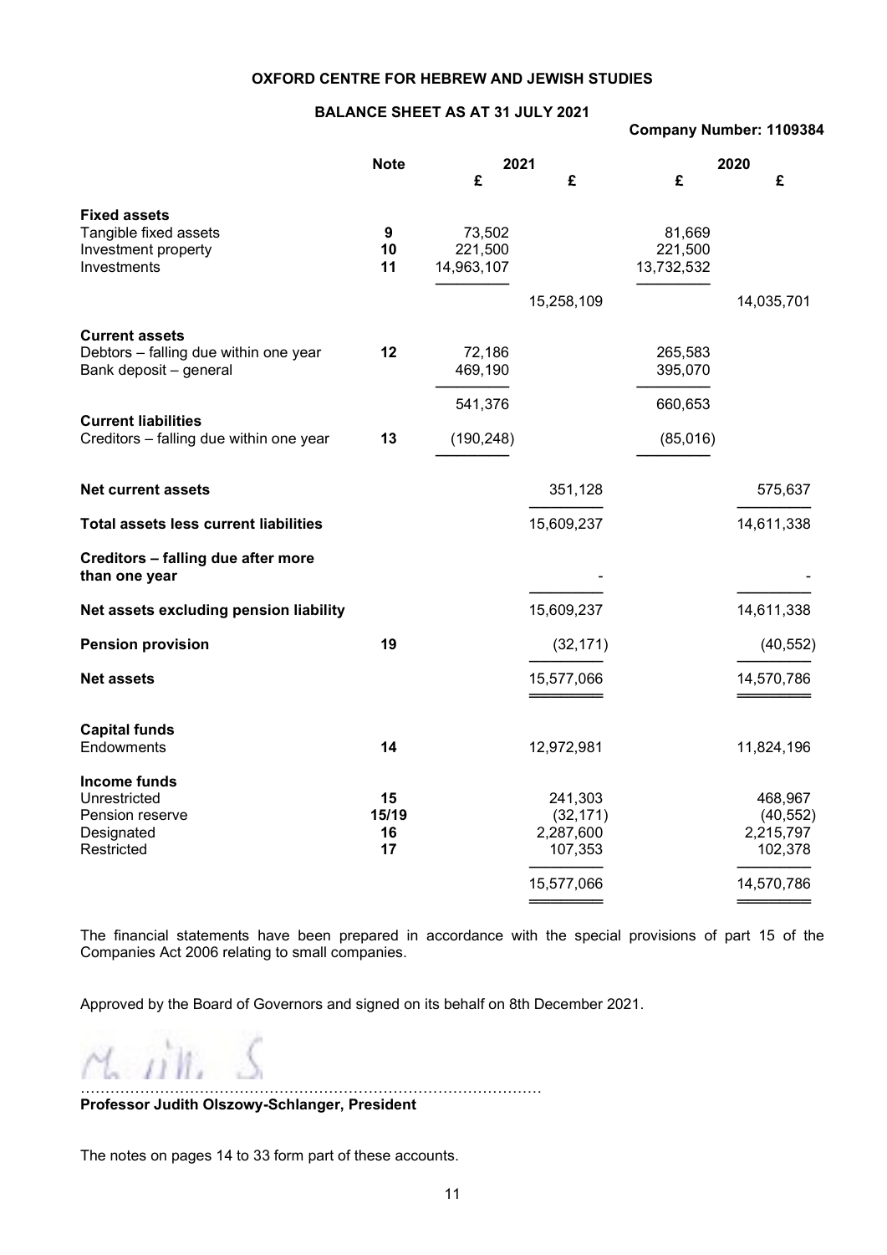# BALANCE SHEET AS AT 31 JULY 2021

Company Number: 1109384

|                                              | <b>Note</b> | 2021       |            |            | 2020       |
|----------------------------------------------|-------------|------------|------------|------------|------------|
|                                              |             | £          | £          | £          | £          |
| <b>Fixed assets</b>                          |             |            |            |            |            |
| Tangible fixed assets                        | 9           | 73,502     |            | 81,669     |            |
| Investment property                          | 10          | 221,500    |            | 221,500    |            |
| Investments                                  | 11          | 14,963,107 |            | 13,732,532 |            |
|                                              |             |            |            |            |            |
|                                              |             |            | 15,258,109 |            | 14,035,701 |
| <b>Current assets</b>                        |             |            |            |            |            |
| Debtors - falling due within one year        | 12          | 72,186     |            | 265,583    |            |
| Bank deposit - general                       |             | 469,190    |            | 395,070    |            |
|                                              |             |            |            |            |            |
|                                              |             | 541,376    |            | 660,653    |            |
| <b>Current liabilities</b>                   |             |            |            |            |            |
| Creditors - falling due within one year      | 13          | (190, 248) |            | (85,016)   |            |
|                                              |             |            |            |            |            |
| <b>Net current assets</b>                    |             |            | 351,128    |            | 575,637    |
|                                              |             |            |            |            |            |
| <b>Total assets less current liabilities</b> |             |            | 15,609,237 |            | 14,611,338 |
| Creditors - falling due after more           |             |            |            |            |            |
| than one year                                |             |            |            |            |            |
| Net assets excluding pension liability       |             |            | 15,609,237 |            | 14,611,338 |
| <b>Pension provision</b>                     | 19          |            | (32, 171)  |            | (40, 552)  |
|                                              |             |            |            |            |            |
| <b>Net assets</b>                            |             |            | 15,577,066 |            | 14,570,786 |
|                                              |             |            |            |            |            |
| <b>Capital funds</b>                         |             |            |            |            |            |
| Endowments                                   | 14          |            | 12,972,981 |            | 11,824,196 |
| <b>Income funds</b>                          |             |            |            |            |            |
| Unrestricted                                 | 15          |            | 241,303    |            | 468,967    |
| Pension reserve                              | 15/19       |            | (32, 171)  |            | (40, 552)  |
| Designated                                   | 16          |            | 2,287,600  |            | 2,215,797  |
| Restricted                                   | 17          |            | 107,353    |            | 102,378    |
|                                              |             |            |            |            |            |
|                                              |             |            | 15,577,066 |            | 14,570,786 |
|                                              |             |            |            |            |            |

The financial statements have been prepared in accordance with the special provisions of part 15 of the Companies Act 2006 relating to small companies.

Approved by the Board of Governors and signed on its behalf on 8th December 2021.

………………………………………………………………………………… Professor Judith Olszowy-Schlanger, President

The notes on pages 14 to 33 form part of these accounts.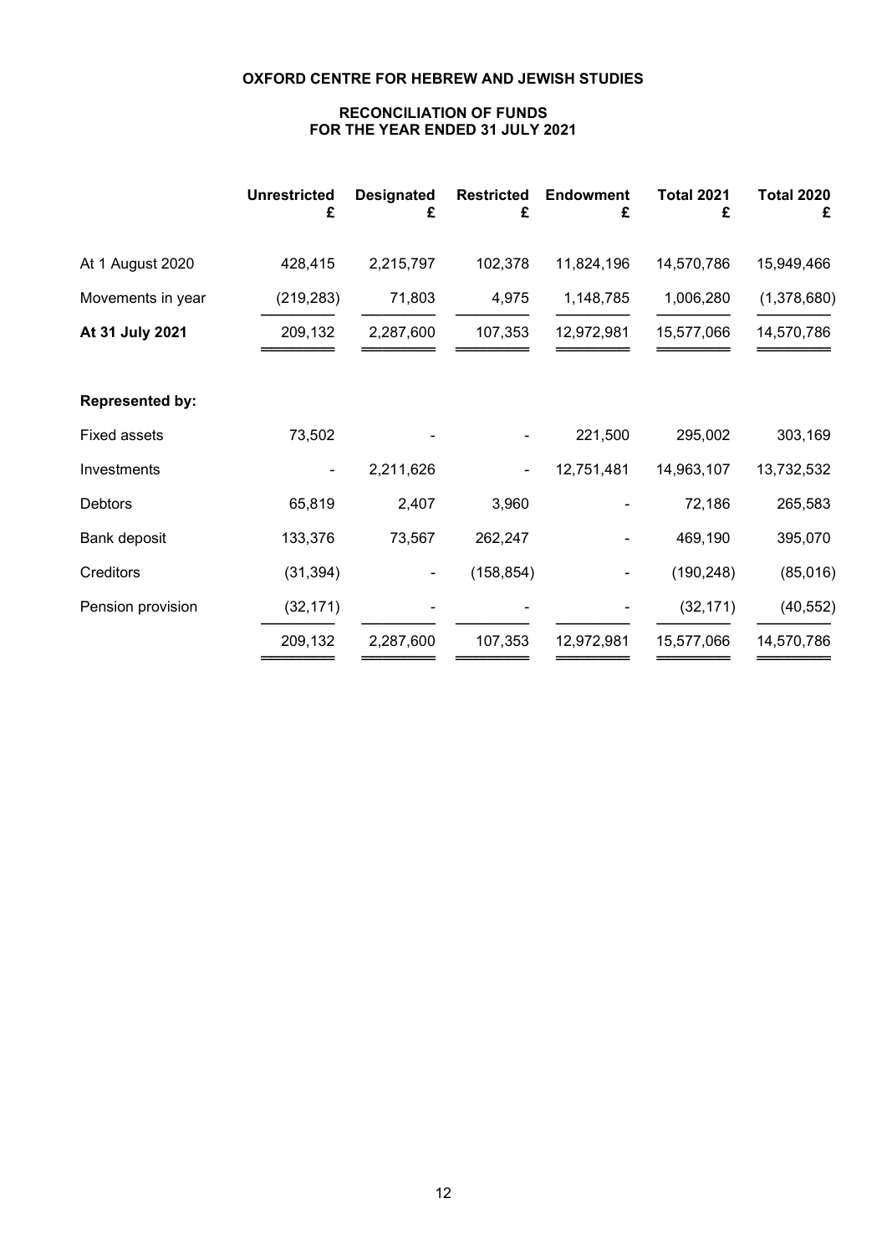# RECONCILIATION OF FUNDS FOR THE YEAR ENDED 31 JULY 2021

|                        | <b>Unrestricted</b> | <b>Designated</b><br>£ | <b>Restricted</b><br>£ | <b>Endowment</b><br>£ | <b>Total 2021</b><br>£ | <b>Total 2020</b><br>£ |
|------------------------|---------------------|------------------------|------------------------|-----------------------|------------------------|------------------------|
| At 1 August 2020       | 428,415             | 2,215,797              | 102,378                | 11,824,196            | 14,570,786             | 15,949,466             |
| Movements in year      | (219, 283)          | 71,803                 | 4,975                  | 1,148,785             | 1,006,280              | (1,378,680)            |
| At 31 July 2021        | 209,132             | 2,287,600              | 107,353                | 12,972,981            | 15,577,066             | 14,570,786             |
| <b>Represented by:</b> |                     |                        |                        |                       |                        |                        |
| <b>Fixed assets</b>    | 73,502              |                        |                        | 221,500               | 295,002                | 303,169                |
| Investments            |                     | 2,211,626              |                        | 12,751,481            | 14,963,107             | 13,732,532             |
| Debtors                | 65,819              | 2,407                  | 3,960                  |                       | 72,186                 | 265,583                |
| Bank deposit           | 133,376             | 73,567                 | 262,247                |                       | 469,190                | 395,070                |
| Creditors              | (31, 394)           |                        | (158, 854)             |                       | (190, 248)             | (85,016)               |
| Pension provision      | (32, 171)           |                        |                        |                       | (32, 171)              | (40, 552)              |
|                        | 209,132             | 2,287,600              | 107,353                | 12,972,981            | 15,577,066             | 14,570,786             |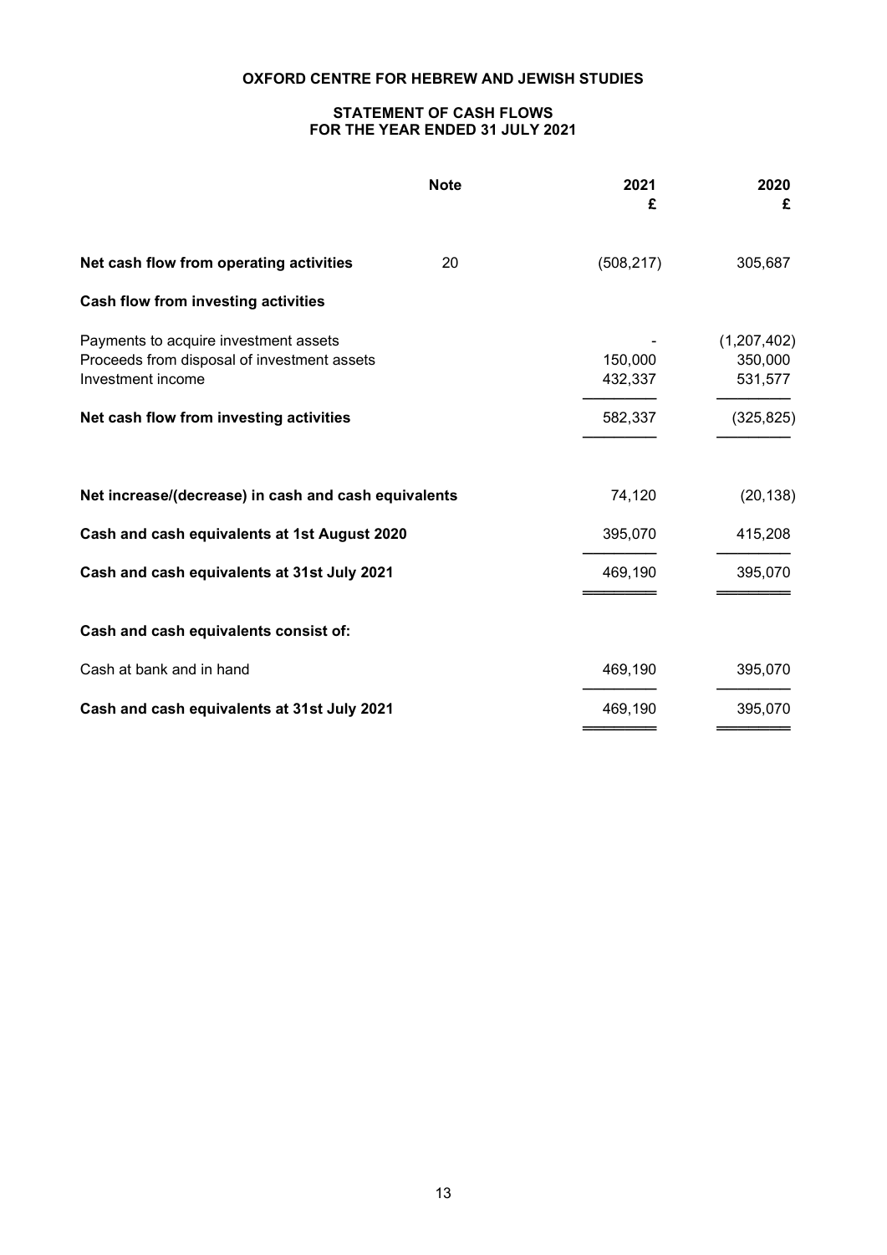# STATEMENT OF CASH FLOWS FOR THE YEAR ENDED 31 JULY 2021

|                                                                                                                                                      | <b>Note</b> | 2021<br>£                     | 2020<br>£                                       |
|------------------------------------------------------------------------------------------------------------------------------------------------------|-------------|-------------------------------|-------------------------------------------------|
| Net cash flow from operating activities                                                                                                              | 20          | (508, 217)                    | 305,687                                         |
| Cash flow from investing activities                                                                                                                  |             |                               |                                                 |
| Payments to acquire investment assets<br>Proceeds from disposal of investment assets<br>Investment income<br>Net cash flow from investing activities |             | 150,000<br>432,337<br>582,337 | (1,207,402)<br>350,000<br>531,577<br>(325, 825) |
| Net increase/(decrease) in cash and cash equivalents                                                                                                 |             | 74,120                        | (20, 138)                                       |
| Cash and cash equivalents at 1st August 2020                                                                                                         |             | 395,070                       | 415,208                                         |
| Cash and cash equivalents at 31st July 2021                                                                                                          |             | 469,190                       | 395,070                                         |
| Cash and cash equivalents consist of:                                                                                                                |             |                               |                                                 |
| Cash at bank and in hand                                                                                                                             |             | 469,190                       | 395,070                                         |
| Cash and cash equivalents at 31st July 2021                                                                                                          |             | 469,190                       | 395,070                                         |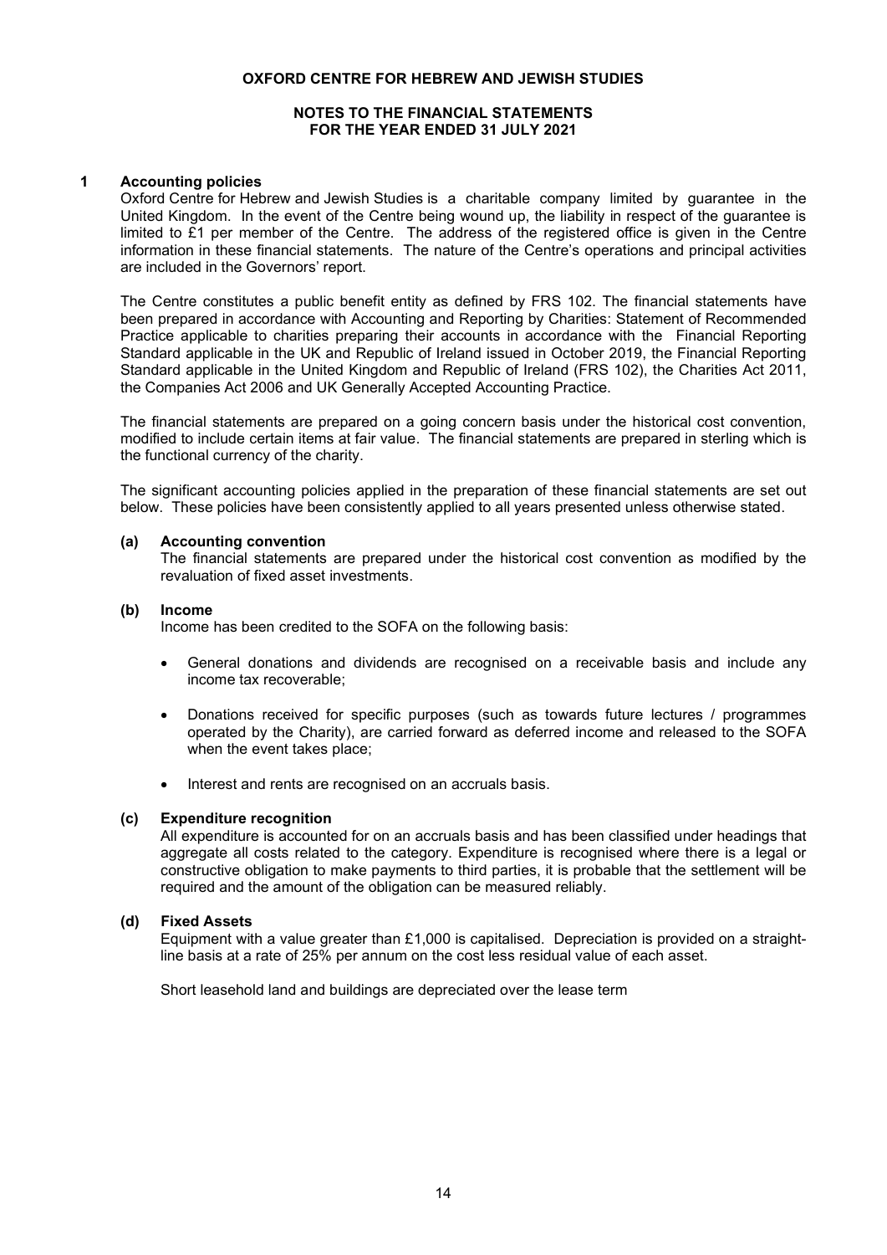## NOTES TO THE FINANCIAL STATEMENTS FOR THE YEAR ENDED 31 JULY 2021

## 1 Accounting policies

 Oxford Centre for Hebrew and Jewish Studies is a charitable company limited by guarantee in the United Kingdom. In the event of the Centre being wound up, the liability in respect of the guarantee is limited to £1 per member of the Centre. The address of the registered office is given in the Centre information in these financial statements. The nature of the Centre's operations and principal activities are included in the Governors' report.

 The Centre constitutes a public benefit entity as defined by FRS 102. The financial statements have been prepared in accordance with Accounting and Reporting by Charities: Statement of Recommended Practice applicable to charities preparing their accounts in accordance with the Financial Reporting Standard applicable in the UK and Republic of Ireland issued in October 2019, the Financial Reporting Standard applicable in the United Kingdom and Republic of Ireland (FRS 102), the Charities Act 2011, the Companies Act 2006 and UK Generally Accepted Accounting Practice.

 The financial statements are prepared on a going concern basis under the historical cost convention, modified to include certain items at fair value. The financial statements are prepared in sterling which is the functional currency of the charity.

 The significant accounting policies applied in the preparation of these financial statements are set out below. These policies have been consistently applied to all years presented unless otherwise stated.

## (a) Accounting convention

The financial statements are prepared under the historical cost convention as modified by the revaluation of fixed asset investments.

# (b) Income

Income has been credited to the SOFA on the following basis:

- General donations and dividends are recognised on a receivable basis and include any income tax recoverable;
- Donations received for specific purposes (such as towards future lectures / programmes operated by the Charity), are carried forward as deferred income and released to the SOFA when the event takes place;
- Interest and rents are recognised on an accruals basis.

## (c) Expenditure recognition

 All expenditure is accounted for on an accruals basis and has been classified under headings that aggregate all costs related to the category. Expenditure is recognised where there is a legal or constructive obligation to make payments to third parties, it is probable that the settlement will be required and the amount of the obligation can be measured reliably.

## (d) Fixed Assets

 Equipment with a value greater than £1,000 is capitalised. Depreciation is provided on a straightline basis at a rate of 25% per annum on the cost less residual value of each asset.

Short leasehold land and buildings are depreciated over the lease term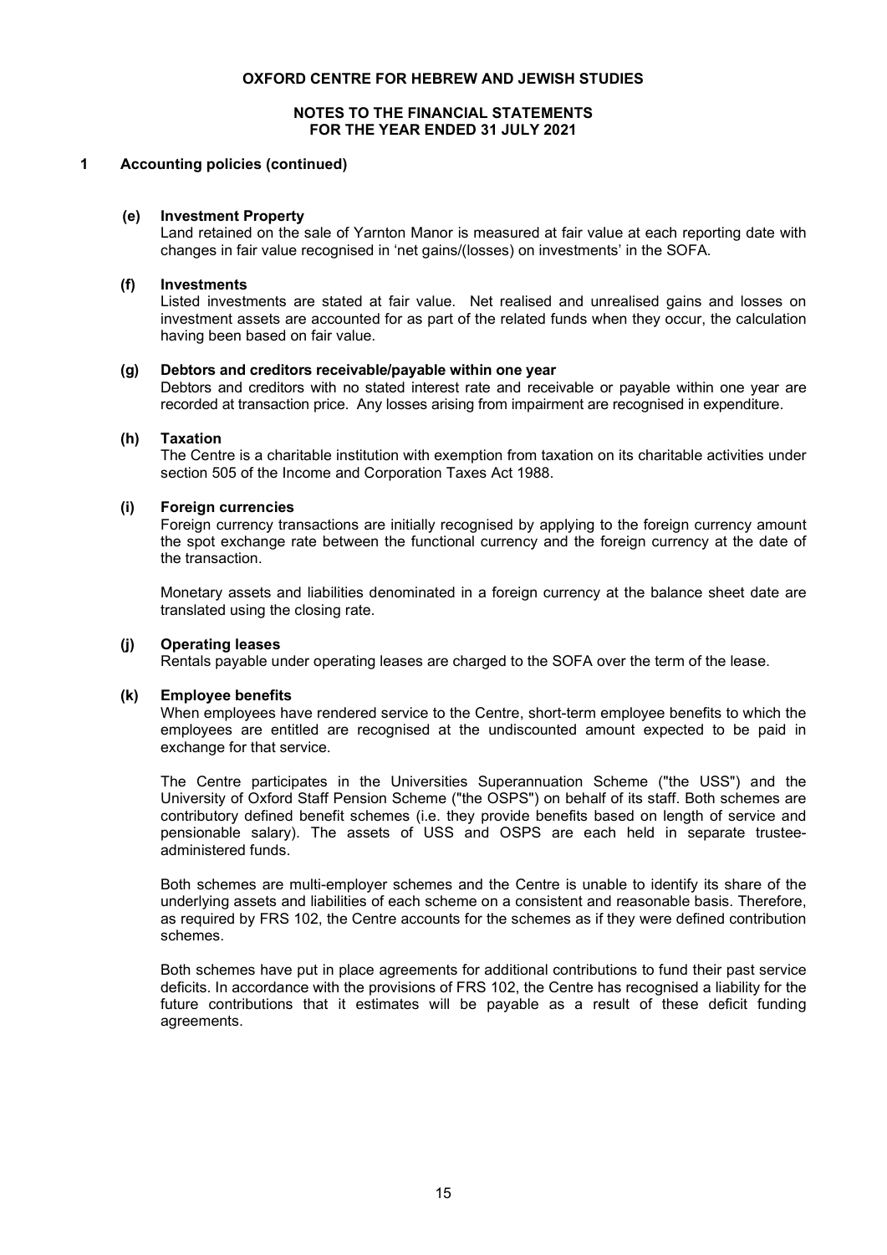## NOTES TO THE FINANCIAL STATEMENTS FOR THE YEAR ENDED 31 JULY 2021

## 1 Accounting policies (continued)

## (e) Investment Property

 Land retained on the sale of Yarnton Manor is measured at fair value at each reporting date with changes in fair value recognised in 'net gains/(losses) on investments' in the SOFA.

## (f) Investments

Listed investments are stated at fair value. Net realised and unrealised gains and losses on investment assets are accounted for as part of the related funds when they occur, the calculation having been based on fair value.

# (g) Debtors and creditors receivable/payable within one year

 Debtors and creditors with no stated interest rate and receivable or payable within one year are recorded at transaction price. Any losses arising from impairment are recognised in expenditure.

# (h) Taxation

The Centre is a charitable institution with exemption from taxation on its charitable activities under section 505 of the Income and Corporation Taxes Act 1988.

# (i) Foreign currencies

Foreign currency transactions are initially recognised by applying to the foreign currency amount the spot exchange rate between the functional currency and the foreign currency at the date of the transaction.

Monetary assets and liabilities denominated in a foreign currency at the balance sheet date are translated using the closing rate.

## (j) Operating leases

Rentals payable under operating leases are charged to the SOFA over the term of the lease.

## (k) Employee benefits

When employees have rendered service to the Centre, short-term employee benefits to which the employees are entitled are recognised at the undiscounted amount expected to be paid in exchange for that service.

The Centre participates in the Universities Superannuation Scheme ("the USS") and the University of Oxford Staff Pension Scheme ("the OSPS") on behalf of its staff. Both schemes are contributory defined benefit schemes (i.e. they provide benefits based on length of service and pensionable salary). The assets of USS and OSPS are each held in separate trusteeadministered funds.

Both schemes are multi-employer schemes and the Centre is unable to identify its share of the underlying assets and liabilities of each scheme on a consistent and reasonable basis. Therefore, as required by FRS 102, the Centre accounts for the schemes as if they were defined contribution schemes.

Both schemes have put in place agreements for additional contributions to fund their past service deficits. In accordance with the provisions of FRS 102, the Centre has recognised a liability for the future contributions that it estimates will be payable as a result of these deficit funding agreements.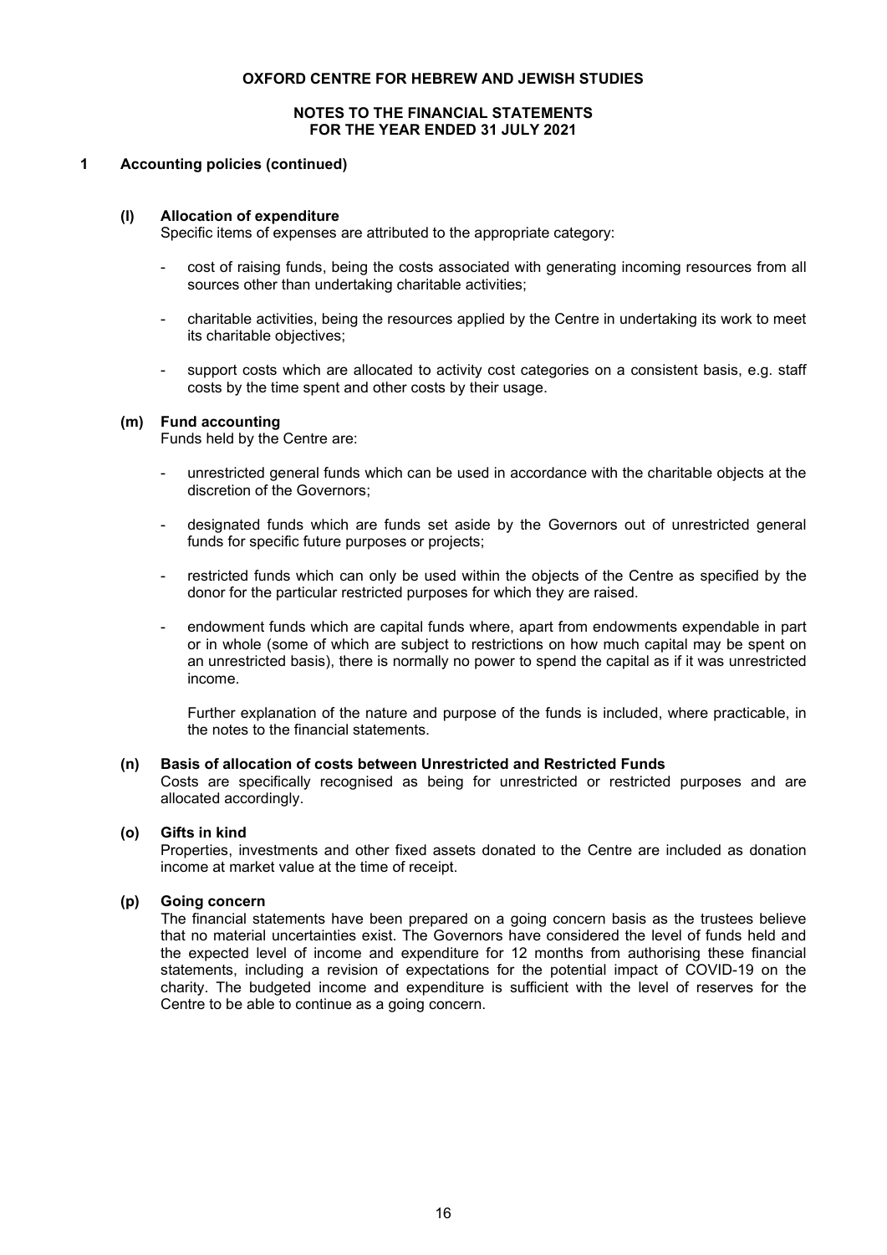## NOTES TO THE FINANCIAL STATEMENTS FOR THE YEAR ENDED 31 JULY 2021

## 1 Accounting policies (continued)

## (l) Allocation of expenditure

Specific items of expenses are attributed to the appropriate category:

- cost of raising funds, being the costs associated with generating incoming resources from all sources other than undertaking charitable activities;
- charitable activities, being the resources applied by the Centre in undertaking its work to meet its charitable objectives;
- support costs which are allocated to activity cost categories on a consistent basis, e.g. staff costs by the time spent and other costs by their usage.

## (m) Fund accounting

Funds held by the Centre are:

- unrestricted general funds which can be used in accordance with the charitable objects at the discretion of the Governors;
- designated funds which are funds set aside by the Governors out of unrestricted general funds for specific future purposes or projects;
- restricted funds which can only be used within the objects of the Centre as specified by the donor for the particular restricted purposes for which they are raised.
- endowment funds which are capital funds where, apart from endowments expendable in part or in whole (some of which are subject to restrictions on how much capital may be spent on an unrestricted basis), there is normally no power to spend the capital as if it was unrestricted income.

 Further explanation of the nature and purpose of the funds is included, where practicable, in the notes to the financial statements.

## (n) Basis of allocation of costs between Unrestricted and Restricted Funds

Costs are specifically recognised as being for unrestricted or restricted purposes and are allocated accordingly.

## (o) Gifts in kind

Properties, investments and other fixed assets donated to the Centre are included as donation income at market value at the time of receipt.

## (p) Going concern

 The financial statements have been prepared on a going concern basis as the trustees believe that no material uncertainties exist. The Governors have considered the level of funds held and the expected level of income and expenditure for 12 months from authorising these financial statements, including a revision of expectations for the potential impact of COVID-19 on the charity. The budgeted income and expenditure is sufficient with the level of reserves for the Centre to be able to continue as a going concern.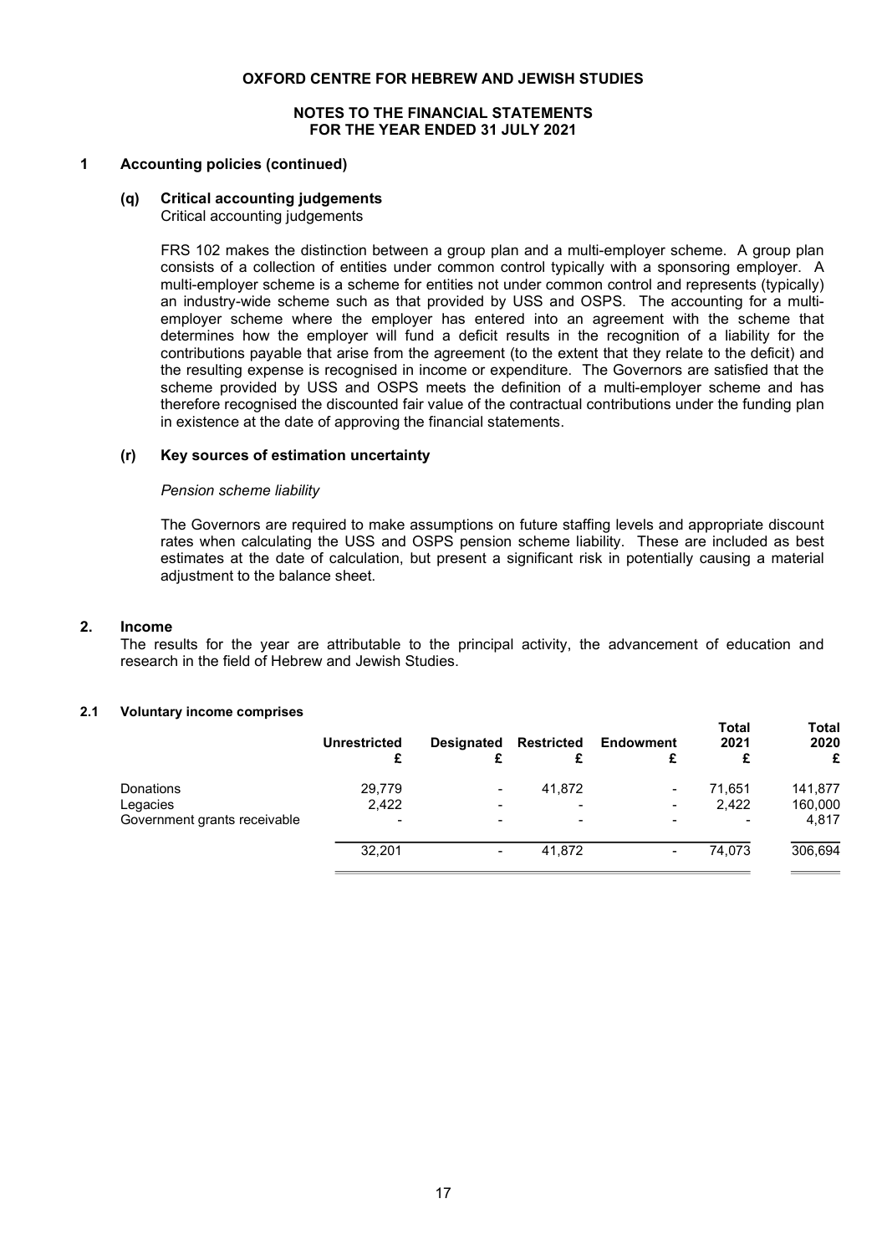## NOTES TO THE FINANCIAL STATEMENTS FOR THE YEAR ENDED 31 JULY 2021

## 1 Accounting policies (continued)

## (q) Critical accounting judgements

Critical accounting judgements

 FRS 102 makes the distinction between a group plan and a multi-employer scheme. A group plan consists of a collection of entities under common control typically with a sponsoring employer. A multi-employer scheme is a scheme for entities not under common control and represents (typically) an industry-wide scheme such as that provided by USS and OSPS. The accounting for a multiemployer scheme where the employer has entered into an agreement with the scheme that determines how the employer will fund a deficit results in the recognition of a liability for the contributions payable that arise from the agreement (to the extent that they relate to the deficit) and the resulting expense is recognised in income or expenditure. The Governors are satisfied that the scheme provided by USS and OSPS meets the definition of a multi-employer scheme and has therefore recognised the discounted fair value of the contractual contributions under the funding plan in existence at the date of approving the financial statements.

# (r) Key sources of estimation uncertainty

## Pension scheme liability

 The Governors are required to make assumptions on future staffing levels and appropriate discount rates when calculating the USS and OSPS pension scheme liability. These are included as best estimates at the date of calculation, but present a significant risk in potentially causing a material adjustment to the balance sheet.

## 2. Income

The results for the year are attributable to the principal activity, the advancement of education and research in the field of Hebrew and Jewish Studies.

## 2.1 Voluntary income comprises

|                              | <b>Unrestricted</b>      | <b>Designated</b> | <b>Restricted</b> | <b>Endowment</b>         | <b>Total</b><br>2021     | <b>Total</b><br>2020<br>£ |
|------------------------------|--------------------------|-------------------|-------------------|--------------------------|--------------------------|---------------------------|
| Donations                    | 29,779                   | $\blacksquare$    | 41,872            |                          | 71.651                   | 141,877                   |
| Legacies                     | 2.422                    | $\blacksquare$    | $\blacksquare$    | -                        | 2.422                    | 160,000                   |
| Government grants receivable | $\overline{\phantom{a}}$ | $\blacksquare$    | $\blacksquare$    | $\overline{\phantom{0}}$ | $\overline{\phantom{a}}$ | 4,817                     |
|                              | 32,201                   | $\blacksquare$    | 41.872            | $\overline{\phantom{a}}$ | 74,073                   | 306,694                   |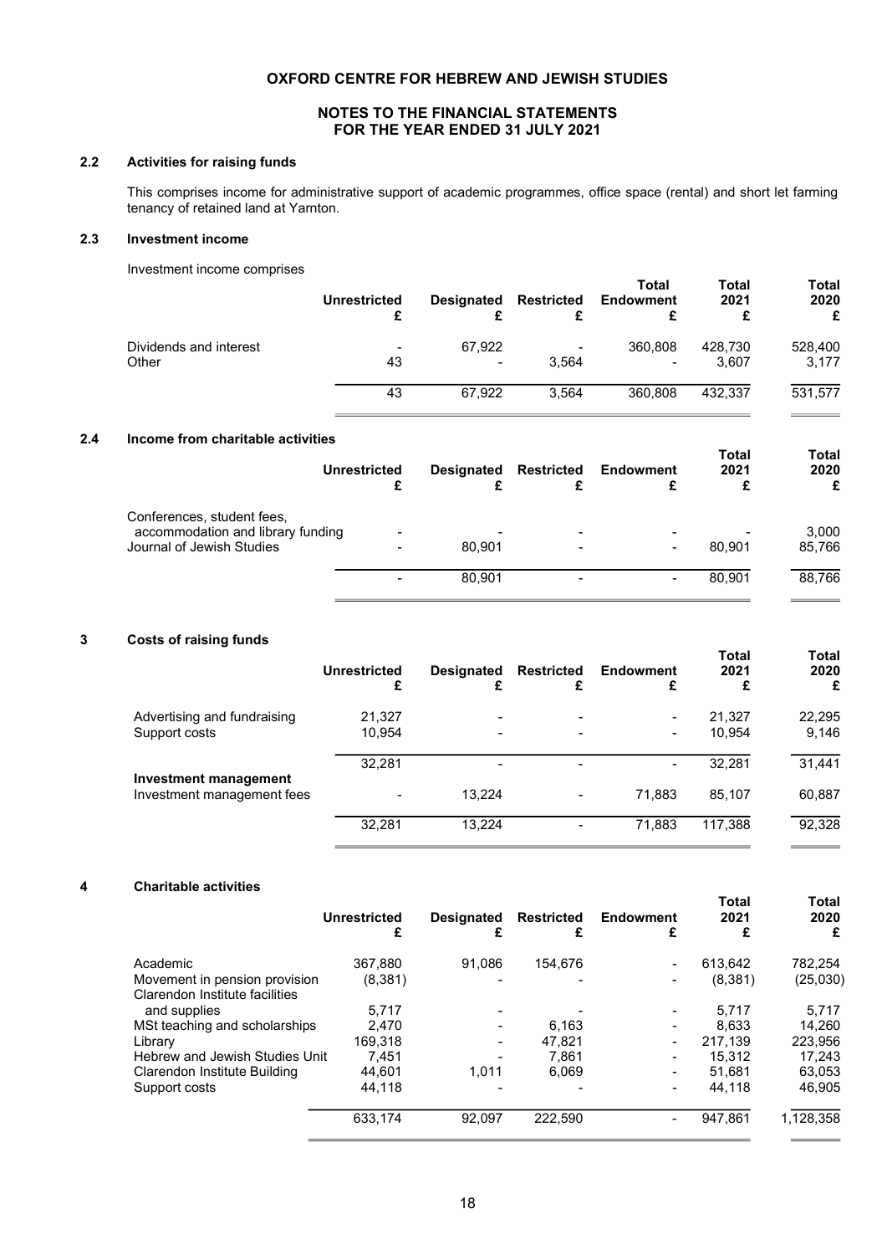## NOTES TO THE FINANCIAL STATEMENTS FOR THE YEAR ENDED 31 JULY 2021

## 2.2 Activities for raising funds

 This comprises income for administrative support of academic programmes, office space (rental) and short let farming tenancy of retained land at Yarnton.

## 2.3 Investment income

Investment income comprises

|                        | <b>Unrestricted</b> | <b>Designated</b>        | <b>Restricted</b> | Total<br>Endowment       | <b>Total</b><br>2021 | Total<br>2020<br>£ |
|------------------------|---------------------|--------------------------|-------------------|--------------------------|----------------------|--------------------|
| Dividends and interest | $\,$                | 67,922                   | $\blacksquare$    | 360.808                  | 428.730              | 528,400            |
| Other                  | 43                  | $\overline{\phantom{a}}$ | 3.564             | $\overline{\phantom{a}}$ | 3.607                | 3,177              |
|                        | 43                  | 67.922                   | 3.564             | 360.808                  | 432.337              | 531,577            |

#### 2.4 Income from charitable activities

|                                   | <b>Unrestricted</b>      | Designated | <b>Restricted</b> | Endowment<br>£           | Total<br>2021 | <b>Total</b><br>2020<br>£ |
|-----------------------------------|--------------------------|------------|-------------------|--------------------------|---------------|---------------------------|
| Conferences, student fees,        |                          |            |                   |                          |               |                           |
| accommodation and library funding |                          |            | -                 |                          |               | 3,000                     |
| Journal of Jewish Studies         | $\overline{\phantom{0}}$ | 80.901     | $\,$              | $\overline{\phantom{a}}$ | 80.901        | 85.766                    |
|                                   |                          | 80.901     | -                 |                          | 80.901        | 88.766                    |
|                                   |                          |            |                   |                          |               |                           |

## 3 Costs of raising funds

|                                                            | <b>Unrestricted</b><br>£ | <b>Designated</b><br>£ | <b>Restricted</b>        | Endowment<br>£           | Total<br>2021 | <b>Total</b><br>2020<br>£ |
|------------------------------------------------------------|--------------------------|------------------------|--------------------------|--------------------------|---------------|---------------------------|
| Advertising and fundraising                                | 21,327                   | -                      | -                        |                          | 21.327        | 22,295                    |
| Support costs                                              | 10.954                   | -                      | $\overline{\phantom{a}}$ | $\blacksquare$           | 10.954        | 9.146                     |
|                                                            | 32,281                   | -                      | -                        | $\overline{\phantom{a}}$ | 32.281        | 31,441                    |
| <b>Investment management</b><br>Investment management fees | -                        | 13.224                 | $\qquad \qquad$          | 71.883                   | 85,107        | 60,887                    |
|                                                            | 32,281                   | 13.224                 |                          | 71,883                   | 117.388       | 92,328                    |

## 4 Charitable activities

|                                | <b>Unrestricted</b><br>£ | <b>Designated</b><br>£ | <b>Restricted</b><br>£ | <b>Endowment</b><br>£    | <b>Total</b><br>2021<br>£ | <b>Total</b><br>2020<br>£ |
|--------------------------------|--------------------------|------------------------|------------------------|--------------------------|---------------------------|---------------------------|
| Academic                       | 367.880                  | 91.086                 | 154.676                |                          | 613.642                   | 782.254                   |
| Movement in pension provision  | (8,381)                  |                        |                        |                          | (8,381)                   | (25,030)                  |
| Clarendon Institute facilities |                          |                        |                        |                          |                           |                           |
| and supplies                   | 5.717                    |                        |                        |                          | 5.717                     | 5.717                     |
| MSt teaching and scholarships  | 2.470                    |                        | 6.163                  |                          | 8.633                     | 14.260                    |
| Library                        | 169.318                  |                        | 47.821                 |                          | 217.139                   | 223,956                   |
| Hebrew and Jewish Studies Unit | 7.451                    |                        | 7.861                  |                          | 15.312                    | 17.243                    |
| Clarendon Institute Building   | 44.601                   | 1.011                  | 6,069                  |                          | 51.681                    | 63,053                    |
| Support costs                  | 44,118                   |                        |                        | $\overline{\phantom{a}}$ | 44.118                    | 46.905                    |
|                                | 633,174                  | 92.097                 | 222.590                |                          | 947.861                   | 1.128.358                 |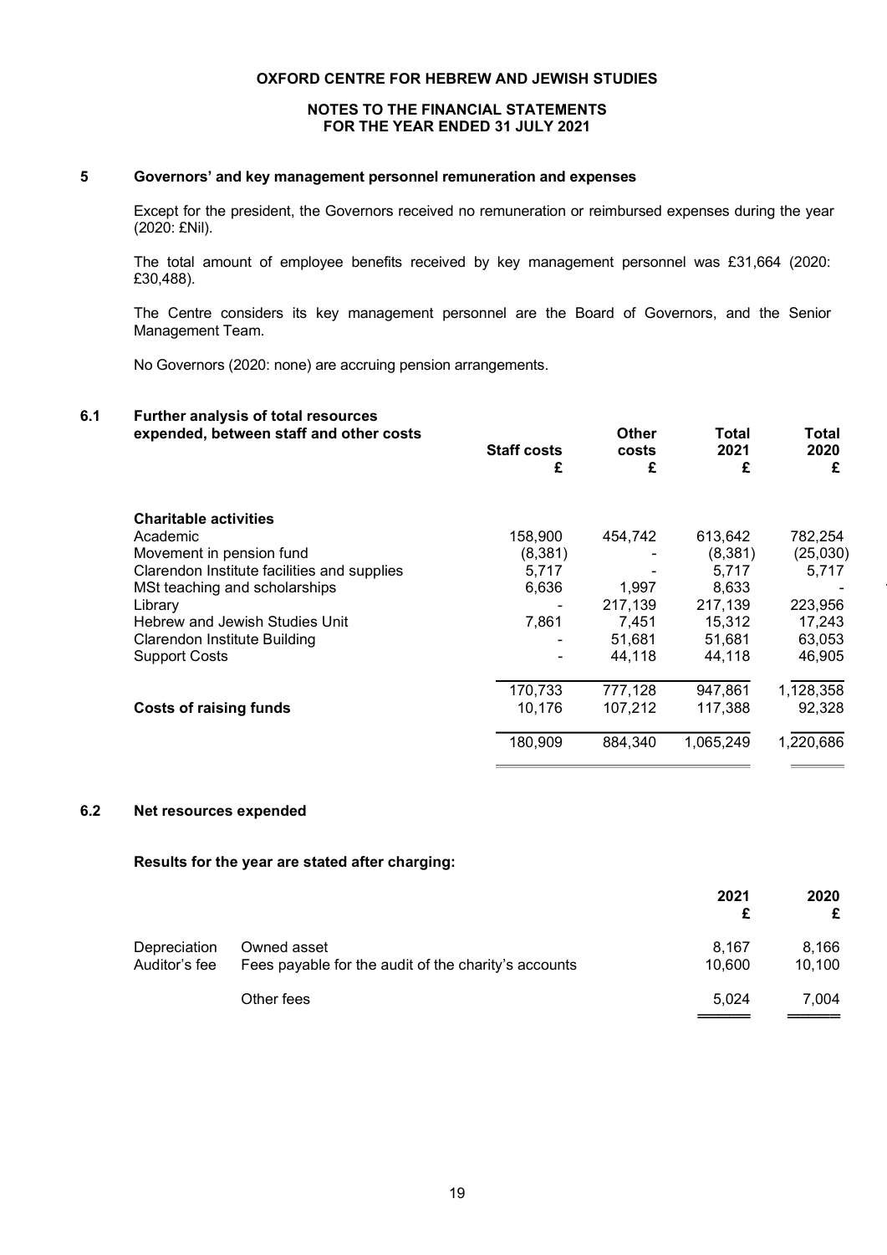# NOTES TO THE FINANCIAL STATEMENTS FOR THE YEAR ENDED 31 JULY 2021

# 5 Governors' and key management personnel remuneration and expenses

 Except for the president, the Governors received no remuneration or reimbursed expenses during the year (2020: £Nil).

 The total amount of employee benefits received by key management personnel was £31,664 (2020: £30,488).

 The Centre considers its key management personnel are the Board of Governors, and the Senior Management Team.

No Governors (2020: none) are accruing pension arrangements.

## 6.1 Further analysis of total resources expended, between staff and other costs **Other** Total Total Total

|                                             | <b>Staff costs</b><br>£ | costs<br>£ | 2021<br>£ | 2020<br>£ |
|---------------------------------------------|-------------------------|------------|-----------|-----------|
| <b>Charitable activities</b>                |                         |            |           |           |
| Academic                                    | 158,900                 | 454,742    | 613,642   | 782,254   |
| Movement in pension fund                    | (8, 381)                |            | (8,381)   | (25,030)  |
| Clarendon Institute facilities and supplies | 5,717                   |            | 5,717     | 5,717     |
| MSt teaching and scholarships               | 6,636                   | 1,997      | 8,633     |           |
| Library                                     |                         | 217,139    | 217,139   | 223,956   |
| Hebrew and Jewish Studies Unit              | 7,861                   | 7,451      | 15,312    | 17,243    |
| Clarendon Institute Building                |                         | 51.681     | 51,681    | 63,053    |
| <b>Support Costs</b>                        |                         | 44,118     | 44,118    | 46,905    |
|                                             | 170,733                 | 777,128    | 947,861   | 1,128,358 |
| <b>Costs of raising funds</b>               | 10,176                  | 107,212    | 117,388   | 92,328    |
|                                             | 180,909                 | 884,340    | 1,065,249 | 1,220,686 |

# 6.2 Net resources expended

## Results for the year are stated after charging:

|                               |                                                                     | 2021<br>c       | 2020<br>£       |
|-------------------------------|---------------------------------------------------------------------|-----------------|-----------------|
| Depreciation<br>Auditor's fee | Owned asset<br>Fees payable for the audit of the charity's accounts | 8,167<br>10,600 | 8,166<br>10,100 |
|                               | Other fees                                                          | 5.024           | 7.004           |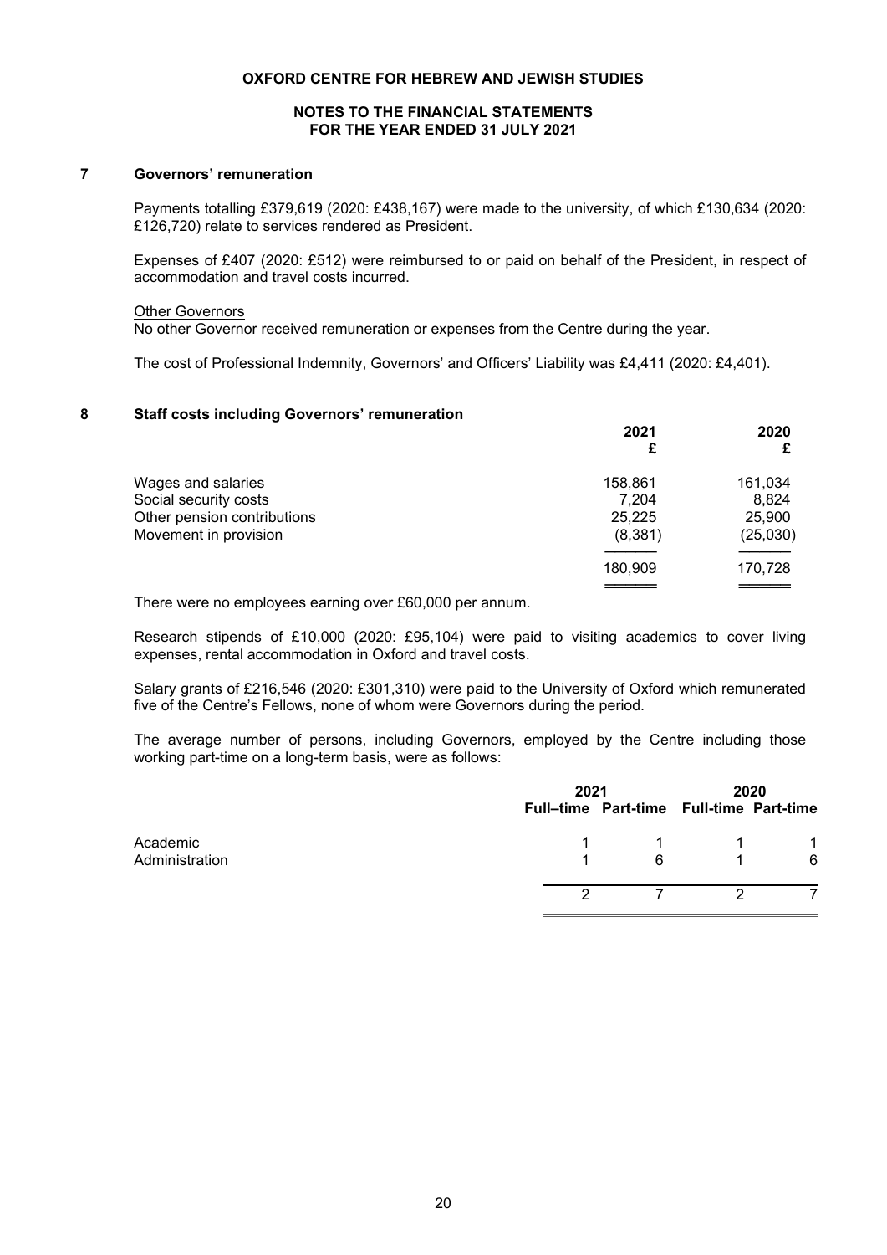# NOTES TO THE FINANCIAL STATEMENTS FOR THE YEAR ENDED 31 JULY 2021

# 7 Governors' remuneration

Payments totalling £379,619 (2020: £438,167) were made to the university, of which £130,634 (2020: £126,720) relate to services rendered as President.

 Expenses of £407 (2020: £512) were reimbursed to or paid on behalf of the President, in respect of accommodation and travel costs incurred.

## Other Governors

No other Governor received remuneration or expenses from the Centre during the year.

The cost of Professional Indemnity, Governors' and Officers' Liability was £4,411 (2020: £4,401).

## 8 Staff costs including Governors' remuneration

|                             | 2021     | 2020     |
|-----------------------------|----------|----------|
| Wages and salaries          | 158,861  | 161,034  |
| Social security costs       | 7,204    | 8,824    |
| Other pension contributions | 25,225   | 25,900   |
| Movement in provision       | (8, 381) | (25,030) |
|                             | 180,909  | 170,728  |
|                             |          |          |

There were no employees earning over £60,000 per annum.

 Research stipends of £10,000 (2020: £95,104) were paid to visiting academics to cover living expenses, rental accommodation in Oxford and travel costs.

 Salary grants of £216,546 (2020: £301,310) were paid to the University of Oxford which remunerated five of the Centre's Fellows, none of whom were Governors during the period.

 The average number of persons, including Governors, employed by the Centre including those working part-time on a long-term basis, were as follows:

|                | 2021                                    |   | 2020          |   |
|----------------|-----------------------------------------|---|---------------|---|
|                | Full-time Part-time Full-time Part-time |   |               |   |
| Academic       |                                         |   |               |   |
| Administration | 1.                                      | 6 | 1             | 6 |
|                | $\mathcal{D}$                           |   | $\mathcal{P}$ |   |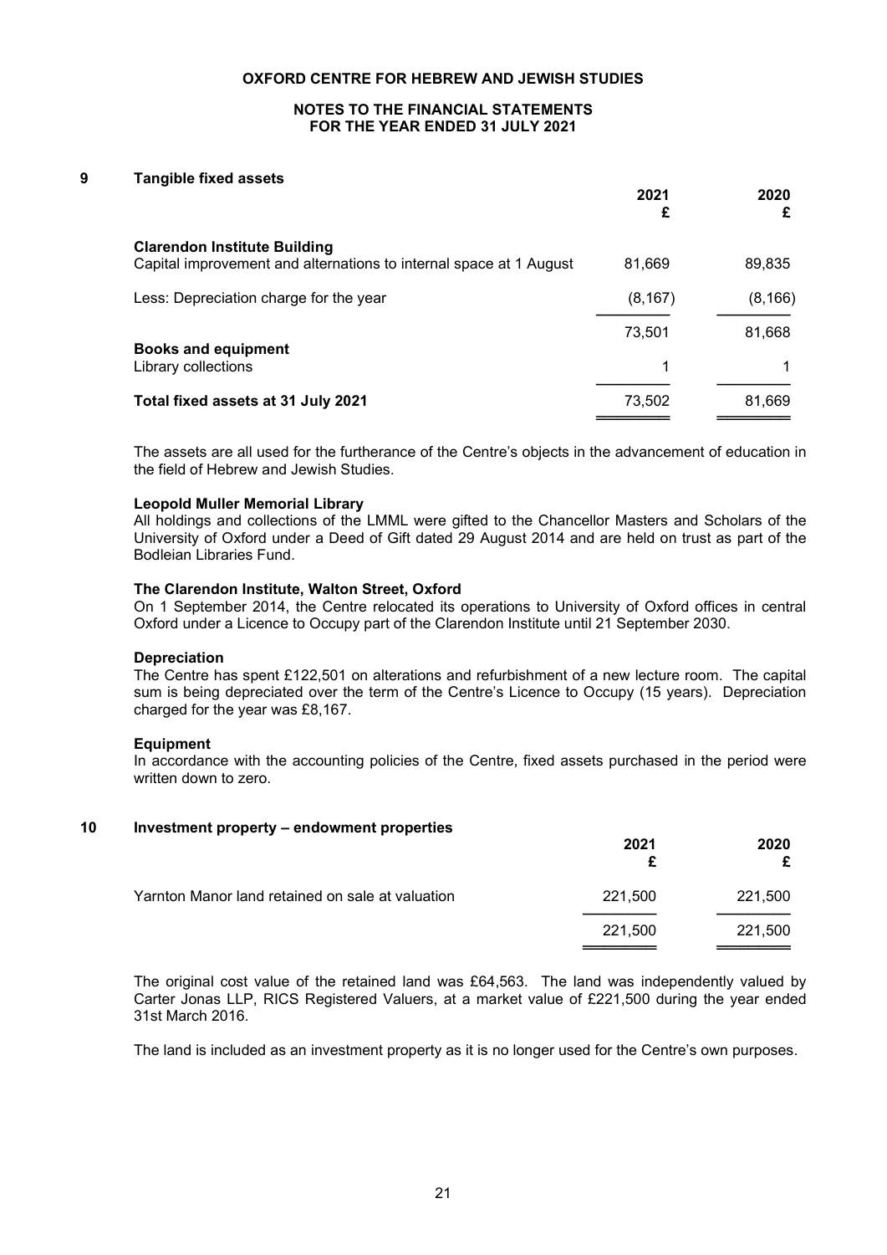# NOTES TO THE FINANCIAL STATEMENTS FOR THE YEAR ENDED 31 JULY 2021

## 9 Tangible fixed assets

|                                                                                                           | 2021<br>£   | 2020<br>£ |
|-----------------------------------------------------------------------------------------------------------|-------------|-----------|
| <b>Clarendon Institute Building</b><br>Capital improvement and alternations to internal space at 1 August | 81,669      | 89,835    |
| Less: Depreciation charge for the year                                                                    | (8, 167)    | (8, 166)  |
| <b>Books and equipment</b><br>Library collections                                                         | 73,501<br>1 | 81,668    |
| Total fixed assets at 31 July 2021                                                                        | 73,502      | 81,669    |

 The assets are all used for the furtherance of the Centre's objects in the advancement of education in the field of Hebrew and Jewish Studies.

## Leopold Muller Memorial Library

 All holdings and collections of the LMML were gifted to the Chancellor Masters and Scholars of the University of Oxford under a Deed of Gift dated 29 August 2014 and are held on trust as part of the Bodleian Libraries Fund.

## The Clarendon Institute, Walton Street, Oxford

 On 1 September 2014, the Centre relocated its operations to University of Oxford offices in central Oxford under a Licence to Occupy part of the Clarendon Institute until 21 September 2030.

#### Depreciation

 The Centre has spent £122,501 on alterations and refurbishment of a new lecture room. The capital sum is being depreciated over the term of the Centre's Licence to Occupy (15 years). Depreciation charged for the year was £8,167.

#### Equipment

 In accordance with the accounting policies of the Centre, fixed assets purchased in the period were written down to zero.

# 10 Investment property – endowment properties

|                                                  | 2021<br>c | 2020    |
|--------------------------------------------------|-----------|---------|
| Yarnton Manor land retained on sale at valuation | 221,500   | 221,500 |
|                                                  | 221,500   | 221,500 |

The original cost value of the retained land was £64,563. The land was independently valued by Carter Jonas LLP, RICS Registered Valuers, at a market value of £221,500 during the year ended 31st March 2016.

The land is included as an investment property as it is no longer used for the Centre's own purposes.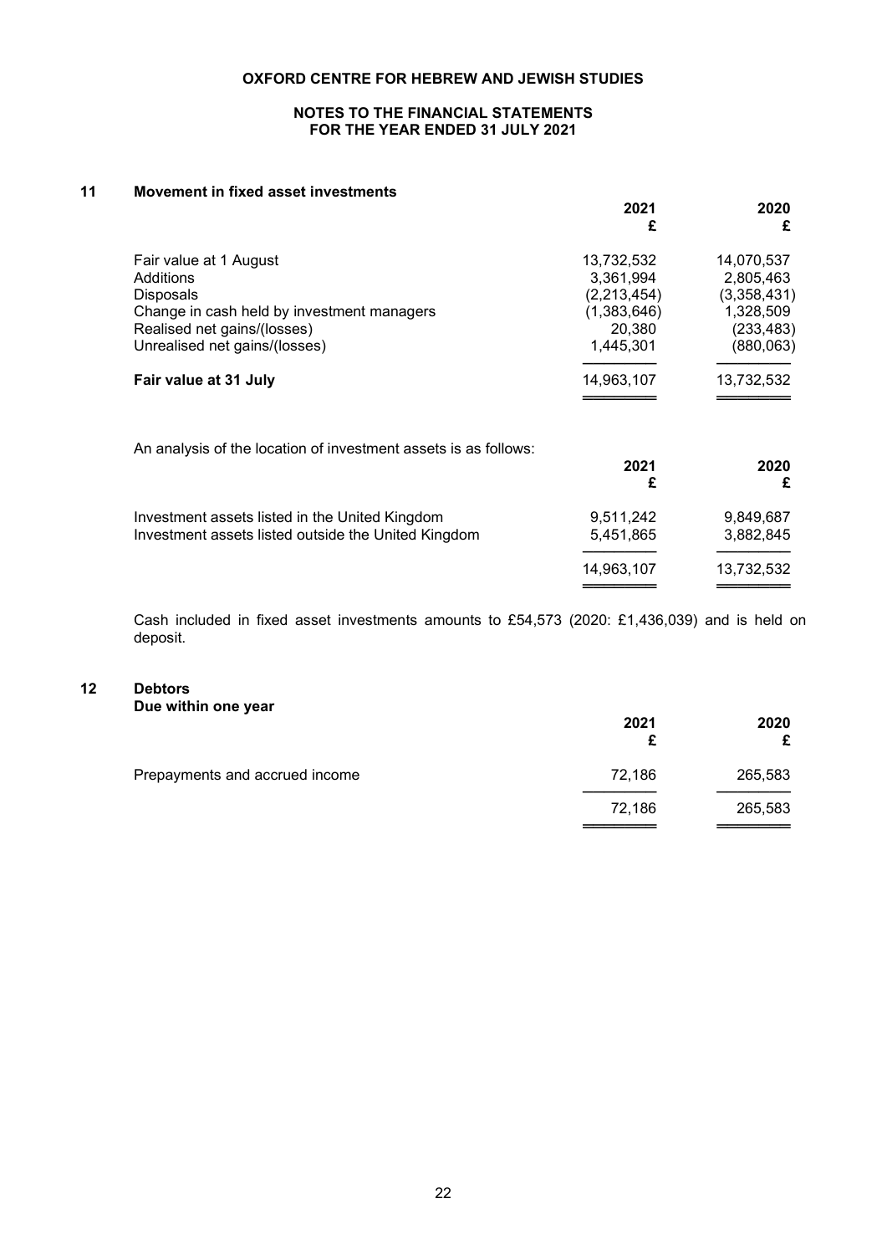## NOTES TO THE FINANCIAL STATEMENTS FOR THE YEAR ENDED 31 JULY 2021

# 11 Movement in fixed asset investments

| 2021<br>£     | 2020        |
|---------------|-------------|
| 13,732,532    | 14,070,537  |
| 3,361,994     | 2,805,463   |
| (2, 213, 454) | (3,358,431) |
| (1,383,646)   | 1,328,509   |
| 20,380        | (233, 483)  |
| 1,445,301     | (880,063)   |
| 14,963,107    | 13,732,532  |
|               |             |

| An analysis of the location of investment assets is as follows: |            |            |
|-----------------------------------------------------------------|------------|------------|
|                                                                 | 2021<br>£  | 2020       |
| Investment assets listed in the United Kingdom                  | 9,511,242  | 9,849,687  |
| Investment assets listed outside the United Kingdom             | 5,451,865  | 3,882,845  |
|                                                                 | 14,963,107 | 13,732,532 |
|                                                                 |            |            |

Cash included in fixed asset investments amounts to £54,573 (2020: £1,436,039) and is held on deposit.

## 12 Debtors

 Due within one year  $2021$   $2020$  $\frac{1}{2}$   $\frac{1}{2}$   $\frac{1}{2}$   $\frac{1}{2}$   $\frac{1}{2}$   $\frac{1}{2}$   $\frac{1}{2}$   $\frac{1}{2}$   $\frac{1}{2}$   $\frac{1}{2}$   $\frac{1}{2}$   $\frac{1}{2}$   $\frac{1}{2}$   $\frac{1}{2}$   $\frac{1}{2}$   $\frac{1}{2}$   $\frac{1}{2}$   $\frac{1}{2}$   $\frac{1}{2}$   $\frac{1}{2}$   $\frac{1}{2}$   $\frac{1}{2}$  Prepayments and accrued income 72,186 265,583 ─────── ─────── 72,186 265,583 ═══════ ═══════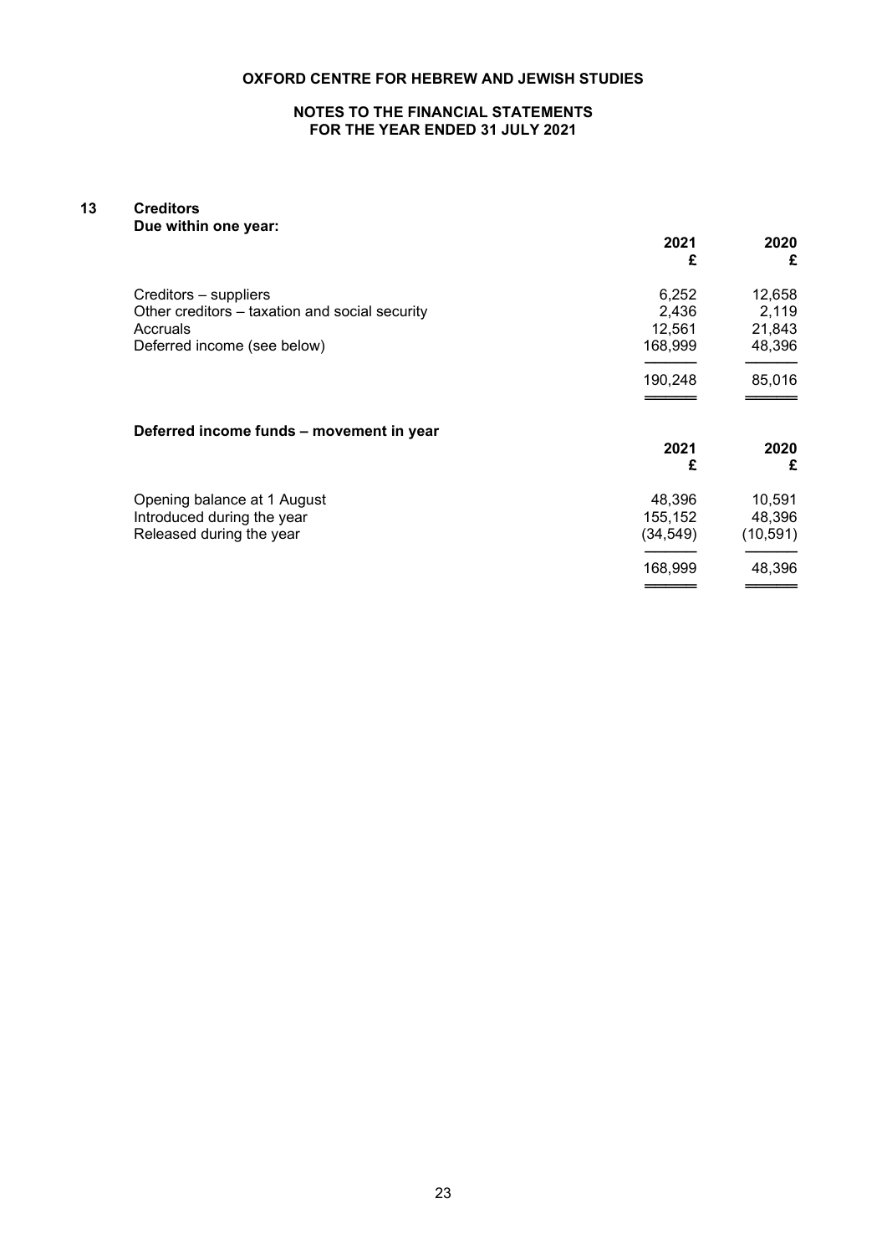# NOTES TO THE FINANCIAL STATEMENTS FOR THE YEAR ENDED 31 JULY 2021

#### $13$ **Creditors**

# Due within one year:

|                                                | 2021<br>£ | 2020<br>£ |
|------------------------------------------------|-----------|-----------|
| Creditors - suppliers                          | 6,252     | 12,658    |
| Other creditors - taxation and social security | 2,436     | 2,119     |
| Accruals                                       | 12,561    | 21,843    |
| Deferred income (see below)                    | 168,999   | 48,396    |
|                                                | 190,248   | 85,016    |
| Deferred income funds - movement in year       |           |           |
|                                                | 2021      | 2020      |
|                                                | £         | £         |
| Opening balance at 1 August                    | 48,396    | 10,591    |
| Introduced during the year                     | 155,152   | 48,396    |
| Released during the year                       | (34, 549) | (10, 591) |
|                                                | 168,999   | 48,396    |
|                                                |           |           |
|                                                |           |           |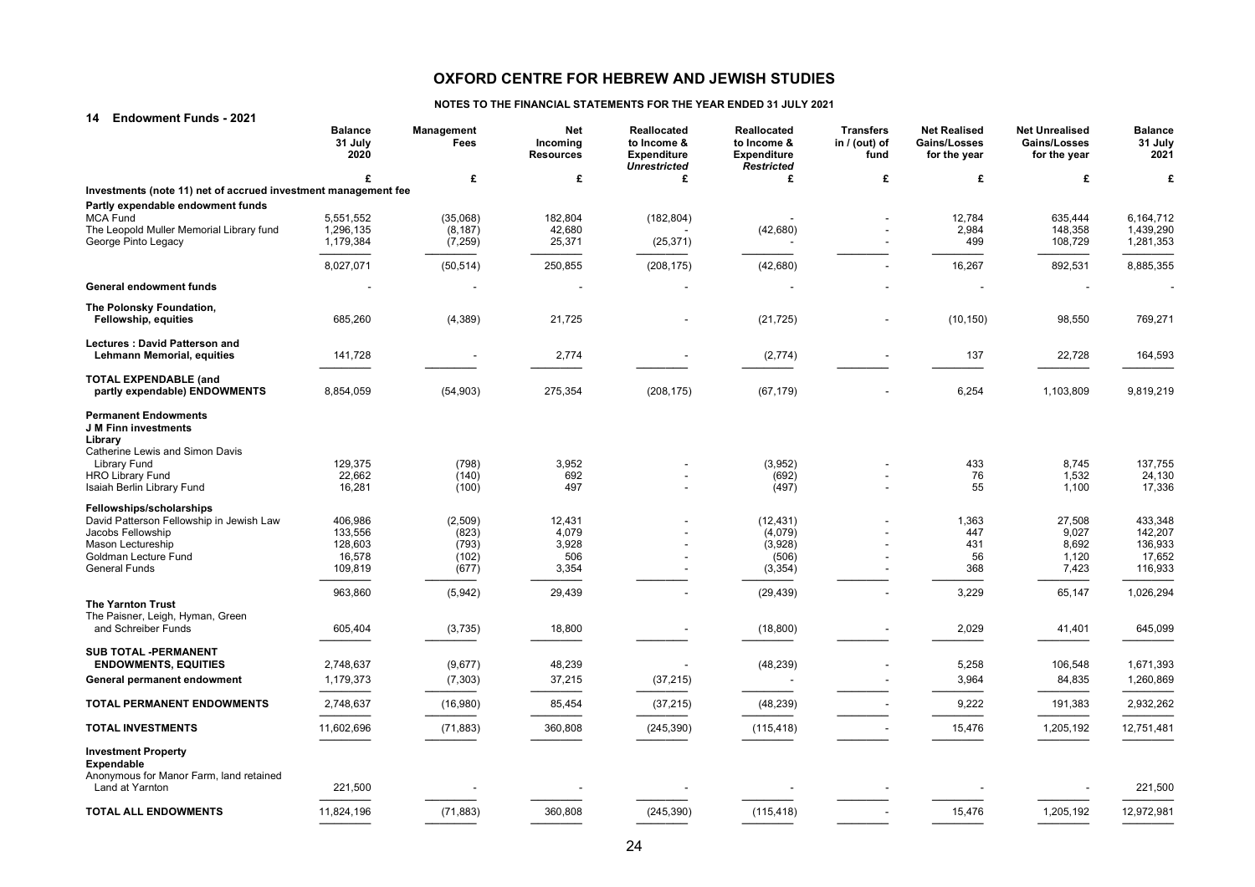#### NOTES TO THE FINANCIAL STATEMENTS FOR THE YEAR ENDED 31 JULY 2021

| <b>Endowment Funds - 2021</b><br>14 |  |  |
|-------------------------------------|--|--|
|-------------------------------------|--|--|

| <b>ENDOWNER FUNDS - 2021</b>                                                                                                                                   |                                                    |                                             |                                            |                                                                         |                                                                       |                                             |                                                     |                                                       |                                                    |
|----------------------------------------------------------------------------------------------------------------------------------------------------------------|----------------------------------------------------|---------------------------------------------|--------------------------------------------|-------------------------------------------------------------------------|-----------------------------------------------------------------------|---------------------------------------------|-----------------------------------------------------|-------------------------------------------------------|----------------------------------------------------|
|                                                                                                                                                                | <b>Balance</b><br>31 July<br>2020                  | <b>Management</b><br>Fees                   | <b>Net</b><br>Incoming<br><b>Resources</b> | Reallocated<br>to Income &<br><b>Expenditure</b><br><b>Unrestricted</b> | Reallocated<br>to Income &<br><b>Expenditure</b><br><b>Restricted</b> | <b>Transfers</b><br>in $/$ (out) of<br>fund | <b>Net Realised</b><br>Gains/Losses<br>for the year | <b>Net Unrealised</b><br>Gains/Losses<br>for the year | <b>Balance</b><br>31 July<br>2021                  |
|                                                                                                                                                                | £                                                  | £                                           | £                                          | £                                                                       | £                                                                     | £                                           | £                                                   | £                                                     | £                                                  |
| Investments (note 11) net of accrued investment management fee                                                                                                 |                                                    |                                             |                                            |                                                                         |                                                                       |                                             |                                                     |                                                       |                                                    |
| Partly expendable endowment funds                                                                                                                              |                                                    |                                             |                                            |                                                                         |                                                                       |                                             |                                                     |                                                       |                                                    |
| <b>MCA Fund</b>                                                                                                                                                | 5,551,552                                          | (35,068)                                    | 182,804                                    | (182, 804)                                                              |                                                                       |                                             | 12,784                                              | 635,444                                               | 6,164,712                                          |
| The Leopold Muller Memorial Library fund                                                                                                                       | 1,296,135                                          | (8, 187)                                    | 42,680                                     |                                                                         | (42,680)                                                              |                                             | 2,984                                               | 148,358                                               | 1,439,290                                          |
| George Pinto Legacy                                                                                                                                            | 1,179,384                                          | (7, 259)                                    | 25,371                                     | (25, 371)                                                               |                                                                       |                                             | 499                                                 | 108,729                                               | 1,281,353                                          |
|                                                                                                                                                                | 8,027,071                                          | (50, 514)                                   | 250,855                                    | (208, 175)                                                              | (42, 680)                                                             |                                             | 16,267                                              | 892,531                                               | 8,885,355                                          |
| General endowment funds                                                                                                                                        |                                                    |                                             |                                            |                                                                         |                                                                       |                                             |                                                     |                                                       |                                                    |
| The Polonsky Foundation,<br><b>Fellowship, equities</b>                                                                                                        | 685,260                                            | (4, 389)                                    | 21,725                                     |                                                                         | (21, 725)                                                             |                                             | (10, 150)                                           | 98,550                                                | 769,271                                            |
| <b>Lectures: David Patterson and</b>                                                                                                                           |                                                    |                                             |                                            |                                                                         |                                                                       |                                             |                                                     |                                                       |                                                    |
| Lehmann Memorial, equities                                                                                                                                     | 141,728                                            |                                             | 2,774                                      |                                                                         | (2,774)                                                               |                                             | 137                                                 | 22,728                                                | 164,593                                            |
| <b>TOTAL EXPENDABLE (and</b>                                                                                                                                   |                                                    |                                             |                                            |                                                                         |                                                                       |                                             | 6,254                                               | 1,103,809                                             |                                                    |
| partly expendable) ENDOWMENTS                                                                                                                                  | 8,854,059                                          | (54, 903)                                   | 275,354                                    | (208, 175)                                                              | (67, 179)                                                             |                                             |                                                     |                                                       | 9,819,219                                          |
| <b>Permanent Endowments</b><br>J M Finn investments<br>Library<br>Catherine Lewis and Simon Davis<br><b>Library Fund</b><br><b>HRO Library Fund</b>            | 129,375<br>22,662                                  | (798)<br>(140)                              | 3,952<br>692                               |                                                                         | (3,952)<br>(692)                                                      |                                             | 433<br>76                                           | 8,745<br>1,532                                        | 137,755<br>24,130                                  |
| Isaiah Berlin Library Fund                                                                                                                                     | 16,281                                             | (100)                                       | 497                                        |                                                                         | (497)                                                                 |                                             | 55                                                  | 1,100                                                 | 17,336                                             |
| Fellowships/scholarships<br>David Patterson Fellowship in Jewish Law<br>Jacobs Fellowship<br>Mason Lectureship<br>Goldman Lecture Fund<br><b>General Funds</b> | 406,986<br>133,556<br>128,603<br>16,578<br>109,819 | (2,509)<br>(823)<br>(793)<br>(102)<br>(677) | 12,431<br>4,079<br>3,928<br>506<br>3,354   |                                                                         | (12, 431)<br>(4,079)<br>(3,928)<br>(506)<br>(3, 354)                  | $\overline{a}$                              | 1,363<br>447<br>431<br>56<br>368                    | 27,508<br>9,027<br>8,692<br>1,120<br>7,423            | 433,348<br>142,207<br>136,933<br>17,652<br>116,933 |
|                                                                                                                                                                | 963,860                                            | (5,942)                                     | 29,439                                     |                                                                         | (29, 439)                                                             |                                             | 3,229                                               | 65,147                                                | 1,026,294                                          |
| <b>The Yarnton Trust</b><br>The Paisner, Leigh, Hyman, Green<br>and Schreiber Funds                                                                            | 605,404                                            | (3,735)                                     | 18,800                                     |                                                                         | (18, 800)                                                             |                                             | 2,029                                               | 41,401                                                | 645,099                                            |
| <b>SUB TOTAL -PERMANENT</b><br><b>ENDOWMENTS, EQUITIES</b><br>General permanent endowment                                                                      | 2,748,637<br>1,179,373                             | (9,677)<br>(7, 303)                         | 48,239<br>37,215                           | (37, 215)                                                               | (48, 239)                                                             |                                             | 5,258<br>3,964                                      | 106,548<br>84,835                                     | 1,671,393<br>1,260,869                             |
| <b>TOTAL PERMANENT ENDOWMENTS</b>                                                                                                                              | 2,748,637                                          | (16,980)                                    | 85,454                                     | (37, 215)                                                               | (48, 239)                                                             |                                             | 9,222                                               | 191,383                                               | 2,932,262                                          |
| <b>TOTAL INVESTMENTS</b>                                                                                                                                       | 11,602,696                                         | (71, 883)                                   | 360,808                                    | (245, 390)                                                              | (115, 418)                                                            |                                             | 15,476                                              | 1,205,192                                             | 12,751,481                                         |
| <b>Investment Property</b><br><b>Expendable</b><br>Anonymous for Manor Farm, land retained<br>Land at Yarnton                                                  | 221,500                                            |                                             |                                            |                                                                         |                                                                       |                                             |                                                     |                                                       | 221,500                                            |
| <b>TOTAL ALL ENDOWMENTS</b>                                                                                                                                    | 11,824,196                                         | (71, 883)                                   | 360,808                                    | (245, 390)                                                              | (115, 418)                                                            |                                             | 15,476                                              | 1,205,192                                             | 12,972,981                                         |
|                                                                                                                                                                |                                                    |                                             |                                            |                                                                         |                                                                       |                                             |                                                     |                                                       |                                                    |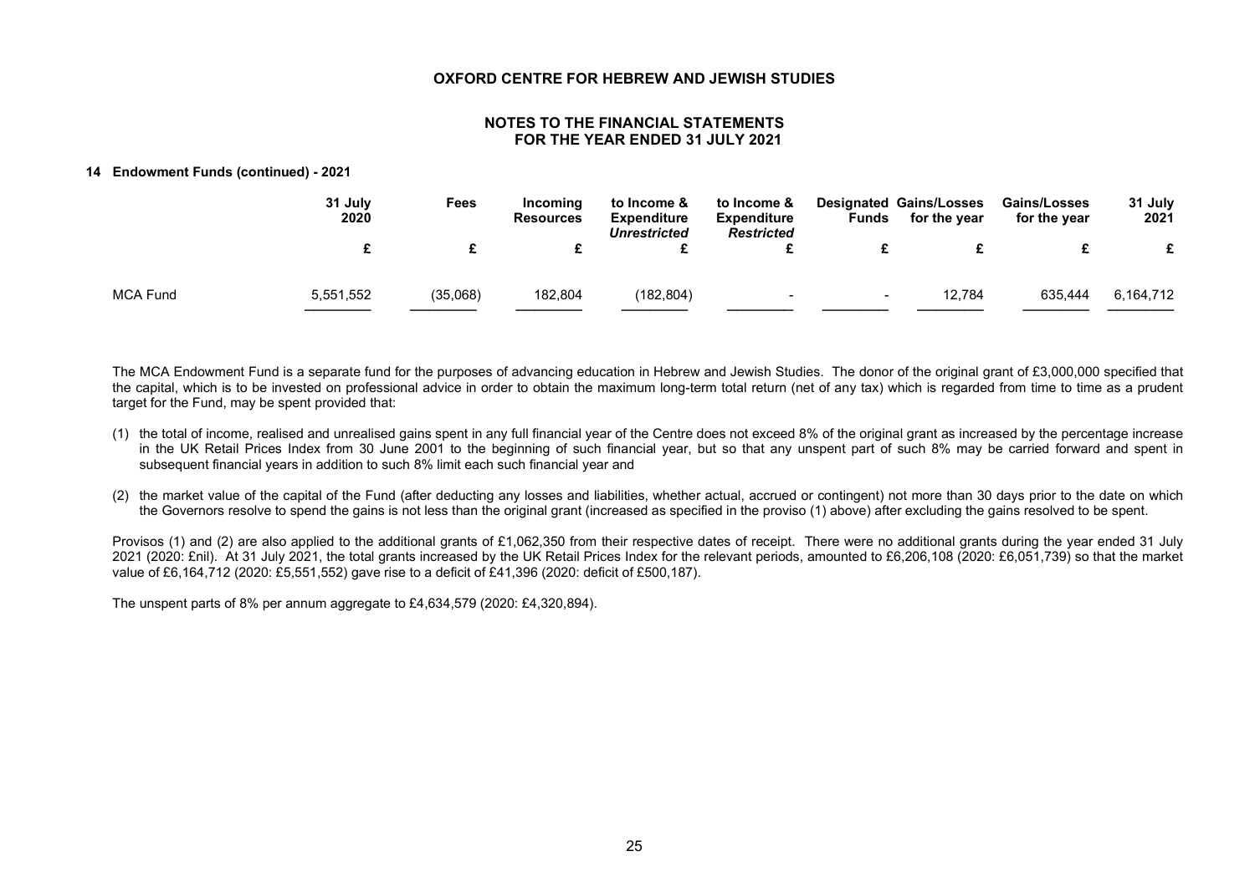## NOTES TO THE FINANCIAL STATEMENTS FOR THE YEAR ENDED 31 JULY 2021

#### 14 Endowment Funds (continued) - 2021

|                 | 31 July<br>2020 | Fees     | Incoming<br><b>Resources</b> | to Income &<br><b>Expenditure</b><br><b>Unrestricted</b> | to Income &<br><b>Expenditure</b><br><b>Restricted</b> | <b>Funds</b> | <b>Designated Gains/Losses</b><br>for the year | Gains/Losses<br>for the year | 31 July<br>2021 |
|-----------------|-----------------|----------|------------------------------|----------------------------------------------------------|--------------------------------------------------------|--------------|------------------------------------------------|------------------------------|-----------------|
|                 |                 |          |                              |                                                          |                                                        |              |                                                |                              |                 |
| <b>MCA Fund</b> | 5,551,552       | (35,068) | 182,804                      | (182, 804)                                               |                                                        | $\sim$       | 12.784                                         | 635,444                      | 6,164,712       |

The MCA Endowment Fund is a separate fund for the purposes of advancing education in Hebrew and Jewish Studies. The donor of the original grant of £3,000,000 specified that the capital, which is to be invested on professional advice in order to obtain the maximum long-term total return (net of any tax) which is regarded from time to time as a prudent target for the Fund, may be spent provided that:

- (1) the total of income, realised and unrealised gains spent in any full financial year of the Centre does not exceed 8% of the original grant as increased by the percentage increase in the UK Retail Prices Index from 30 June 2001 to the beginning of such financial year, but so that any unspent part of such 8% may be carried forward and spent in subsequent financial years in addition to such 8% limit each such financial year and
- (2) the market value of the capital of the Fund (after deducting any losses and liabilities, whether actual, accrued or contingent) not more than 30 days prior to the date on which the Governors resolve to spend the gains is not less than the original grant (increased as specified in the proviso (1) above) after excluding the gains resolved to be spent.

Provisos (1) and (2) are also applied to the additional grants of £1,062,350 from their respective dates of receipt. There were no additional grants during the year ended 31 July 2021 (2020: £nil). At 31 July 2021, the total grants increased by the UK Retail Prices Index for the relevant periods, amounted to £6,206,108 (2020: £6,051,739) so that the market value of £6,164,712 (2020: £5,551,552) gave rise to a deficit of £41,396 (2020: deficit of £500,187).

The unspent parts of 8% per annum aggregate to £4,634,579 (2020: £4,320,894).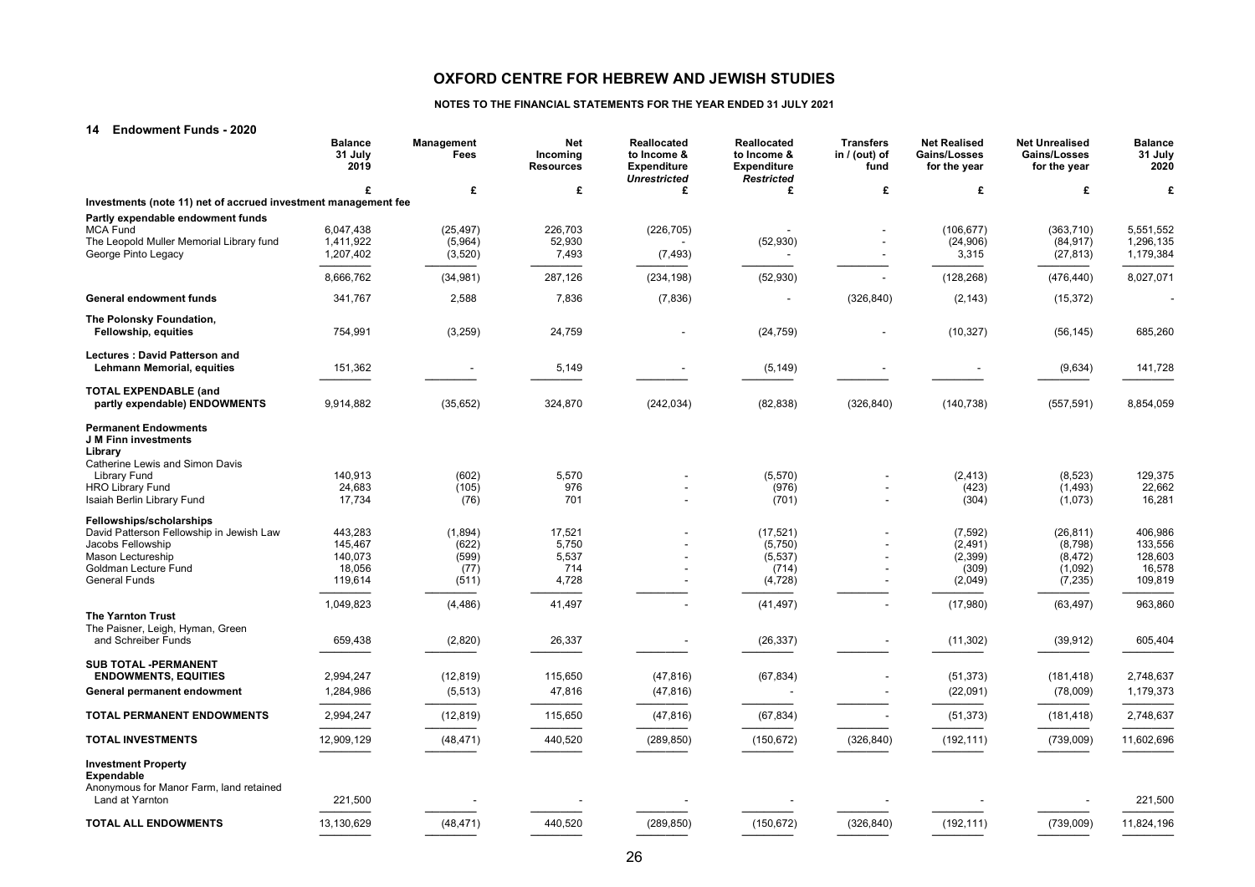#### NOTES TO THE FINANCIAL STATEMENTS FOR THE YEAR ENDED 31 JULY 2021

#### 14 Endowment Funds - 2020

|                                                                                                          | <b>Balance</b><br>31 July<br>2019 | Management<br>Fees       | <b>Net</b><br>Incoming<br><b>Resources</b> | Reallocated<br>to Income &<br><b>Expenditure</b><br><b>Unrestricted</b> | Reallocated<br>to Income &<br><b>Expenditure</b><br><b>Restricted</b> | <b>Transfers</b><br>in / (out) of<br>fund | <b>Net Realised</b><br>Gains/Losses<br>for the year | <b>Net Unrealised</b><br>Gains/Losses<br>for the year | <b>Balance</b><br>31 July<br>2020 |
|----------------------------------------------------------------------------------------------------------|-----------------------------------|--------------------------|--------------------------------------------|-------------------------------------------------------------------------|-----------------------------------------------------------------------|-------------------------------------------|-----------------------------------------------------|-------------------------------------------------------|-----------------------------------|
|                                                                                                          | £                                 | £                        | £                                          | £                                                                       | £                                                                     | £                                         | £                                                   | £                                                     | £                                 |
| Investments (note 11) net of accrued investment management fee                                           |                                   |                          |                                            |                                                                         |                                                                       |                                           |                                                     |                                                       |                                   |
| Partly expendable endowment funds                                                                        |                                   |                          |                                            |                                                                         |                                                                       |                                           |                                                     |                                                       |                                   |
| <b>MCA Fund</b>                                                                                          | 6,047,438                         | (25, 497)                | 226.703                                    | (226, 705)                                                              |                                                                       |                                           | (106, 677)                                          | (363, 710)                                            | 5,551,552                         |
| The Leopold Muller Memorial Library fund                                                                 | 1,411,922                         | (5,964)                  | 52,930                                     |                                                                         | (52, 930)                                                             | $\overline{\phantom{a}}$                  | (24, 906)                                           | (84, 917)                                             | 1,296,135                         |
| George Pinto Legacy                                                                                      | 1,207,402                         | (3, 520)                 | 7,493                                      | (7, 493)                                                                |                                                                       |                                           | 3,315                                               | (27, 813)                                             | 1,179,384                         |
|                                                                                                          | 8,666,762                         | (34, 981)                | 287,126                                    | (234, 198)                                                              | (52, 930)                                                             | $\overline{a}$                            | (128, 268)                                          | (476, 440)                                            | 8,027,071                         |
| General endowment funds                                                                                  | 341,767                           | 2,588                    | 7,836                                      | (7, 836)                                                                | $\overline{\phantom{a}}$                                              | (326, 840)                                | (2, 143)                                            | (15, 372)                                             |                                   |
| The Polonsky Foundation,<br><b>Fellowship, equities</b>                                                  | 754,991                           | (3,259)                  | 24,759                                     |                                                                         | (24, 759)                                                             |                                           | (10, 327)                                           | (56, 145)                                             | 685,260                           |
| Lectures : David Patterson and<br><b>Lehmann Memorial, equities</b>                                      | 151,362                           | $\overline{\phantom{a}}$ | 5,149                                      |                                                                         | (5, 149)                                                              |                                           |                                                     | (9,634)                                               | 141,728                           |
| <b>TOTAL EXPENDABLE (and</b>                                                                             |                                   |                          |                                            |                                                                         |                                                                       |                                           |                                                     |                                                       |                                   |
| partly expendable) ENDOWMENTS                                                                            | 9,914,882                         | (35, 652)                | 324,870                                    | (242, 034)                                                              | (82, 838)                                                             | (326, 840)                                | (140, 738)                                          | (557, 591)                                            | 8,854,059                         |
| <b>Permanent Endowments</b><br><b>J M Finn investments</b><br>Library<br>Catherine Lewis and Simon Davis |                                   |                          |                                            |                                                                         |                                                                       |                                           |                                                     |                                                       |                                   |
| Library Fund                                                                                             | 140,913                           | (602)                    | 5,570                                      |                                                                         | (5,570)                                                               |                                           | (2, 413)                                            | (8, 523)                                              | 129,375                           |
| <b>HRO Library Fund</b>                                                                                  | 24,683                            | (105)                    | 976                                        |                                                                         | (976)                                                                 |                                           | (423)                                               | (1, 493)                                              | 22,662                            |
| Isaiah Berlin Library Fund                                                                               | 17,734                            | (76)                     | 701                                        |                                                                         | (701)                                                                 |                                           | (304)                                               | (1,073)                                               | 16,281                            |
| Fellowships/scholarships                                                                                 |                                   |                          |                                            |                                                                         |                                                                       |                                           |                                                     |                                                       |                                   |
| David Patterson Fellowship in Jewish Law                                                                 | 443,283                           | (1,894)                  | 17,521                                     |                                                                         | (17, 521)                                                             |                                           | (7, 592)                                            | (26, 811)                                             | 406,986                           |
| Jacobs Fellowship                                                                                        | 145,467                           | (622)                    | 5,750                                      |                                                                         | (5,750)                                                               |                                           | (2, 491)                                            | (8,798)                                               | 133,556                           |
| Mason Lectureship                                                                                        | 140,073                           | (599)                    | 5,537                                      |                                                                         | (5, 537)                                                              |                                           | (2, 399)                                            | (8, 472)                                              | 128,603                           |
| Goldman Lecture Fund<br><b>General Funds</b>                                                             | 18,056<br>119,614                 | (77)                     | 714<br>4,728                               |                                                                         | (714)                                                                 |                                           | (309)                                               | (1,092)                                               | 16,578<br>109,819                 |
|                                                                                                          |                                   | (511)                    |                                            |                                                                         | (4, 728)                                                              |                                           | (2,049)                                             | (7, 235)                                              |                                   |
|                                                                                                          | 1,049,823                         | (4, 486)                 | 41,497                                     |                                                                         | (41, 497)                                                             |                                           | (17,980)                                            | (63, 497)                                             | 963,860                           |
| <b>The Yarnton Trust</b>                                                                                 |                                   |                          |                                            |                                                                         |                                                                       |                                           |                                                     |                                                       |                                   |
| The Paisner, Leigh, Hyman, Green<br>and Schreiber Funds                                                  | 659,438                           | (2,820)                  | 26,337                                     |                                                                         | (26, 337)                                                             |                                           | (11, 302)                                           | (39, 912)                                             | 605,404                           |
|                                                                                                          |                                   |                          |                                            |                                                                         |                                                                       |                                           |                                                     |                                                       |                                   |
| <b>SUB TOTAL -PERMANENT</b>                                                                              |                                   |                          |                                            |                                                                         |                                                                       |                                           |                                                     |                                                       |                                   |
| <b>ENDOWMENTS, EQUITIES</b>                                                                              | 2,994,247                         | (12, 819)                | 115,650                                    | (47, 816)                                                               | (67, 834)                                                             |                                           | (51, 373)                                           | (181, 418)                                            | 2,748,637                         |
| General permanent endowment                                                                              | 1,284,986                         | (5, 513)                 | 47,816                                     | (47, 816)                                                               |                                                                       |                                           | (22,091)                                            | (78,009)                                              | 1,179,373                         |
| <b>TOTAL PERMANENT ENDOWMENTS</b>                                                                        | 2,994,247                         | (12, 819)                | 115,650                                    | (47, 816)                                                               | (67, 834)                                                             |                                           | (51, 373)                                           | (181, 418)                                            | 2,748,637                         |
| <b>TOTAL INVESTMENTS</b>                                                                                 | 12,909,129                        | (48, 471)                | 440,520                                    | (289,850)                                                               | (150, 672)                                                            | (326, 840)                                | (192, 111)                                          | (739,009)                                             | 11,602,696                        |
| <b>Investment Property</b><br><b>Expendable</b><br>Anonymous for Manor Farm, land retained               |                                   |                          |                                            |                                                                         |                                                                       |                                           |                                                     |                                                       |                                   |
| Land at Yarnton                                                                                          | 221,500                           |                          |                                            |                                                                         |                                                                       |                                           |                                                     |                                                       | 221,500                           |
| <b>TOTAL ALL ENDOWMENTS</b>                                                                              | 13,130,629                        | (48, 471)                | 440,520                                    | (289, 850)                                                              | (150, 672)                                                            | (326, 840)                                | (192, 111)                                          | (739,009)                                             | 11,824,196                        |
|                                                                                                          |                                   |                          |                                            |                                                                         |                                                                       |                                           |                                                     |                                                       |                                   |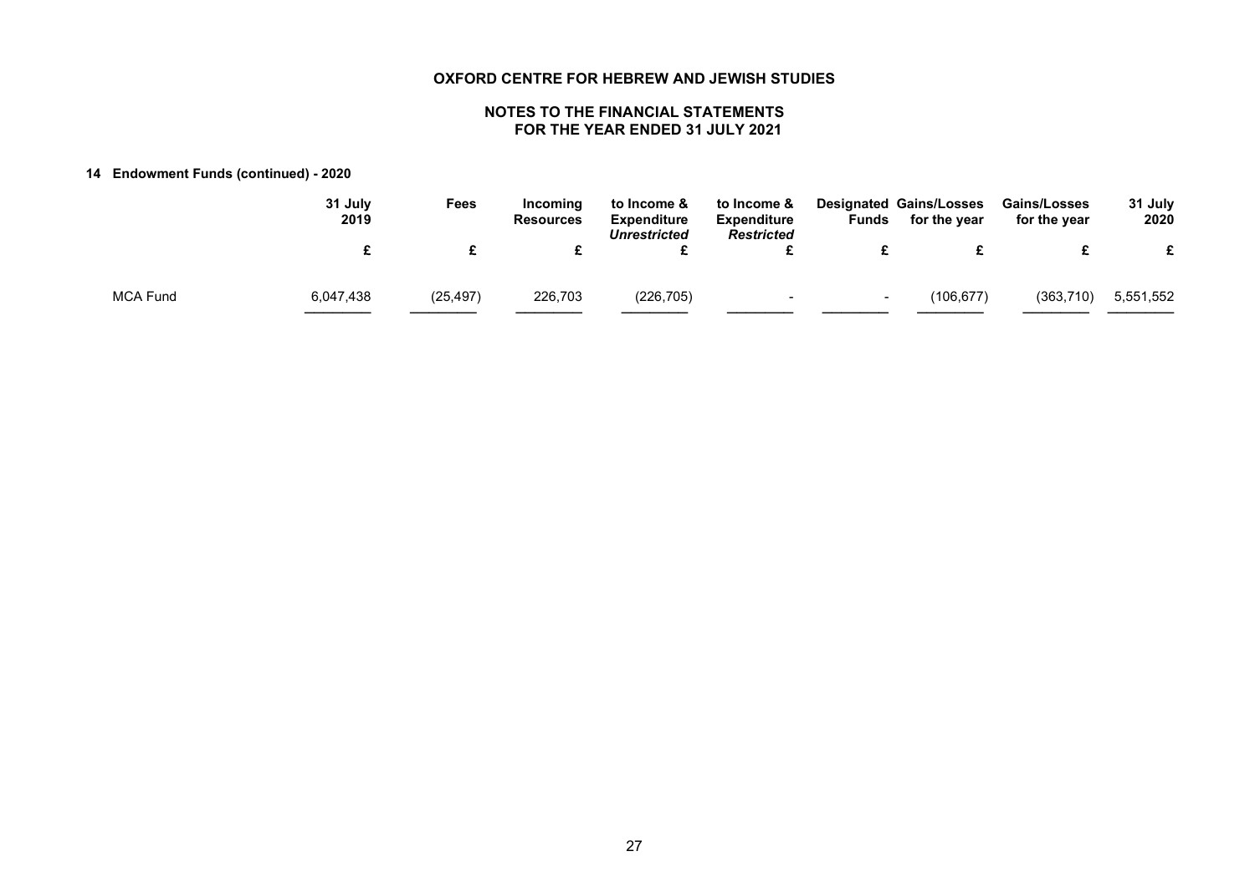# NOTES TO THE FINANCIAL STATEMENTS FOR THE YEAR ENDED 31 JULY 2021

14 Endowment Funds (continued) - 2020

|                 | 31 July<br>2019 | Fees      | Incoming<br><b>Resources</b> | to Income &<br><b>Expenditure</b><br><b>Unrestricted</b> | to Income &<br><b>Expenditure</b><br><b>Restricted</b> | Funds                    | <b>Designated Gains/Losses</b><br>for the year | Gains/Losses<br>for the year | 31 July<br>2020 |
|-----------------|-----------------|-----------|------------------------------|----------------------------------------------------------|--------------------------------------------------------|--------------------------|------------------------------------------------|------------------------------|-----------------|
|                 |                 |           |                              |                                                          |                                                        |                          |                                                |                              |                 |
| <b>MCA Fund</b> | 6,047,438       | (25, 497) | 226,703                      | (226, 705)                                               |                                                        | $\overline{\phantom{0}}$ | (106.677)                                      | (363, 710)                   | 5,551,552       |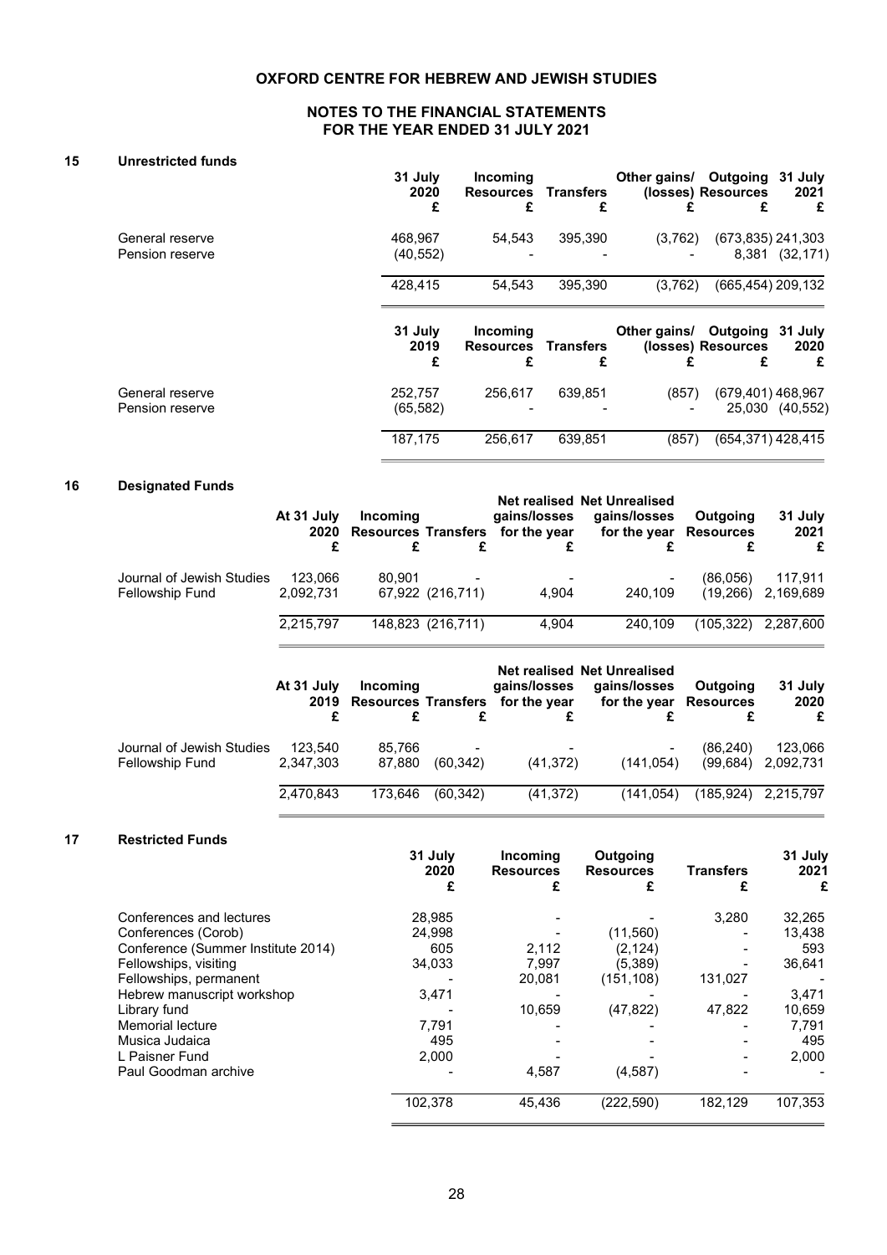# NOTES TO THE FINANCIAL STATEMENTS FOR THE YEAR ENDED 31 JULY 2021

# 15 Unrestricted funds

|                                    | 31 July<br>2020<br>£ | Incoming<br><b>Resources</b><br>£ | <b>Transfers</b><br>£ | Other gains/ Outgoing | 31 July<br>(losses) Resources<br>2021<br>£<br>£ |
|------------------------------------|----------------------|-----------------------------------|-----------------------|-----------------------|-------------------------------------------------|
| General reserve<br>Pension reserve | 468,967<br>(40, 552) | 54,543                            | 395,390               | (3,762)               | (673,835) 241,303<br>8,381<br>(32, 171)         |
|                                    | 428,415              | 54,543                            | 395.390               | (3,762)               | (665,454) 209,132                               |
|                                    | 31 July<br>2019<br>£ | Incoming<br><b>Resources</b>      | <b>Transfers</b><br>£ | Other gains/ Outgoing | 31 July<br>(losses) Resources<br>2020<br>£<br>£ |
| General reserve<br>Pension reserve | 252,757<br>(65, 582) | 256.617                           | 639,851               | (857)                 | (679,401) 468,967<br>25,030<br>(40, 552)        |
|                                    | 187.175              | 256.617                           | 639.851               | (857)                 | (654,371) 428,415                               |

## 16 Designated Funds

|                           | At 31 July<br>2020<br>£ | Incomina<br><b>Resources Transfers</b> |                   | gains/losses<br>for the year | <b>Net realised Net Unrealised</b><br>gains/losses<br>for the year Resources | Outgoing   | 31 July<br>2021<br>£ |
|---------------------------|-------------------------|----------------------------------------|-------------------|------------------------------|------------------------------------------------------------------------------|------------|----------------------|
| Journal of Jewish Studies | 123.066                 | 80.901                                 |                   |                              | $\overline{\phantom{a}}$                                                     | (86.056)   | 117,911              |
| <b>Fellowship Fund</b>    | 2,092,731               |                                        | 67,922 (216,711)  | 4.904                        | 240.109                                                                      | (19,266)   | 2,169,689            |
|                           | 2.215.797               |                                        | 148,823 (216,711) | 4,904                        | 240.109                                                                      | (105, 322) | 2,287,600            |

|                           | At 31 July | Incomina<br>2019 Resources Transfers |                 | gains/losses<br>for the year | <b>Net realised Net Unrealised</b><br>gains/losses<br>for the year Resources | Outgoing  | 31 July<br>2020<br>£  |
|---------------------------|------------|--------------------------------------|-----------------|------------------------------|------------------------------------------------------------------------------|-----------|-----------------------|
| Journal of Jewish Studies | 123.540    | 85.766                               | $\qquad \qquad$ |                              | $\blacksquare$                                                               | (86.240)  | 123,066               |
| Fellowship Fund           | 2,347,303  | 87,880                               | (60.342)        | (41, 372)                    | (141.054)                                                                    | (99, 684) | 2,092,731             |
|                           | 2.470.843  | 173.646                              | (60.342)        | (41, 372)                    | (141.054)                                                                    |           | $(185.924)$ 2,215,797 |

# 17 Restricted Funds

|                                    | 31 July<br>2020<br>£ | Incoming<br><b>Resources</b> | Outgoing<br><b>Resources</b> | <b>Transfers</b> | 31 July<br>2021<br>£ |
|------------------------------------|----------------------|------------------------------|------------------------------|------------------|----------------------|
| Conferences and lectures           | 28,985               |                              |                              | 3,280            | 32,265               |
| Conferences (Corob)                | 24.998               |                              | (11,560)                     | $\blacksquare$   | 13.438               |
| Conference (Summer Institute 2014) | 605                  | 2,112                        | (2, 124)                     |                  | 593                  |
| Fellowships, visiting              | 34,033               | 7,997                        | (5,389)                      |                  | 36,641               |
| Fellowships, permanent             |                      | 20,081                       | (151, 108)                   | 131,027          |                      |
| Hebrew manuscript workshop         | 3,471                |                              |                              |                  | 3,471                |
| Library fund                       |                      | 10,659                       | (47, 822)                    | 47,822           | 10,659               |
| <b>Memorial lecture</b>            | 7.791                |                              |                              |                  | 7.791                |
| Musica Judaica                     | 495                  |                              |                              |                  | 495                  |
| L Paisner Fund                     | 2,000                |                              |                              |                  | 2,000                |
| Paul Goodman archive               |                      | 4,587                        | (4, 587)                     |                  |                      |
|                                    | 102,378              | 45.436                       | (222, 590)                   | 182,129          | 107,353              |
|                                    |                      |                              |                              |                  |                      |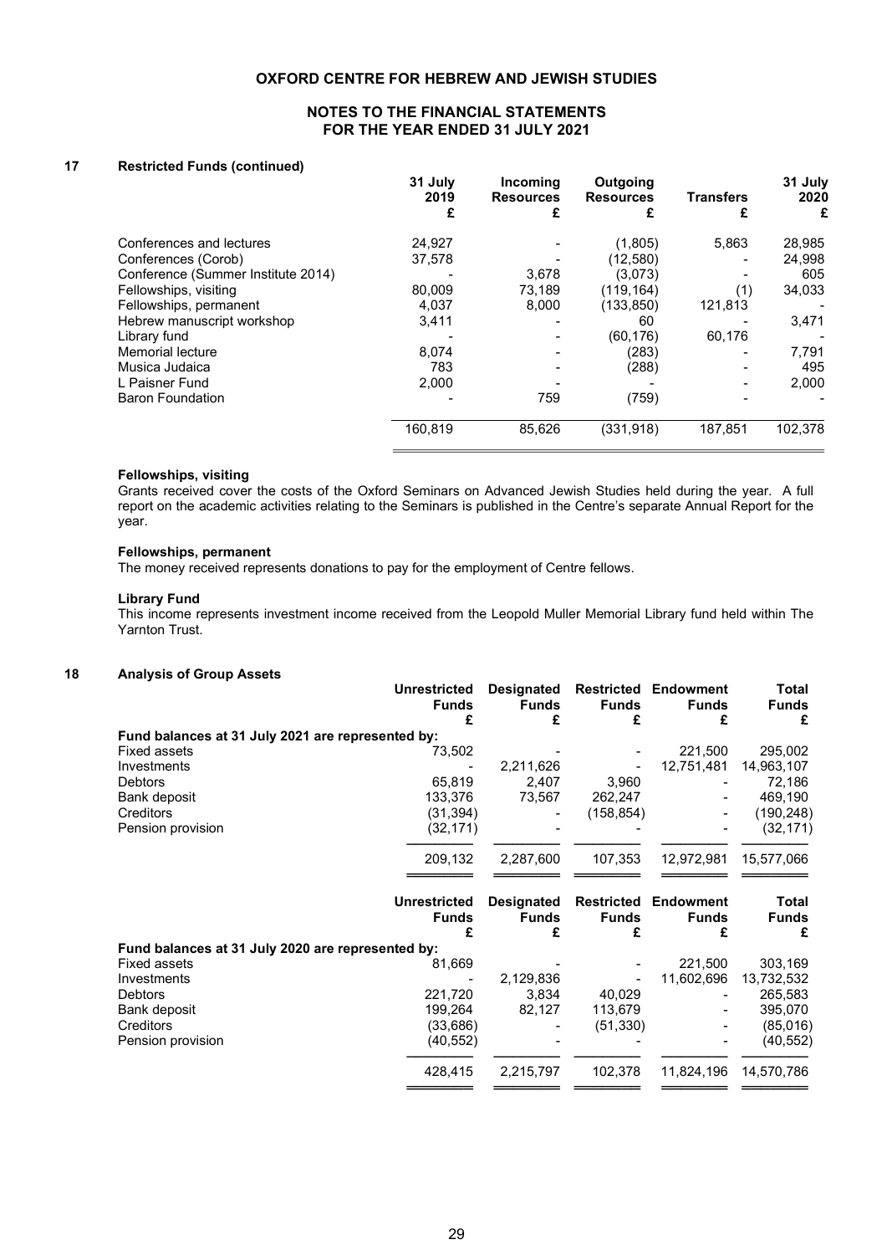# NOTES TO THE FINANCIAL STATEMENTS FOR THE YEAR ENDED 31 JULY 2021

### 17 Restricted Funds (continued)

|                                    | 31 July<br>2019<br>£ | Incoming<br><b>Resources</b> | Outgoing<br><b>Resources</b> | <b>Transfers</b>         | 31 July<br>2020<br>£ |
|------------------------------------|----------------------|------------------------------|------------------------------|--------------------------|----------------------|
|                                    |                      |                              |                              |                          |                      |
| Conferences and lectures           | 24,927               |                              | (1,805)                      | 5,863                    | 28,985               |
| Conferences (Corob)                | 37,578               |                              | (12,580)                     | $\overline{\phantom{0}}$ | 24,998               |
| Conference (Summer Institute 2014) |                      | 3,678                        | (3,073)                      |                          | 605                  |
| Fellowships, visiting              | 80,009               | 73,189                       | (119, 164)                   | (1)                      | 34,033               |
| Fellowships, permanent             | 4,037                | 8,000                        | (133,850)                    | 121,813                  |                      |
| Hebrew manuscript workshop         | 3,411                |                              | 60                           |                          | 3,471                |
| Library fund                       |                      |                              | (60, 176)                    | 60,176                   |                      |
| Memorial lecture                   | 8.074                |                              | (283)                        | $\overline{\phantom{a}}$ | 7,791                |
| Musica Judaica                     | 783                  |                              | (288)                        |                          | 495                  |
| L Paisner Fund                     | 2,000                |                              |                              | $\overline{\phantom{0}}$ | 2,000                |
| <b>Baron Foundation</b>            |                      | 759                          | (759)                        |                          |                      |
|                                    | 160,819              | 85,626                       | (331,918)                    | 187,851                  | 102,378              |
|                                    |                      |                              |                              |                          |                      |

## Fellowships, visiting

 Grants received cover the costs of the Oxford Seminars on Advanced Jewish Studies held during the year. A full report on the academic activities relating to the Seminars is published in the Centre's separate Annual Report for the year.

## Fellowships, permanent

The money received represents donations to pay for the employment of Centre fellows.

## Library Fund

This income represents investment income received from the Leopold Muller Memorial Library fund held within The Yarnton Trust.

## 18 Analysis of Group Assets

|                                                                                                           | <b>Unrestricted</b><br><b>Funds</b> | <b>Designated</b><br><b>Funds</b><br>£ | <b>Restricted</b><br><b>Funds</b><br>£ | Endowment<br><b>Funds</b><br>£              | Total<br><b>Funds</b><br>£ |
|-----------------------------------------------------------------------------------------------------------|-------------------------------------|----------------------------------------|----------------------------------------|---------------------------------------------|----------------------------|
| Fund balances at 31 July 2021 are represented by:                                                         |                                     |                                        |                                        |                                             |                            |
| <b>Fixed assets</b>                                                                                       | 73,502                              |                                        |                                        | 221,500                                     | 295,002                    |
| Investments                                                                                               |                                     | 2,211,626                              |                                        | 12,751,481                                  | 14,963,107                 |
| <b>Debtors</b>                                                                                            | 65,819                              | 2,407                                  | 3,960                                  |                                             | 72,186                     |
| Bank deposit                                                                                              | 133,376                             | 73,567                                 | 262,247                                |                                             | 469,190                    |
| Creditors                                                                                                 | (31,394)                            |                                        | (158,854)                              |                                             | (190, 248)                 |
| Pension provision                                                                                         | (32, 171)                           |                                        |                                        |                                             | (32, 171)                  |
|                                                                                                           | 209,132                             | 2,287,600                              | 107,353                                | 12,972,981                                  | 15,577,066                 |
|                                                                                                           | <b>Unrestricted</b><br><b>Funds</b> | <b>Designated</b><br><b>Funds</b>      | <b>Funds</b>                           | <b>Restricted Endowment</b><br><b>Funds</b> | Total<br><b>Funds</b>      |
|                                                                                                           |                                     |                                        |                                        |                                             |                            |
|                                                                                                           | £                                   |                                        |                                        | £                                           | £                          |
|                                                                                                           |                                     |                                        |                                        |                                             |                            |
|                                                                                                           | 81,669                              |                                        |                                        | 221,500                                     | 303,169                    |
|                                                                                                           |                                     | 2,129,836                              |                                        | 11,602,696                                  | 13,732,532                 |
| Fund balances at 31 July 2020 are represented by:<br><b>Fixed assets</b><br>Investments<br><b>Debtors</b> | 221,720                             | 3,834                                  | 40,029                                 |                                             | 265,583                    |
| Bank deposit                                                                                              | 199,264                             | 82,127                                 | 113,679                                |                                             | 395,070                    |
| <b>Creditors</b>                                                                                          | (33, 686)                           |                                        | (51, 330)                              |                                             | (85,016)                   |
| Pension provision                                                                                         | (40, 552)                           |                                        |                                        |                                             | (40, 552)                  |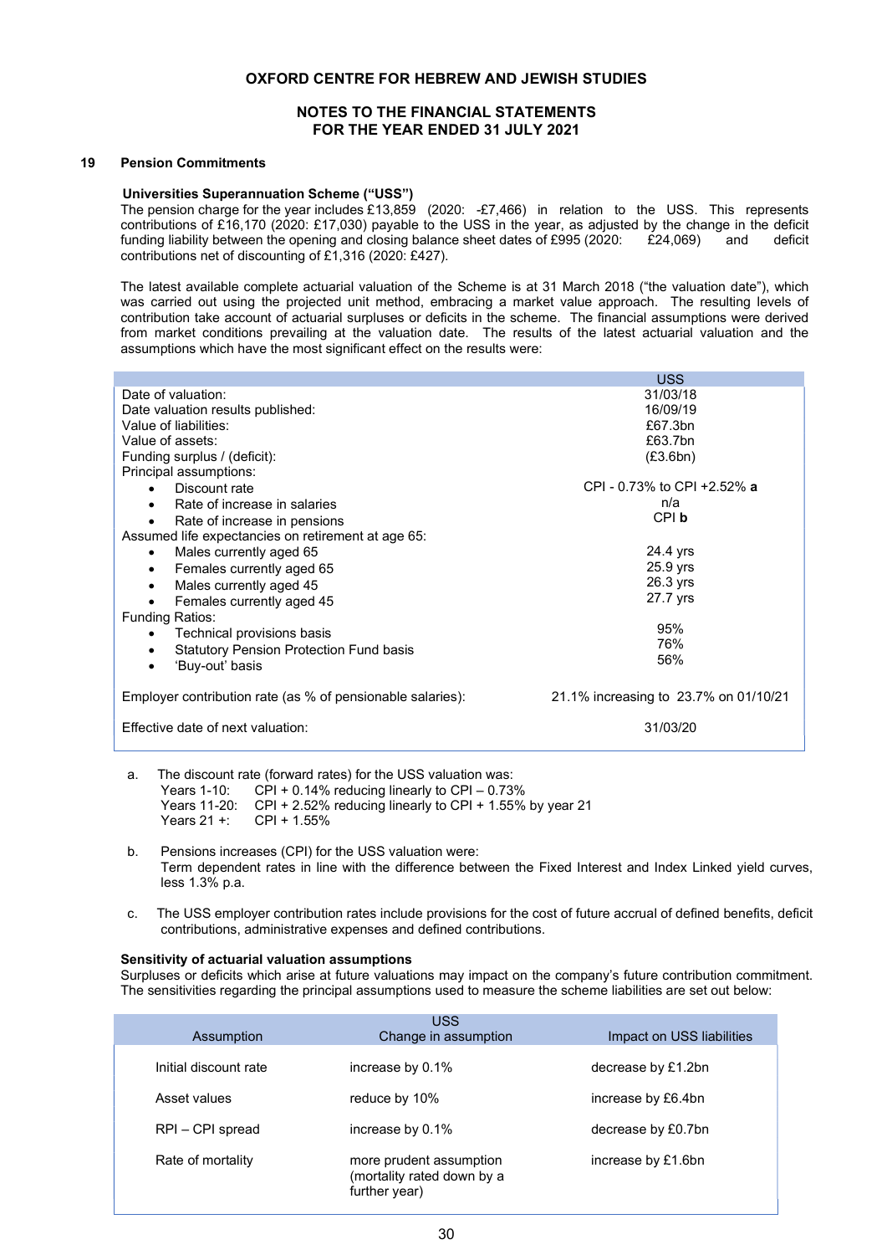## NOTES TO THE FINANCIAL STATEMENTS FOR THE YEAR ENDED 31 JULY 2021

#### 19 Pension Commitments

#### Universities Superannuation Scheme ("USS")

 The pension charge for the year includes £13,859 (2020: -£7,466) in relation to the USS. This represents contributions of £16,170 (2020: £17,030) payable to the USS in the year, as adjusted by the change in the deficit funding liability between the opening and closing balance sheet dates of £995 (2020: £24,069) and deficit funding liability between the opening and closing balance sheet dates of £995 (2020: £24,069) and deficit contributions net of discounting of £1,316 (2020: £427).

 The latest available complete actuarial valuation of the Scheme is at 31 March 2018 ("the valuation date"), which was carried out using the projected unit method, embracing a market value approach. The resulting levels of contribution take account of actuarial surpluses or deficits in the scheme. The financial assumptions were derived from market conditions prevailing at the valuation date. The results of the latest actuarial valuation and the assumptions which have the most significant effect on the results were:

|                                                             | <b>USS</b>                            |
|-------------------------------------------------------------|---------------------------------------|
| Date of valuation:                                          | 31/03/18                              |
| Date valuation results published:                           | 16/09/19                              |
| Value of liabilities:                                       | £67.3bn                               |
| Value of assets:                                            | £63.7bn                               |
| Funding surplus / (deficit):                                | (E3.6bn)                              |
| Principal assumptions:                                      |                                       |
| Discount rate<br>$\bullet$                                  | CPI - 0.73% to CPI +2.52% a           |
| Rate of increase in salaries<br>$\bullet$                   | n/a                                   |
| Rate of increase in pensions                                | CPI b                                 |
| Assumed life expectancies on retirement at age 65:          |                                       |
| Males currently aged 65<br>$\bullet$                        | 24.4 yrs                              |
| Females currently aged 65<br>٠                              | 25.9 yrs                              |
| Males currently aged 45<br>$\bullet$                        | 26.3 yrs                              |
| Females currently aged 45                                   | 27.7 yrs                              |
| <b>Funding Ratios:</b>                                      |                                       |
| Technical provisions basis<br>$\bullet$                     | 95%                                   |
| <b>Statutory Pension Protection Fund basis</b><br>$\bullet$ | 76%                                   |
| 'Buy-out' basis                                             | 56%                                   |
|                                                             |                                       |
| Employer contribution rate (as % of pensionable salaries):  | 21.1% increasing to 23.7% on 01/10/21 |
| Effective date of next valuation:                           | 31/03/20                              |

- a. The discount rate (forward rates) for the USS valuation was: Years 1-10: CPI + 0.14% reducing linearly to CPI – 0.73% Years 11-20: CPI + 2.52% reducing linearly to CPI + 1.55% by year 21 Years 21 +: CPI + 1.55%
- b. Pensions increases (CPI) for the USS valuation were: Term dependent rates in line with the difference between the Fixed Interest and Index Linked yield curves, less 1.3% p.a.
- c. The USS employer contribution rates include provisions for the cost of future accrual of defined benefits, deficit contributions, administrative expenses and defined contributions.

#### Sensitivity of actuarial valuation assumptions

Surpluses or deficits which arise at future valuations may impact on the company's future contribution commitment. The sensitivities regarding the principal assumptions used to measure the scheme liabilities are set out below:

| Assumption            | USS<br>Change in assumption                                            | Impact on USS liabilities |
|-----------------------|------------------------------------------------------------------------|---------------------------|
| Initial discount rate | increase by 0.1%                                                       | decrease by £1.2bn        |
| Asset values          | reduce by 10%                                                          | increase by £6.4bn        |
| RPI-CPI spread        | increase by 0.1%                                                       | decrease by £0.7bn        |
| Rate of mortality     | more prudent assumption<br>(mortality rated down by a<br>further year) | increase by £1.6bn        |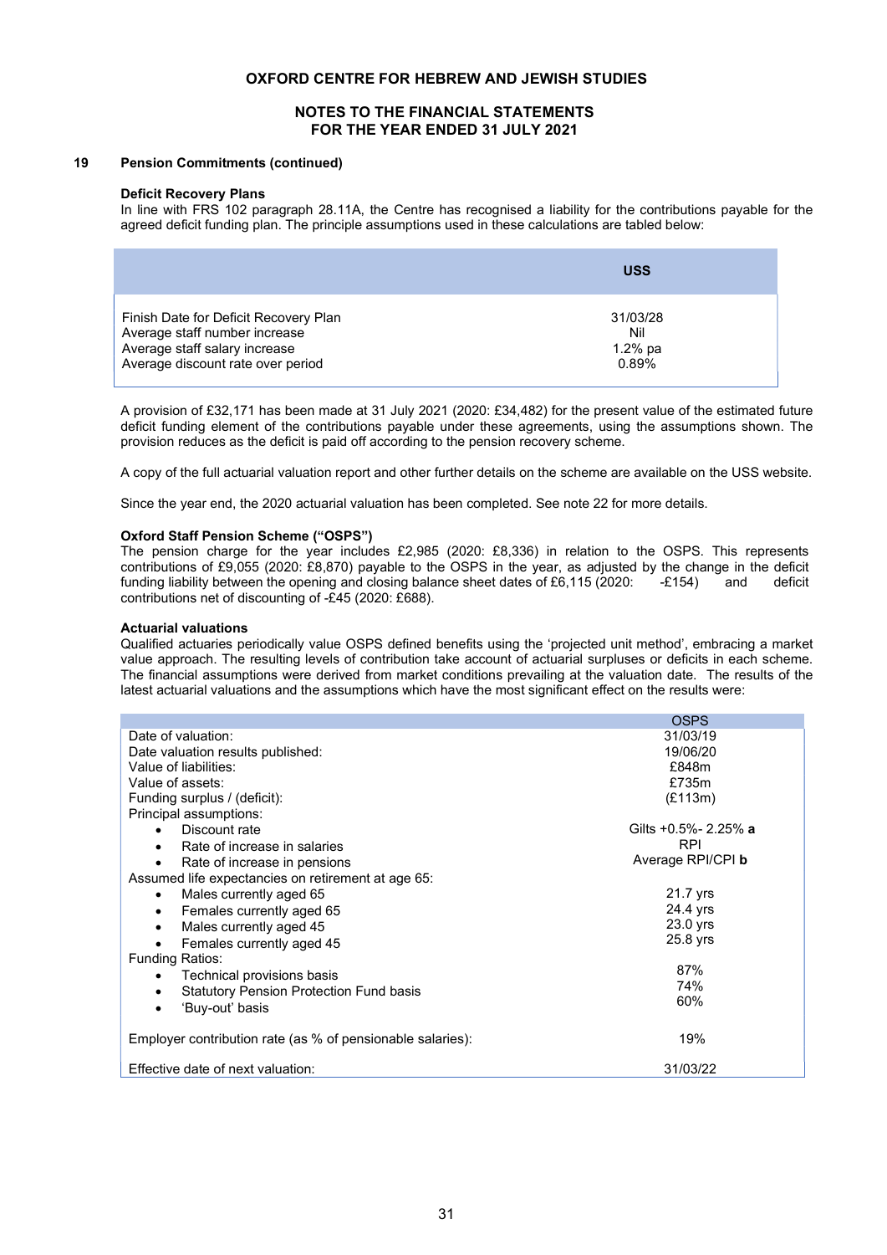## NOTES TO THE FINANCIAL STATEMENTS FOR THE YEAR ENDED 31 JULY 2021

## 19 Pension Commitments (continued)

#### Deficit Recovery Plans

In line with FRS 102 paragraph 28.11A, the Centre has recognised a liability for the contributions payable for the agreed deficit funding plan. The principle assumptions used in these calculations are tabled below:

|                                       | <b>USS</b> |
|---------------------------------------|------------|
| Finish Date for Deficit Recovery Plan | 31/03/28   |
| Average staff number increase         | Nil        |
| Average staff salary increase         | $1.2%$ pa  |
| Average discount rate over period     | 0.89%      |

A provision of £32,171 has been made at 31 July 2021 (2020: £34,482) for the present value of the estimated future deficit funding element of the contributions payable under these agreements, using the assumptions shown. The provision reduces as the deficit is paid off according to the pension recovery scheme.

A copy of the full actuarial valuation report and other further details on the scheme are available on the USS website.

Since the year end, the 2020 actuarial valuation has been completed. See note 22 for more details.

#### Oxford Staff Pension Scheme ("OSPS")

 The pension charge for the year includes £2,985 (2020: £8,336) in relation to the OSPS. This represents contributions of £9,055 (2020: £8,870) payable to the OSPS in the year, as adjusted by the change in the deficit funding liability between the opening and closing balance sheet dates of £6,115 (2020:  $\overline{\phantom{a}}$  = £154) and deficit contributions net of discounting of -£45 (2020: £688).

## Actuarial valuations

Qualified actuaries periodically value OSPS defined benefits using the 'projected unit method', embracing a market value approach. The resulting levels of contribution take account of actuarial surpluses or deficits in each scheme. The financial assumptions were derived from market conditions prevailing at the valuation date. The results of the latest actuarial valuations and the assumptions which have the most significant effect on the results were:

|                                                             | <b>OSPS</b>              |
|-------------------------------------------------------------|--------------------------|
| Date of valuation:                                          | 31/03/19                 |
| Date valuation results published:                           | 19/06/20                 |
| Value of liabilities:                                       | £848m                    |
| Value of assets:                                            | £735m                    |
| Funding surplus / (deficit):                                | (E113m)                  |
| Principal assumptions:                                      |                          |
| Discount rate<br>$\bullet$                                  | Gilts +0.5%- 2.25% a     |
| Rate of increase in salaries<br>$\bullet$                   | <b>RPI</b>               |
| Rate of increase in pensions                                | Average RPI/CPI <b>b</b> |
| Assumed life expectancies on retirement at age 65:          |                          |
| Males currently aged 65<br>$\bullet$                        | 21.7 yrs                 |
| Females currently aged 65<br>$\bullet$                      | 24.4 yrs                 |
| Males currently aged 45<br>$\bullet$                        | 23.0 yrs                 |
| Females currently aged 45                                   | 25.8 yrs                 |
| <b>Funding Ratios:</b>                                      |                          |
| Technical provisions basis<br>٠                             | 87%                      |
| <b>Statutory Pension Protection Fund basis</b><br>$\bullet$ | 74%                      |
| 'Buy-out' basis<br>$\bullet$                                | 60%                      |
| Employer contribution rate (as % of pensionable salaries):  | 19%                      |
| Effective date of next valuation:                           | 31/03/22                 |
|                                                             |                          |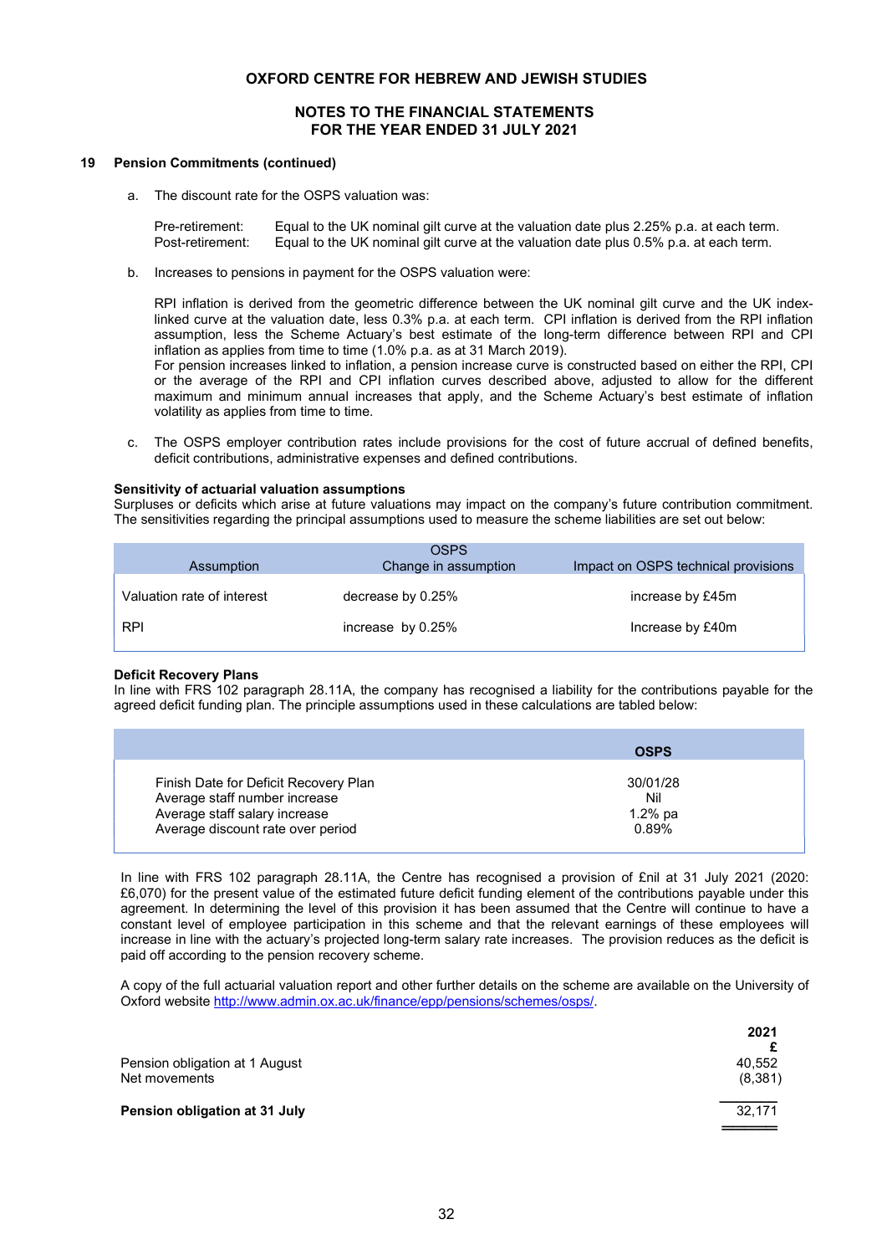## NOTES TO THE FINANCIAL STATEMENTS FOR THE YEAR ENDED 31 JULY 2021

#### 19 Pension Commitments (continued)

a. The discount rate for the OSPS valuation was:

Pre-retirement: Equal to the UK nominal gilt curve at the valuation date plus 2.25% p.a. at each term. Post-retirement: Equal to the UK nominal gilt curve at the valuation date plus 0.5% p.a. at each term.

b. Increases to pensions in payment for the OSPS valuation were:

RPI inflation is derived from the geometric difference between the UK nominal gilt curve and the UK indexlinked curve at the valuation date, less 0.3% p.a. at each term. CPI inflation is derived from the RPI inflation assumption, less the Scheme Actuary's best estimate of the long-term difference between RPI and CPI inflation as applies from time to time (1.0% p.a. as at 31 March 2019).

For pension increases linked to inflation, a pension increase curve is constructed based on either the RPI, CPI or the average of the RPI and CPI inflation curves described above, adjusted to allow for the different maximum and minimum annual increases that apply, and the Scheme Actuary's best estimate of inflation volatility as applies from time to time.

c. The OSPS employer contribution rates include provisions for the cost of future accrual of defined benefits, deficit contributions, administrative expenses and defined contributions.

#### Sensitivity of actuarial valuation assumptions

 Surpluses or deficits which arise at future valuations may impact on the company's future contribution commitment. The sensitivities regarding the principal assumptions used to measure the scheme liabilities are set out below:

| Assumption                 | <b>OSPS</b><br>Change in assumption | Impact on OSPS technical provisions |
|----------------------------|-------------------------------------|-------------------------------------|
| Valuation rate of interest | decrease by 0.25%                   | increase by £45m                    |
| <b>RPI</b>                 | increase by 0.25%                   | Increase by £40m                    |

#### Deficit Recovery Plans

In line with FRS 102 paragraph 28.11A, the company has recognised a liability for the contributions payable for the agreed deficit funding plan. The principle assumptions used in these calculations are tabled below:

|                                       | <b>OSPS</b> |
|---------------------------------------|-------------|
| Finish Date for Deficit Recovery Plan | 30/01/28    |
| Average staff number increase         | Nil         |
| Average staff salary increase         | $1.2%$ pa   |
| Average discount rate over period     | 0.89%       |

 In line with FRS 102 paragraph 28.11A, the Centre has recognised a provision of £nil at 31 July 2021 (2020: £6,070) for the present value of the estimated future deficit funding element of the contributions payable under this agreement. In determining the level of this provision it has been assumed that the Centre will continue to have a constant level of employee participation in this scheme and that the relevant earnings of these employees will increase in line with the actuary's projected long-term salary rate increases. The provision reduces as the deficit is paid off according to the pension recovery scheme.

 A copy of the full actuarial valuation report and other further details on the scheme are available on the University of Oxford website http://www.admin.ox.ac.uk/finance/epp/pensions/schemes/osps/.

|                                                 | 2021               |
|-------------------------------------------------|--------------------|
| Pension obligation at 1 August<br>Net movements | 40,552<br>(8, 381) |
| Pension obligation at 31 July                   | 32.171             |